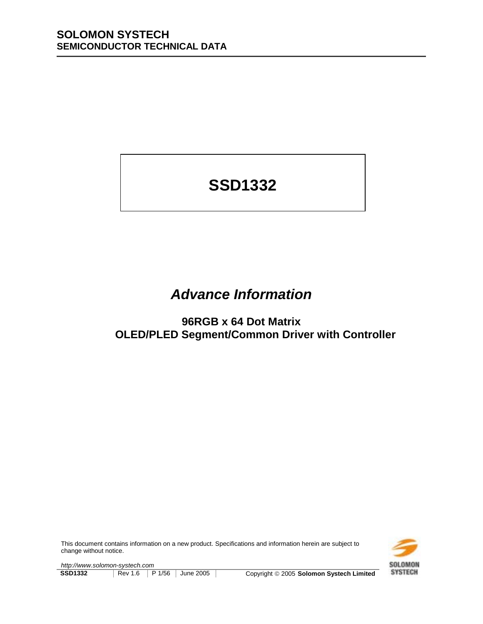# **SSD1332**

## *Advance Information*

**96RGB x 64 Dot Matrix OLED/PLED Segment/Common Driver with Controller**

This document contains information on a new product. Specifications and information herein are subject to change without notice.



*http://www.solomon-systech.com*  **SSD1332** Rev 1.6 P 1/56 June 2005 Copyright 
© 2005 Solomon Systech Limited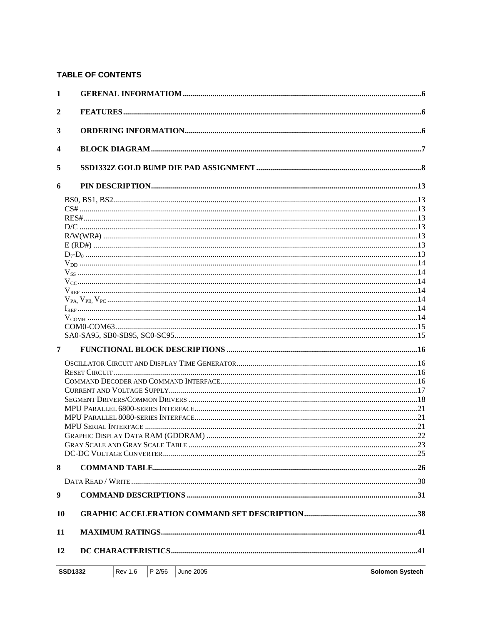### **TABLE OF CONTENTS**

| 1                |  |
|------------------|--|
| $\boldsymbol{2}$ |  |
| 3                |  |
| 4                |  |
| 5                |  |
| 6                |  |
|                  |  |
|                  |  |
|                  |  |
|                  |  |
|                  |  |
|                  |  |
|                  |  |
|                  |  |
|                  |  |
|                  |  |
|                  |  |
|                  |  |
|                  |  |
|                  |  |
| 7                |  |
|                  |  |
|                  |  |
|                  |  |
|                  |  |
|                  |  |
|                  |  |
|                  |  |
|                  |  |
|                  |  |
|                  |  |
| 8                |  |
|                  |  |
| 9                |  |
| 10               |  |
| 11               |  |
| 12               |  |
|                  |  |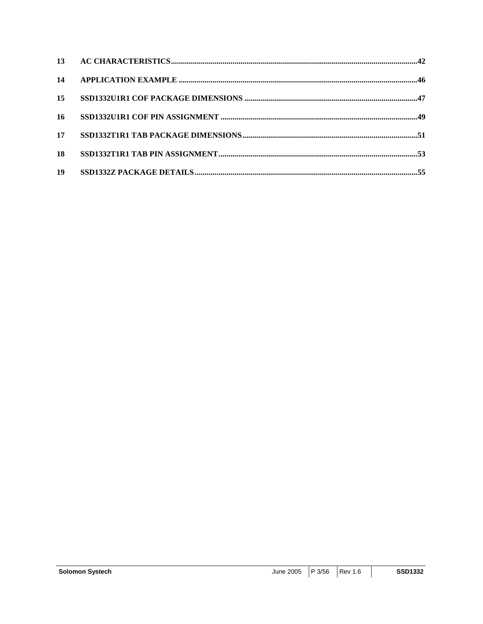| 14 |  |
|----|--|
| 15 |  |
| 16 |  |
| 17 |  |
| 18 |  |
| 19 |  |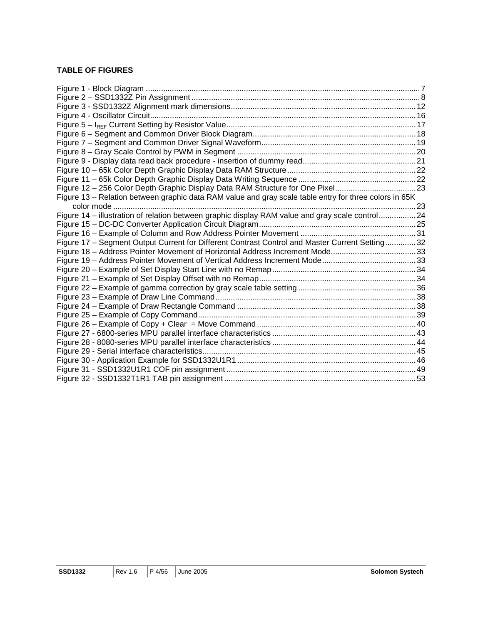### **TABLE OF FIGURES**

| Figure 12 - 256 Color Depth Graphic Display Data RAM Structure for One Pixel23                         |  |
|--------------------------------------------------------------------------------------------------------|--|
| Figure 13 - Relation between graphic data RAM value and gray scale table entry for three colors in 65K |  |
|                                                                                                        |  |
| Figure 14 - illustration of relation between graphic display RAM value and gray scale control24        |  |
|                                                                                                        |  |
|                                                                                                        |  |
| Figure 17 - Segment Output Current for Different Contrast Control and Master Current Setting 32        |  |
| Figure 18 - Address Pointer Movement of Horizontal Address Increment Mode33                            |  |
|                                                                                                        |  |
|                                                                                                        |  |
|                                                                                                        |  |
|                                                                                                        |  |
|                                                                                                        |  |
|                                                                                                        |  |
|                                                                                                        |  |
|                                                                                                        |  |
|                                                                                                        |  |
|                                                                                                        |  |
|                                                                                                        |  |
|                                                                                                        |  |
|                                                                                                        |  |
|                                                                                                        |  |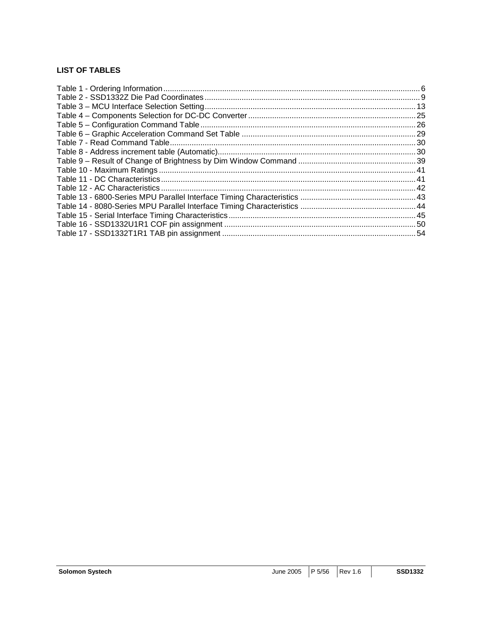### **LIST OF TABLES**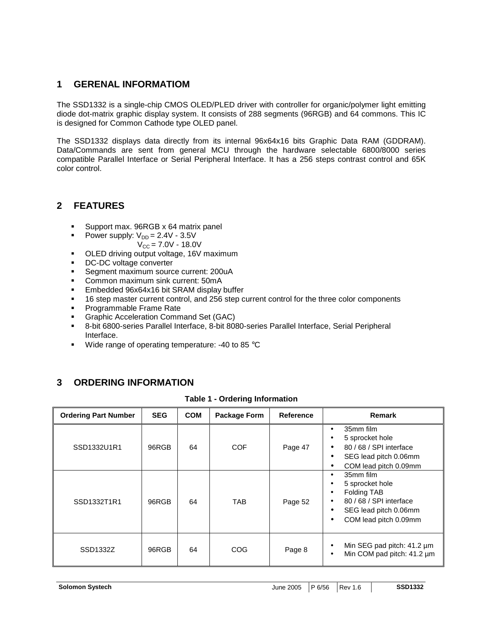### **1 GERENAL INFORMATIOM**

The SSD1332 is a single-chip CMOS OLED/PLED driver with controller for organic/polymer light emitting diode dot-matrix graphic display system. It consists of 288 segments (96RGB) and 64 commons. This IC is designed for Common Cathode type OLED panel.

The SSD1332 displays data directly from its internal 96x64x16 bits Graphic Data RAM (GDDRAM). Data/Commands are sent from general MCU through the hardware selectable 6800/8000 series compatible Parallel Interface or Serial Peripheral Interface. It has a 256 steps contrast control and 65K color control.

### **2 FEATURES**

- **EXECUTE:** Support max. 96RGB x 64 matrix panel
	- Power supply:  $V_{DD} = 2.4V 3.5V$
	- $V_{\text{CC}} = 7.0V 18.0V$
- **.** OLED driving output voltage, 16V maximum
- ! DC-DC voltage converter
- **EXECUTE:** Segment maximum source current: 200uA
- ! Common maximum sink current: 50mA
- **Embedded 96x64x16 bit SRAM display buffer**
- **16 step master current control, and 256 step current control for the three color components**
- ! Programmable Frame Rate
- **EXECO** Graphic Acceleration Command Set (GAC)
- ! 8-bit 6800-series Parallel Interface, 8-bit 8080-series Parallel Interface, Serial Peripheral Interface.
- **.** Wide range of operating temperature: -40 to 85  $^{\circ}$ C

### **3 ORDERING INFORMATION**

|  |  |  | <b>Table 1 - Ordering Information</b> |
|--|--|--|---------------------------------------|
|--|--|--|---------------------------------------|

| <b>Ordering Part Number</b> | <b>SEG</b> | <b>COM</b> | <b>Package Form</b> | <b>Reference</b> | Remark                                                                                                                        |
|-----------------------------|------------|------------|---------------------|------------------|-------------------------------------------------------------------------------------------------------------------------------|
| SSD1332U1R1                 | 96RGB      | 64         | <b>COF</b>          | Page 47          | 35mm film<br>٠<br>5 sprocket hole<br>80 / 68 / SPI interface<br>SEG lead pitch 0.06mm<br>٠<br>COM lead pitch 0.09mm<br>٠      |
| SSD1332T1R1                 | 96RGB      | 64         | TAB.                | Page 52          | 35mm film<br>٠<br>5 sprocket hole<br>Folding TAB<br>80 / 68 / SPI interface<br>SEG lead pitch 0.06mm<br>COM lead pitch 0.09mm |
| SSD1332Z                    | 96RGB      | 64         | COG                 | Page 8           | Min SEG pad pitch: 41.2 µm<br>Min COM pad pitch: 41.2 µm<br>٠                                                                 |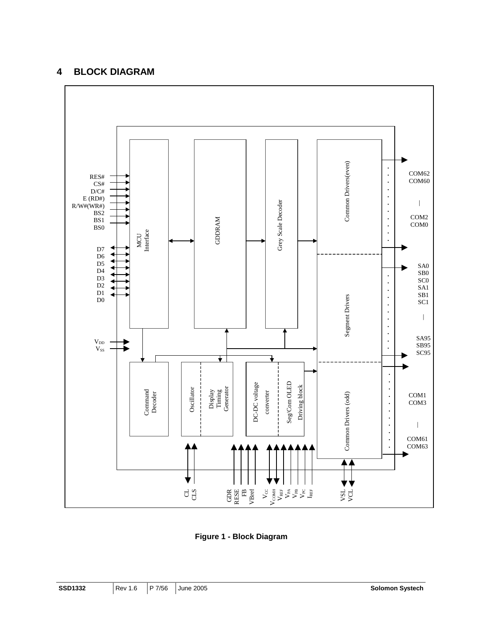### **4 BLOCK DIAGRAM**



**Figure 1 - Block Diagram**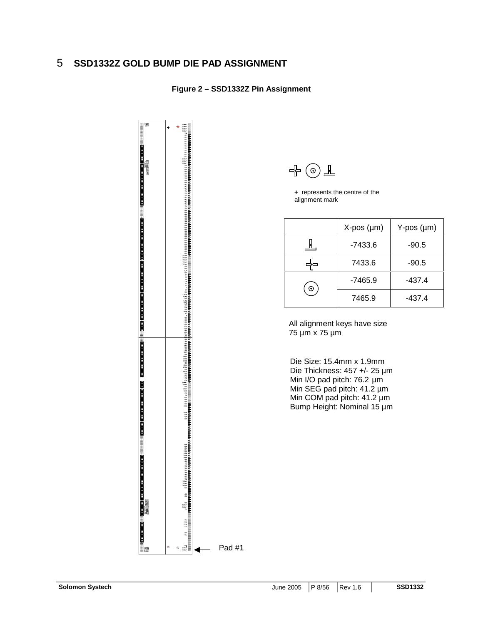### 5 **SSD1332Z GOLD BUMP DIE PAD ASSIGNMENT**

### **Figure 2 – SSD1332Z Pin Assignment**





**<sup>+</sup>** represents the centre of the alignment mark

|   | $X-pos$ ( $\mu$ m) | $Y-pos$ ( $µm$ ) |
|---|--------------------|------------------|
|   | $-7433.6$          | $-90.5$          |
|   | 7433.6             | $-90.5$          |
| ⊕ | $-7465.9$          | $-437.4$         |
|   | 7465.9             | -437.4           |

All alignment keys have size 75 µm x 75 µm

Die Size: 15.4mm x 1.9mm Die Thickness: 457 +/- 25 µm Min I/O pad pitch: 76.2 µm Min SEG pad pitch: 41.2 µm Min COM pad pitch: 41.2 µm Bump Height: Nominal 15 µm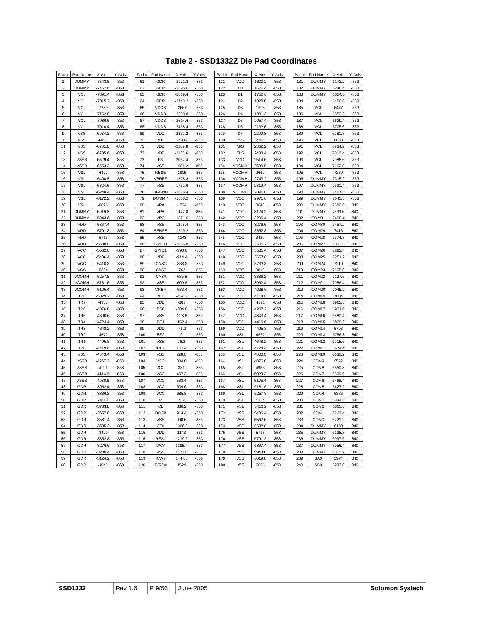### **Table 2 - SSD1332Z Die Pad Coordinates**

| Pad #          | Pad Name        | X-Axis    | Y-Axis | Pad # | Pad Name        | X-Axis    | Y-Axis | Pad # | Pad Name       | X-Axis | Y-Axis | Pad # | Pad Name          | X-Axis | Y-Axis |
|----------------|-----------------|-----------|--------|-------|-----------------|-----------|--------|-------|----------------|--------|--------|-------|-------------------|--------|--------|
| 1              | <b>DUMMY</b>    | $-7543.8$ | $-853$ | 61    | GDR             | $-2971.8$ | $-853$ | 121   | VDD            | 1600.2 | $-853$ | 181   | <b>DUMMY</b>      | 6172.2 | $-853$ |
| $\overline{c}$ | <b>DUMMY</b>    | $-7467.6$ | $-853$ | 62    | GDR             | $-2895.6$ | $-853$ | 122   | D <sub>0</sub> | 1676.4 | $-853$ | 182   | <b>DUMMY</b>      | 6248.4 | -853   |
| 3              | <b>VCL</b>      | $-7391.4$ | $-853$ | 63    | GDR             | $-2819.4$ | $-853$ | 123   | D <sub>1</sub> | 1752.6 | $-853$ | 183   | <b>DUMMY</b>      | 6324.6 | $-853$ |
| $\overline{4}$ | <b>VCL</b>      | $-7315.2$ | $-853$ | 64    | GDR             | $-2743.2$ | $-853$ | 124   | D <sub>2</sub> | 1828.8 | $-853$ | 184   | <b>VCL</b>        | 6400.8 | $-853$ |
| 5              | VCL             | $-7239$   | $-853$ | 65    | VDDB            | $-2667$   | $-853$ | 125   | D <sub>3</sub> | 1905   | $-853$ | 185   | VCL               | 6477   | $-853$ |
| 6              | <b>VCL</b>      | $-7162.8$ | $-853$ | 66    | VDDB            | $-2590.8$ | $-853$ | 126   | D <sub>4</sub> | 1981.2 | $-853$ | 186   | <b>VCL</b>        | 6553.2 | $-853$ |
| $\overline{7}$ | VCL             | $-7086.6$ | $-853$ | 67    | <b>VDDB</b>     | $-2514.6$ | $-853$ | 127   | D <sub>5</sub> | 2057.4 | $-853$ | 187   | <b>VCL</b>        | 6629.4 | $-853$ |
| 8              | <b>VCL</b>      | $-7010.4$ | $-853$ | 68    | <b>VDDB</b>     | $-2438.4$ | $-853$ | 128   | D <sub>6</sub> | 2133.6 | -853   | 188   | <b>VCL</b>        | 6705.6 | $-853$ |
| 9              | VSS             | $-6934.2$ | $-853$ | 69    | VDD             | $-2362.2$ | $-853$ | 129   | D7             | 2209.8 | 853    | 189   | <b>VCL</b>        | 6781.8 | $-853$ |
| 10             | VSS             | $-6858$   | $-853$ | 70    | VDD             | $-2286$   | $-853$ | 130   | VSS            | 2286   | $-853$ | 190   | VCL               | 6858   | $-853$ |
| 11             | <b>VSS</b>      | $-6781.8$ | $-853$ | 71    | VDD             | $-2209.8$ | $-853$ | 131   | M/S            | 2362.2 | $-853$ | 191   | VCL               | 6934.2 | $-853$ |
| 12             | <b>VSS</b>      | $-6705.6$ | $-853$ | 72    | VDD             | $-2133.6$ | $-853$ | 132   | CLS            | 2438.4 | $-853$ | 192   | <b>VCL</b>        | 7010.4 | $-853$ |
| 13             | <b>VSSB</b>     | $-6629.4$ | $-853$ | 73    | FB              | $-2057.4$ | $-853$ | 133   | VDD            | 2514.6 | $-853$ | 193   | VCL               | 7086.6 | $-853$ |
| 14             | <b>VSSB</b>     | $-6553.2$ | $-853$ | 74    | <b>VSS</b>      | $-1981.2$ | $-853$ | 134   | <b>VCOMH</b>   | 2590.8 | $-853$ | 194   | <b>VCL</b>        | 7162.8 | $-853$ |
| 15             | <b>VSL</b>      | $-6477$   | $-853$ | 75    | <b>RESE</b>     | $-1905$   | $-853$ | 135   | <b>VCOMH</b>   | 2667   | $-853$ | 195   | <b>VCL</b>        | 7239   | $-853$ |
| 16             | <b>VSL</b>      | $-6400.8$ | $-853$ | 76    | VBREF           | $-1828.8$ | $-853$ | 136   | <b>VCOMH</b>   | 2743.2 | $-853$ | 196   | <b>DUMMY</b>      | 7315.2 | $-853$ |
| 17             | VSL             | $-6324.6$ | $-853$ | 77    | VSS             | $-1752.6$ | $-853$ | 137   | <b>VCOMH</b>   | 2819.4 | $-853$ | 197   | <b>DUMMY</b>      | 7391.4 | $-853$ |
| 18             | VSL             | $-6248.4$ | $-853$ | 78    | <b>BGGND</b>    | $-1676.4$ | $-853$ | 138   | <b>VCOMH</b>   | 2895.6 | $-853$ | 198   | <b>DUMMY</b>      | 7467.6 | $-853$ |
| 19             | VSL             | $-6172.2$ | $-853$ | 79    | <b>DUMMY</b>    | $-1600.2$ | $-853$ | 139   | <b>VCC</b>     | 2971.8 | $-853$ | 199   | <b>DUMMY</b>      | 7543.8 | $-853$ |
| 20             | VSL             | $-6096$   | $-853$ | 80    | VPA             | $-1524$   | $-853$ | 140   | <b>VCC</b>     | 3048   | 853    | 200   | <b>DUMMY</b>      | 7580.8 | 840    |
| 21             | <b>DUMMY</b>    | $-6019.8$ | $-853$ | 81    | <b>VPB</b>      | $-1447.8$ | $-853$ | 141   | <b>VCC</b>     | 3124.2 | $-853$ | 201   | <b>DUMMY</b>      | 7539.6 | 840    |
| 22             | <b>DUMMY</b>    | $-5943.6$ | $-853$ | 82    | <b>VPC</b>      | $-1371.6$ | $-853$ | 142   | VCC            | 3200.4 | $-853$ | 202   | COM31             | 7498.4 | 840    |
| 23             | VDD             | $-5867.4$ | $-853$ | 83    | <b>VSS</b>      | $-1295.4$ | $-853$ | 143   | <b>VCC</b>     | 3276.6 | $-853$ | 203   | COM30             | 7457.2 | 840    |
| 24             | VDD             | $-5791.2$ | $-853$ | 84    | SENSE           | $-1219.2$ | $-853$ | 144   | VCC            | 3352.8 | $-853$ | 204   | COM29             | 7416   | 840    |
| 25             | VDD             | $-5715$   | $-853$ | 85    | <b>VSS</b>      | $-1143$   | $-853$ | 145   | <b>VCC</b>     | 3429   | $-853$ | 205   | COM28             | 7374.8 | 840    |
| 26             | VDD             | $-5638.8$ | $-853$ | 86    | GPIO0           | $-1066.8$ | $-853$ | 146   | VCC            | 3505.2 | $-853$ | 206   | COM27             | 7333.6 | 840    |
| 27             | VCC             | $-5562.6$ | $-853$ | 87    | GPIO1           | $-990.6$  | $-853$ | 147   | <b>VCC</b>     | 3581.4 | $-853$ | 207   | COM26             | 7292.4 | 840    |
| 28             | <b>VCC</b>      | $-5486.4$ | $-853$ | 88    | VDD             | $-914.4$  | $-853$ | 148   | <b>VCC</b>     | 3657.6 | $-853$ | 208   | COM25             | 7251.2 | 840    |
| 29             | VCC             | $-5410.2$ | $-853$ | 89    | <b>ICASC</b>    | $-838.2$  | $-853$ | 149   | <b>VCC</b>     | 3733.8 | $-853$ | 209   | COM24             | 7210   | 840    |
| 30             | <b>VCC</b>      | $-5334$   | $-853$ | 90    | <b>ICASB</b>    | $-762$    | $-853$ | 150   | <b>VCC</b>     | 3810   | $-853$ | 210   | COM23             | 7168.8 | 840    |
| 31             | <b>VCOMH</b>    | $-5257.8$ | $-853$ | 91    | <b>ICASA</b>    | $-685.8$  | $-853$ | 151   | VDD            | 3886.2 | $-853$ | 211   | COM22             | 7127.6 | 840    |
| 32             | <b>VCOMH</b>    | $-5181.6$ | $-853$ | 92    | <b>VSS</b>      | $-609.6$  | $-853$ | 152   | VDD            | 3962.4 | $-853$ | 212   | COM21             | 7086.4 | 840    |
| 33             | <b>VCOMH</b>    | $-5105.4$ | $-853$ | 93    | <b>VREF</b>     | $-533.4$  | $-853$ | 153   | VDD            | 4038.6 | $-853$ | 213   | COM20             | 7045.2 | 840    |
| 34             | TR <sub>8</sub> | $-5029.2$ | $-853$ | 94    | VCC             | $-457.2$  | $-853$ | 154   | VDD            | 4114.8 | $-853$ | 214   | COM19             | 7004   | 840    |
| 35             | TR7             | $-4953$   | $-853$ | 95    | VDD             | $-381$    | $-853$ | 155   | VDD            | 4191   | $-853$ | 215   | COM18             | 6962.8 | 840    |
| 36             | TR <sub>6</sub> | $-4876.8$ | $-853$ | 96    | B <sub>S0</sub> | $-304.8$  | $-853$ | 156   | VDD            | 4267.2 | $-853$ | 216   | COM <sub>17</sub> | 6921.6 | 840    |
| 37             | TR <sub>5</sub> | $-4800.6$ | $-853$ | 97    | <b>VSS</b>      | $-228.6$  | $-853$ | 157   | VDD            | 4343.4 | $-853$ | 217   | COM16             | 6880.4 | 840    |
| 38             | TR <sub>4</sub> | $-4724.4$ | $-853$ | 98    | BS <sub>1</sub> | $-152.4$  | $-853$ | 158   | VDD            | 4419.6 | $-853$ | 218   | COM15             | 6839.2 | 840    |
| 39             | TR <sub>3</sub> | $-4648.2$ | $-853$ | 99    | VDD             | $-76.2$   | $-853$ | 159   | VDD            | 4495.8 | $-853$ | 219   | COM14             | 6798   | 840    |
| 40             | TR <sub>2</sub> | $-4572$   | $-853$ | 100   | BS <sub>2</sub> | $\bf 0$   | $-853$ | 160   | VSL            | 4572   | 853    | 220   | COM <sub>13</sub> | 6756.8 | 840    |
| 41             | TR <sub>1</sub> | -4495.8   | $-853$ | 101   | <b>VSS</b>      | 76.2      | $-853$ | 161   | VSL            | 4648.2 | $-853$ | 221   | COM <sub>12</sub> | 6715.6 | 840    |
| 42             | TR <sub>0</sub> | $-4419.6$ | $-853$ | 102   | <b>IREF</b>     | 152.4     | $-853$ | 162   | VSL            | 4724.4 | $-853$ | 222   | COM11             | 6674.4 | 840    |
| 43             | <b>VSS</b>      | $-4343.4$ | $-853$ | 103   | <b>VSS</b>      | 228.6     | $-853$ | 163   | VSL            | 4800.6 | $-853$ | 223   | COM <sub>10</sub> | 6633.2 | 840    |
| 44             | <b>VSSB</b>     | $-4267.2$ | $-853$ | 104   | VCC             | 304.8     | $-853$ | 164   | VSL            | 4876.8 | $-853$ | 224   | COM <sub>9</sub>  | 6592   | 840    |
| 45             | <b>VSSB</b>     | $-4191$   | $-853$ | 105   | VCC             | 381       | $-853$ | 165   | VSL            | 4953   | $-853$ | 225   | COM8              | 6550.8 | 840    |
| 46             | <b>VSSB</b>     | $-4114.8$ | $-853$ | 106   | VCC             | 457.2     | $-853$ | 166   | VSL            | 5029.2 | $-853$ | 226   | COM7              | 6509.6 | 840    |
| 47             | <b>VSSB</b>     | $-4038.6$ | $-853$ | 107   | VCC             | 533.4     | $-853$ | 167   | VSL            | 5105.4 | $-853$ | 227   | COM6              | 6468.4 | 840    |
| 48             | GDR             | $-3962.4$ | $-853$ | 108   | VCC             | 609.6     | $-853$ | 168   | <b>VSL</b>     | 5181.6 | $-853$ | 228   | COM <sub>5</sub>  | 6427.2 | 840    |
| 49             | GDR             | -3886.2   | $-853$ | 109   | VCC             | 685.8     | $-853$ | 169   | <b>VSL</b>     | 5257.8 | $-853$ | 229   | COM4              | 6386   | 840    |
| 50             | GDR             | $-3810$   | $-853$ | 110   | М               | 762       | $-853$ | 170   | VSL            | 5334   | $-853$ | 230   | COM3              | 6344.8 | 840    |
| 51             | GDR             | $-3733.8$ | $-853$ | 111   | CL              | 838.2     | $-853$ | 171   | VSL            | 5410.2 | $-853$ | 231   | COM <sub>2</sub>  | 6303.6 | 840    |
| 52             | GDR             | $-3657.6$ | $-853$ | 112   | DOF#            | 914.4     | $-853$ | 172   | <b>VSS</b>     | 5486.4 | -853   | 232   | COM1              | 6262.4 | 840    |
| 53             | GDR             | $-3581.4$ | $-853$ | 113   | <b>VSS</b>      | 990.6     | $-853$ | 173   | <b>VSS</b>     | 5562.6 | $-853$ | 233   | COM <sub>0</sub>  | 6221.2 | 840    |
| 54             | GDR             | $-3505.2$ | $-853$ | 114   | CS#             | 1066.8    | $-853$ | 174   | <b>VSS</b>     | 5638.8 | $-853$ | 234   | <b>DUMMY</b>      | 6180   | 840    |
| 55             | GDR             | $-3429$   | $-853$ | 115   | VDD             | 1143      | $-853$ | 175   | <b>VSS</b>     | 5715   | $-853$ | 235   | <b>DUMMY</b>      | 6138.8 | 840    |
| 56             | GDR             | $-3352.8$ | $-853$ | 116   | RES#            | 1219.2    | $-853$ | 176   | <b>VSS</b>     | 5791.2 | $-853$ | 236   | <b>DUMMY</b>      | 6097.6 | 840    |
| 57             | GDR             | $-3276.6$ | $-853$ | 117   | D/C#            | 1295.4    | $-853$ | 177   | <b>VSS</b>     | 5867.4 | $-853$ | 237   | <b>DUMMY</b>      | 6056.4 | 840    |
| 58             | GDR             | $-3200.4$ | $-853$ | 118   | VSS             | 1371.6    | $-853$ | 178   | VSS            | 5943.6 | $-853$ | 238   | <b>DUMMY</b>      | 6015.2 | 840    |
| 59             | GDR             | $-3124.2$ | $-853$ | 119   | R/W#            | 1447.8    | $-853$ | 179   | <b>VSS</b>     | 6019.8 | $-853$ | 239   | SA0               | 5974   | 840    |
| 60             | GDR             | $-3048$   | $-853$ | 120   | E/RD#           | 1524      | $-853$ | 180   | <b>VSS</b>     | 6096   | 853    | 240   | SB <sub>0</sub>   | 5932.8 | 840    |
|                |                 |           |        |       |                 |           |        |       |                |        |        |       |                   |        |        |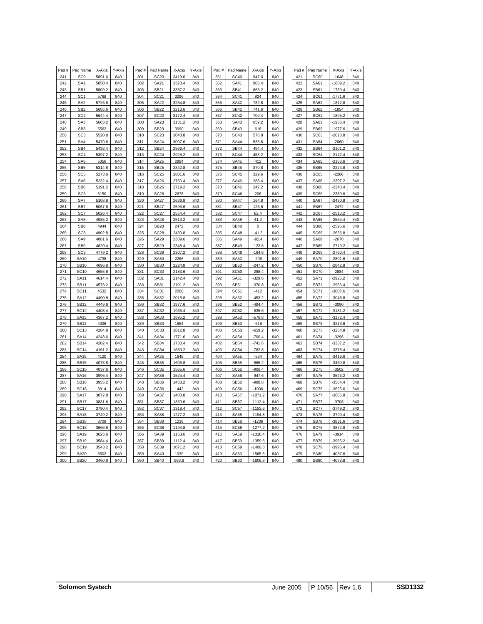| Pad # | Pad Name        | X-Axis | Y-Axis | Pad# | Pad Name         | X-Axis | Y-Axis | Pad # | Pad Name         | X-Axis    | Y-Axis | Pad # | Pad Name    | X-Axis    | Y-Axis |
|-------|-----------------|--------|--------|------|------------------|--------|--------|-------|------------------|-----------|--------|-------|-------------|-----------|--------|
| 241   | SC <sub>0</sub> | 5891.6 | 840    | 301  | <b>SC20</b>      | 3419.6 | 840    | 361   | <b>SC40</b>      | 947.6     | 840    | 421   | <b>SC60</b> | $-1648$   | 840    |
| 242   | SA <sub>1</sub> | 5850.4 | 840    | 302  | SA21             | 3378.4 | 840    | 362   | <b>SA41</b>      | 906.4     | 840    | 422   | <b>SA61</b> | $-1689.2$ | 840    |
| 243   | SB <sub>1</sub> | 5809.2 | 840    | 303  | SB21             | 3337.2 | 840    | 363   | <b>SB41</b>      | 865.2     | 840    | 423   | <b>SB61</b> | $-1730.4$ | 840    |
| 244   | SC <sub>1</sub> | 5768   | 840    | 304  | SC21             | 3296   | 840    | 364   | <b>SC41</b>      | 824       | 840    | 424   | SC61        | $-1771.6$ | 840    |
| 245   | SA <sub>2</sub> | 5726.8 | 840    | 305  | <b>SA22</b>      | 3254.8 | 840    | 365   | <b>SA42</b>      | 782.8     | 840    | 425   | <b>SA62</b> | $-1812.8$ | 840    |
| 246   | SB <sub>2</sub> | 5685.6 | 840    | 306  | <b>SB22</b>      | 3213.6 | 840    | 366   | <b>SB42</b>      | 741.6     | 840    | 426   | <b>SB62</b> | $-1854$   | 840    |
| 247   | SC <sub>2</sub> | 5644.4 | 840    | 307  | <b>SC22</b>      | 3172.4 | 840    | 367   | <b>SC42</b>      | 700.4     | 840    | 427   | SC62        | $-1895.2$ | 840    |
| 248   | SA <sub>3</sub> | 5603.2 | 840    | 308  | SA23             | 3131.2 | 840    | 368   | SA43             | 659.2     | 840    | 428   | SA63        | $-1936.4$ | 840    |
| 249   | SB <sub>3</sub> | 5562   | 840    | 309  | SB23             | 3090   | 840    | 369   | <b>SB43</b>      | 618       | 840    | 429   | SB63        | $-1977.6$ | 840    |
| 250   | SC <sub>3</sub> | 5520.8 | 840    | 310  | SC <sub>23</sub> | 3048.8 | 840    | 370   | <b>SC43</b>      | 576.8     | 840    | 430   | SC63        | $-2018.8$ | 840    |
| 251   | SA4             | 5479.6 | 840    | 311  | <b>SA24</b>      | 3007.6 | 840    | 371   | <b>SA44</b>      | 535.6     | 840    | 431   | <b>SA64</b> | $-2060$   | 840    |
| 252   | SB4             | 5438.4 | 840    | 312  | <b>SB24</b>      | 2966.4 | 840    | 372   | <b>SB44</b>      | 494.4     | 840    | 432   | <b>SB64</b> | $-2101.2$ | 840    |
| 253   | SC <sub>4</sub> | 5397.2 | 840    | 313  | <b>SC24</b>      | 2925.2 | 840    | 373   | <b>SC44</b>      | 453.2     | 840    | 433   | SC64        | $-2142.4$ | 840    |
| 254   | SA <sub>5</sub> | 5356   | 840    | 314  | <b>SA25</b>      | 2884   | 840    | 374   | <b>SA45</b>      | 412       | 840    | 434   | <b>SA65</b> | $-2183.6$ | 840    |
| 255   | SB <sub>5</sub> | 5314.8 | 840    | 315  | <b>SB25</b>      | 2842.8 | 840    | 375   | <b>SB45</b>      | 370.8     | 840    | 435   | <b>SB65</b> | $-2224.8$ | 840    |
| 256   | SC <sub>5</sub> | 5273.6 | 840    | 316  | <b>SC25</b>      | 2801.6 | 840    | 376   | <b>SC45</b>      | 329.6     | 840    | 436   | SC65        | $-2266$   | 840    |
| 257   | SA6             | 5232.4 | 840    | 317  | SA26             | 2760.4 | 840    | 377   | <b>SA46</b>      | 288.4     | 840    | 437   | <b>SA66</b> | $-2307.2$ | 840    |
| 258   | SB <sub>6</sub> | 5191.2 | 840    | 318  | <b>SB26</b>      | 2719.2 | 840    | 378   | <b>SB46</b>      | 247.2     | 840    | 438   | <b>SB66</b> | $-2348.4$ | 840    |
| 259   | SC <sub>6</sub> | 5150   | 840    | 319  | <b>SC26</b>      | 2678   | 840    | 379   | SC <sub>46</sub> | 206       | 840    | 439   | SC66        | $-2389.6$ | 840    |
| 260   | SA7             | 5108.8 | 840    | 320  | <b>SA27</b>      | 2636.8 | 840    | 380   | <b>SA47</b>      | 164.8     | 840    | 440   | <b>SA67</b> | $-2430.8$ | 840    |
| 261   | SB7             | 5067.6 | 840    | 321  | <b>SB27</b>      | 2595.6 | 840    | 381   | <b>SB47</b>      | 123.6     | 840    | 441   | <b>SB67</b> | $-2472$   | 840    |
| 262   | SC7             | 5026.4 | 840    | 322  | SC <sub>27</sub> | 2554.4 | 840    | 382   | <b>SC47</b>      | 82.4      | 840    | 442   | SC67        | $-2513.2$ | 840    |
| 263   | SA <sub>8</sub> | 4985.2 | 840    | 323  | <b>SA28</b>      | 2513.2 | 840    | 383   | <b>SA48</b>      | 41.2      | 840    | 443   | <b>SA68</b> | $-2554.4$ | 840    |
| 264   | SB <sub>8</sub> | 4944   | 840    | 324  | <b>SB28</b>      | 2472   | 840    | 384   | <b>SB48</b>      | $\pmb{0}$ | 840    | 444   | <b>SB68</b> | $-2595.6$ | 840    |
| 265   | SC <sub>8</sub> | 4902.8 | 840    | 325  | <b>SC28</b>      | 2430.8 | 840    | 385   | <b>SC48</b>      | $-41.2$   | 840    | 445   | SC68        | $-2636.8$ | 840    |
| 266   | SA9             | 4861.6 | 840    | 326  | <b>SA29</b>      | 2389.6 | 840    | 386   | <b>SA49</b>      | $-82.4$   | 840    | 446   | <b>SA69</b> | $-2678$   | 840    |
| 267   | SB <sub>9</sub> | 4820.4 | 840    | 327  | SB29             | 2348.4 | 840    | 387   | <b>SB49</b>      | $-123.6$  | 840    | 447   | <b>SB69</b> | $-2719.2$ | 840    |
| 268   | SC <sub>9</sub> | 4779.2 | 840    | 328  | <b>SC29</b>      | 2307.2 | 840    | 388   | <b>SC49</b>      | $-164.8$  | 840    | 448   | SC69        | $-2760.4$ | 840    |
| 269   | <b>SA10</b>     | 4738   | 840    | 329  | SA30             | 2266   | 840    | 389   | <b>SA50</b>      | $-206$    | 840    | 449   | <b>SA70</b> | $-2801.6$ | 840    |
| 270   | <b>SB10</b>     | 4696.8 | 840    | 330  | SB30             | 2224.8 | 840    | 390   | <b>SB50</b>      | $-247.2$  | 840    | 450   | <b>SB70</b> | $-2842.8$ | 840    |
| 271   | <b>SC10</b>     | 4655.6 | 840    | 331  | <b>SC30</b>      | 2183.6 | 840    | 391   | <b>SC50</b>      | $-288.4$  | 840    | 451   | <b>SC70</b> | $-2884$   | 840    |
| 272   | <b>SA11</b>     | 4614.4 | 840    | 332  | SA31             | 2142.4 | 840    | 392   | <b>SA51</b>      | $-329.6$  | 840    | 452   | <b>SA71</b> | $-2925.2$ | 840    |
| 273   | <b>SB11</b>     | 4573.2 | 840    | 333  | SB31             | 2101.2 | 840    | 393   | <b>SB51</b>      | $-370.8$  | 840    | 453   | <b>SB71</b> | $-2966.4$ | 840    |
| 274   | <b>SC11</b>     | 4532   | 840    | 334  | <b>SC31</b>      | 2060   | 840    | 394   | <b>SC51</b>      | $-412$    | 840    | 454   | <b>SC71</b> | $-3007.6$ | 840    |
| 275   | <b>SA12</b>     | 4490.8 | 840    | 335  | SA32             | 2018.8 | 840    | 395   | <b>SA52</b>      | $-453.2$  | 840    | 455   | <b>SA72</b> | $-3048.8$ | 840    |
| 276   | <b>SB12</b>     | 4449.6 | 840    | 336  | SB32             | 1977.6 | 840    | 396   | <b>SB52</b>      | $-494.4$  | 840    | 456   | <b>SB72</b> | $-3090$   | 840    |
| 277   | <b>SC12</b>     | 4408.4 | 840    | 337  | <b>SC32</b>      | 1936.4 | 840    | 397   | <b>SC52</b>      | $-535.6$  | 840    | 457   | <b>SC72</b> | -3131.2   | 840    |
| 278   | SA13            | 4367.2 | 840    | 338  | SA33             | 1895.2 | 840    | 398   | <b>SA53</b>      | $-576.8$  | 840    | 458   | <b>SA73</b> | $-3172.4$ | 840    |
| 279   | <b>SB13</b>     | 4326   | 840    | 339  | <b>SB33</b>      | 1854   | 840    | 399   | <b>SB53</b>      | $-618$    | 840    | 459   | <b>SB73</b> | $-3213.6$ | 840    |
| 280   | <b>SC13</b>     | 4284.8 | 840    | 340  | <b>SC33</b>      | 1812.8 | 840    | 400   | SC <sub>53</sub> | $-659.2$  | 840    | 460   | <b>SC73</b> | $-3254.8$ | 840    |
| 281   | <b>SA14</b>     | 4243.6 | 840    | 341  | SA34             | 1771.6 | 840    | 401   | <b>SA54</b>      | $-700.4$  | 840    | 461   | <b>SA74</b> | $-3296$   | 840    |
| 282   | <b>SB14</b>     | 4202.4 | 840    | 342  | SB34             | 1730.4 | 840    | 402   | <b>SB54</b>      | $-741.6$  | 840    | 462   | <b>SB74</b> | 3337.2    | 840    |
| 283   | <b>SC14</b>     | 4161.2 | 840    | 343  | <b>SC34</b>      | 1689.2 | 840    | 403   | <b>SC54</b>      | $-782.8$  | 840    | 463   | <b>SC74</b> | $-3378.4$ | 840    |
| 284   | SA15            | 4120   | 840    | 344  | SA35             | 1648   | 840    | 404   | <b>SA55</b>      | $-824$    | 840    | 464   | <b>SA75</b> | -3419.6   | 840    |
| 285   | <b>SB15</b>     | 4078.8 | 840    | 345  | SB35             | 1606.8 | 840    | 405   | <b>SB55</b>      | $-865.2$  | 840    | 465   | <b>SB75</b> | 3460.8    | 840    |
| 286   | <b>SC15</b>     | 4037.6 | 840    | 346  | SC <sub>35</sub> | 1565.6 | 840    | 406   | SC <sub>55</sub> | $-906.4$  | 840    | 466   | <b>SC75</b> | $-3502$   | 840    |
| 287   | <b>SA16</b>     | 3996.4 | 840    | 347  | <b>SA36</b>      | 1524.4 | 840    | 407   | <b>SA56</b>      | $-947.6$  | 840    | 467   | <b>SA76</b> | 3543.2    | 840    |
| 288   | <b>SB16</b>     | 3955.2 | 840    | 348  | SB36             | 1483.2 | 840    | 408   | <b>SB56</b>      | $-988.8$  | 840    | 468   | <b>SB76</b> | -3584.4   | 840    |
| 289   | <b>SC16</b>     | 3914   | 840    | 349  | SC <sub>36</sub> | 1442   | 840    | 409   | <b>SC56</b>      | $-1030$   | 840    | 469   | <b>SC76</b> | $-3625.6$ | 840    |
| 290   | <b>SA17</b>     | 3872.8 | 840    | 350  | SA37             | 1400.8 | 840    | 410   | <b>SA57</b>      | $-1071.2$ | 840    | 470   | <b>SA77</b> | 3666.8    | 840    |
| 291   | <b>SB17</b>     | 3831.6 | 840    | 351  | SB37             | 1359.6 | 840    | 411   | <b>SB57</b>      | $-1112.4$ | 840    | 471   | <b>SB77</b> | -3708     | 840    |
| 292   | <b>SC17</b>     | 3790.4 | 840    | 352  | SC37             | 1318.4 | 840    | 412   | SC <sub>57</sub> | $-1153.6$ | 840    | 472   | <b>SC77</b> | 3749.2    | 840    |
| 293   | <b>SA18</b>     | 3749.2 | 840    | 353  | SA38             | 1277.2 | 840    | 413   | <b>SA58</b>      | -1194.8   | 840    | 473   | <b>SA78</b> | $-3790.4$ | 840    |
| 294   | <b>SB18</b>     | 3708   | 840    | 354  | <b>SB38</b>      | 1236   | 840    | 414   | <b>SB58</b>      | $-1236$   | 840    | 474   | <b>SB78</b> | 3831.6    | 840    |
| 295   | <b>SC18</b>     | 3666.8 | 840    | 355  | SC38             | 1194.8 | 840    | 415   | <b>SC58</b>      | $-1277.2$ | 840    | 475   | <b>SC78</b> | 3872.8    | 840    |
| 296   | <b>SA19</b>     | 3625.6 | 840    | 356  | SA39             | 1153.6 | 840    | 416   | <b>SA59</b>      | $-1318.4$ | 840    | 476   | <b>SA79</b> | $-3914$   | 840    |
| 297   | <b>SB19</b>     | 3584.4 | 840    | 357  | SB39             | 1112.4 | 840    | 417   | <b>SB59</b>      | 1359.6    | 840    | 477   | <b>SB79</b> | 3955.2    | 840    |
| 298   | <b>SC19</b>     | 3543.2 | 840    | 358  | SC39             | 1071.2 | 840    | 418   | <b>SC59</b>      | $-1400.8$ | 840    | 478   | <b>SC79</b> | 3996.4    | 840    |
| 299   | <b>SA20</b>     | 3502   | 840    | 359  | <b>SA40</b>      | 1030   | 840    | 419   | <b>SA60</b>      | $-1565.6$ | 840    | 479   | <b>SA80</b> | 4037.6    | 840    |
| 300   | SB20            | 3460.8 | 840    | 360  | <b>SB40</b>      | 988.8  | 840    | 420   | SB60             | $-1606.8$ | 840    | 480   | <b>SB80</b> | $-4078.8$ | 840    |
|       |                 |        |        |      |                  |        |        |       |                  |           |        |       |             |           |        |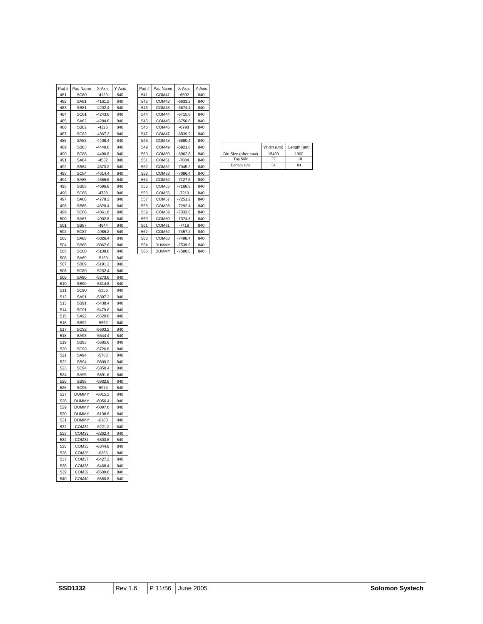| Pad # | Pad Name            | X-Axis               | Y-Axis | Pad# | Pad Name          | X-Axis                      | Y-Axis |
|-------|---------------------|----------------------|--------|------|-------------------|-----------------------------|--------|
| 481   | <b>SC80</b>         | $-4120$              | 840    | 541  | COM41             | $-6592$                     | 840    |
| 482   | SA81                | 4161.2               | 840    | 542  | COM42             | -6633.2                     | 840    |
| 483   | SB81                | -4202.4              | 840    | 543  | COM43             | -6674.4                     | 840    |
| 484   | SC81                | -4243.6              | 840    | 544  | COM44             | -6715.6                     | 840    |
| 485   | SA82                | -4284.8              | 840    | 545  | COM45             | $-6756.8$                   | 840    |
| 486   | SB82                | $-4326$              | 840    | 546  | COM46             | $-6798$                     | 840    |
| 487   | SC82                | $-4367.2$            | 840    | 547  | COM47             | $-6839.2$                   | 840    |
| 488   | SA83                | $-4408.4$            | 840    | 548  | COM48             | $-6880.4$                   | 840    |
| 489   | <b>SB83</b>         | -4449.6              | 840    | 549  | COM49             | $-6921.6$                   | 840    |
| 490   | SC83                | $-4490.8$            | 840    | 550  | COM50             | $-6962.8$                   | 840    |
| 491   | SA84                | $-4532$              | 840    | 551  | COM51             | $-7004$                     | 840    |
| 492   | <b>SB84</b>         | $-4573.2$            | 840    | 552  | COM52             | $-7045.2$                   | 840    |
| 493   | SC84                | 4614.4               | 840    | 553  | COM53             | $-7086.4$                   | 840    |
| 494   | SA85                | $-4655.6$            | 840    | 554  | COM54             | $-7127.6$                   | 840    |
| 495   | <b>SB85</b>         | -4696.8              | 840    | 555  | COM55             | $-7168.8$                   | 840    |
| 496   | <u>SC85</u>         | -4738                | 840    | 556  | <b>COM56</b>      | $-7210$                     | 840    |
| 497   | <b>SA86</b>         | $-4779.2$            | 840    | 557  | COM <sub>57</sub> | $-7251.2$                   | 840    |
| 498   | <b>SB86</b>         | $-4820.4$            | 840    | 558  | COM58             | $-7292.4$                   | 840    |
| 499   | <b>SC86</b>         | $-4861.6$            | 840    | 559  | <b>COM59</b>      | $-7333.6$                   | 840    |
| 500   | <b>SA87</b>         | $-4902.8$            | 840    | 560  | COM60             | $-7374.8$                   | 840    |
| 501   | <b>SB87</b>         | $-4944$              | 840    | 561  | COM61             | $-7416$                     | 840    |
| 502   | SC87                | -4985.2              | 840    | 562  | COM62             | $-7457.2$                   | 840    |
| 503   | <b>SA88</b>         | $-5026.4$            | 840    | 563  | COM63             | $-7498.4$                   | 840    |
| 504   |                     |                      | 840    | 564  | DUMMY             |                             | 840    |
| 505   | SB88<br><b>SC88</b> | -5067.6<br>$-5108.8$ | 840    | 565  | <b>DUMMY</b>      | <u>-7539.6</u><br>$-7580.8$ | 840    |
|       | SA89                | $-5150$              | 840    |      |                   |                             |        |
| 506   |                     |                      |        |      |                   |                             |        |
| 507   | <b>SB89</b>         | $-5191.2$            | 840    |      |                   |                             |        |
| 508   | SC89                | $-5232.4$            | 840    |      |                   |                             |        |
| 509   | <b>SA90</b>         | $-5273.6$            | 840    |      |                   |                             |        |
| 510   | SB90                | $-5314.8$            | 840    |      |                   |                             |        |
| 511   | SC90                | $-5356$              | 840    |      |                   |                             |        |
| 512   | SA91                | -5397.2              | 840    |      |                   |                             |        |
| 513   | SB91                | $-5438.4$            | 840    |      |                   |                             |        |
| 514   | SC91                | -5479.6              | 840    |      |                   |                             |        |
| 515   | SA92                | $-5520.8$            | 840    |      |                   |                             |        |
| 516   | SB92                | $-5562$              | 840    |      |                   |                             |        |
| 517   | <b>SC92</b>         | $-5603.2$            | 840    |      |                   |                             |        |
| 518   | SA93                | -5644.4              | 840    |      |                   |                             |        |
| 519   | SB93                | $-5685.6$            | 840    |      |                   |                             |        |
| 520   | SC <sub>93</sub>    | -5726.8              | 840    |      |                   |                             |        |
| 521   | SA94                | $-5768$              | 840    |      |                   |                             |        |
| 522   | SB94                | -5809.2              | 840    |      |                   |                             |        |
| 523   | <b>SC94</b>         | $-5850.4$            | 840    |      |                   |                             |        |
| 524   | <b>SA95</b>         | -5891.6              | 840    |      |                   |                             |        |
| 525   | <b>SB95</b>         | $-5932.8$            | 840    |      |                   |                             |        |
| 526   | SC95                | $-5974$              | 840    |      |                   |                             |        |
| 527   | <b>DUMMY</b>        | <u>-6015.2</u>       | 840    |      |                   |                             |        |
| 528   | <b>DUMMY</b>        | $-6056.4$            | 840    |      |                   |                             |        |
| 529   | <b>DUMMY</b>        | $-6097.6$            | 840    |      |                   |                             |        |
| 530   | DUMMY               | -6138.8              | 840    |      |                   |                             |        |
| 531   | <b>DUMMY</b>        | $-6180$              | 840    |      |                   |                             |        |
| 532   | COM32               | 6221.2               | 840    |      |                   |                             |        |
| 533   | COM33               | $-6262.4$            | 840    |      |                   |                             |        |
| 534   | COM34               | $-6303.6$            | 840    |      |                   |                             |        |
| 535   | COM35               | $-6344.8$            | 840    |      |                   |                             |        |
| 536   | COM36               | $-6386$              | 840    |      |                   |                             |        |
| 537   | COM37               | $-6427.2$            | 840    |      |                   |                             |        |
| 538   | COM38               | -6468.4              | 840    |      |                   |                             |        |
| 539   | COM39               | -6509.6              | 840    |      |                   |                             |        |
| 540   | COM40               | $-6550.8$            | 840    |      |                   |                             |        |
|       |                     |                      |        |      |                   |                             |        |

| Pad # | Pad Name          | X-Axis    | Y-Axis |
|-------|-------------------|-----------|--------|
| 541   | COM41             | $-6592$   | 840    |
| 542   | COM <sub>42</sub> | $-6633.2$ | 840    |
| 543   | COM43             | $-6674.4$ | 840    |
| 544   | COM44             | $-6715.6$ | 840    |
| 545   | COM45             | $-6756.8$ | 840    |
| 546   | COM46             | -6798     | 840    |
| 547   | COM <sub>47</sub> | $-6839.2$ | 840    |
| 548   | COM48             | $-6880.4$ | 840    |
| 549   | COM49             | $-6921.6$ | 840    |
| 550   | COM50             | $-6962.8$ | 840    |
| 551   | COM <sub>51</sub> | $-7004$   | 840    |
| 552   | COM52             | $-7045.2$ | 840    |
| 553   | COM53             | $-7086.4$ | 840    |
| 554   | COM54             | $-7127.6$ | 840    |
| 555   | COM55             | $-7168.8$ | 840    |
| 556   | COM <sub>56</sub> | $-7210$   | 840    |
| 557   | COM <sub>57</sub> | $-7251.2$ | 840    |
| 558   | COM58             | $-7292.4$ | 840    |
| 559   | COM59             | -7333.6   | 840    |
| 560   | COM60             | -7374.8   | 840    |
| 561   | COM61             | $-7416$   | 840    |
| 562   | COM62             | $-7457.2$ | 840    |
| 563   | COM63             | $-7498.4$ | 840    |
| 564   | <b>DUMMY</b>      | $-7539.6$ | 840    |
| 565   | <b>DUMMY</b>      | $-7580.8$ | 840    |

| 488 | ఎAరు        | -4408.4   | 84U | 548 | COM48 | -6880.4   | 84V |                      |            |             |
|-----|-------------|-----------|-----|-----|-------|-----------|-----|----------------------|------------|-------------|
| 489 | <b>SB83</b> | $-4449.6$ | 840 | 549 | COM49 | $-6921.6$ | 840 |                      | Width (um) | Lenath (um) |
| 490 | <b>SC83</b> | $-4490.8$ | 840 | 550 | COM50 | $-6962.8$ | 840 | Die Size (after saw) | 15400      | 1900        |
| 491 | <b>SA84</b> | $-4532$   | 840 | 551 | COM51 | $-7004$   | 840 | Top Side             | 77         | 110         |
| 492 | <b>SB84</b> | $-4573.2$ | 840 | 552 | COM52 | $-7045.2$ | 840 | Bottom side          | 54         | 84          |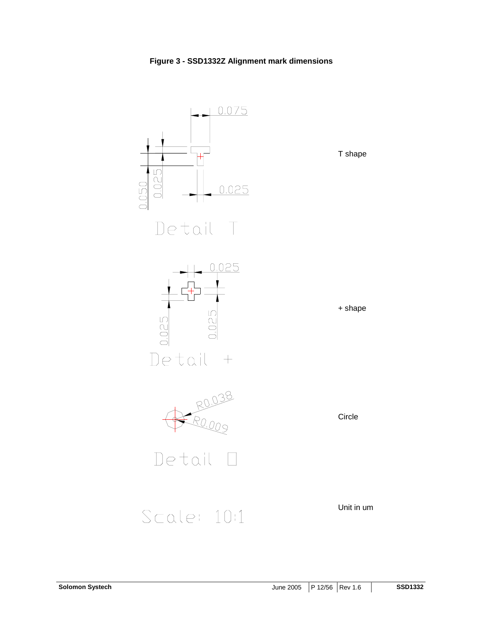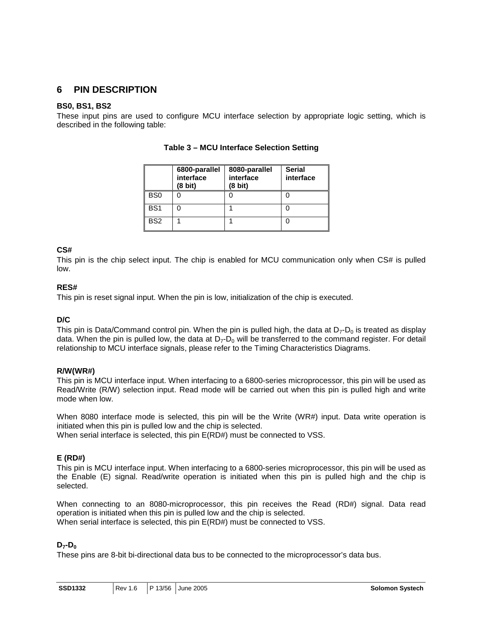### **6 PIN DESCRIPTION**

### **BS0, BS1, BS2**

These input pins are used to configure MCU interface selection by appropriate logic setting, which is described in the following table:

|                 | 6800-parallel<br>interface<br>(8 bit) | 8080-parallel<br>interface<br>(8 bit) | <b>Serial</b><br>interface |  |  |
|-----------------|---------------------------------------|---------------------------------------|----------------------------|--|--|
| BS <sub>0</sub> |                                       |                                       |                            |  |  |
| BS <sub>1</sub> |                                       |                                       |                            |  |  |
| BS <sub>2</sub> |                                       |                                       |                            |  |  |

### **Table 3 – MCU Interface Selection Setting**

### **CS#**

This pin is the chip select input. The chip is enabled for MCU communication only when CS# is pulled low.

### **RES#**

This pin is reset signal input. When the pin is low, initialization of the chip is executed.

#### **D/C**

This pin is Data/Command control pin. When the pin is pulled high, the data at  $D_7$ - $D_0$  is treated as display data. When the pin is pulled low, the data at  $D_7$ - $D_0$  will be transferred to the command register. For detail relationship to MCU interface signals, please refer to the Timing Characteristics Diagrams.

#### **R/W(WR#)**

This pin is MCU interface input. When interfacing to a 6800-series microprocessor, this pin will be used as Read/Write (R/W) selection input. Read mode will be carried out when this pin is pulled high and write mode when low.

When 8080 interface mode is selected, this pin will be the Write (WR#) input. Data write operation is initiated when this pin is pulled low and the chip is selected.

When serial interface is selected, this pin E(RD#) must be connected to VSS.

### **E (RD#)**

This pin is MCU interface input. When interfacing to a 6800-series microprocessor, this pin will be used as the Enable (E) signal. Read/write operation is initiated when this pin is pulled high and the chip is selected.

When connecting to an 8080-microprocessor, this pin receives the Read (RD#) signal. Data read operation is initiated when this pin is pulled low and the chip is selected. When serial interface is selected, this pin  $E(RD#)$  must be connected to VSS.

### **D<sub>7</sub>-D<sub>0</sub>**

These pins are 8-bit bi-directional data bus to be connected to the microprocessor's data bus.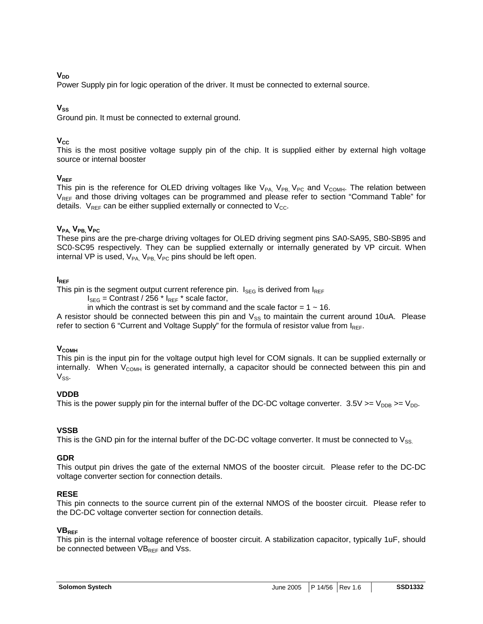### $V_{DD}$

Power Supply pin for logic operation of the driver. It must be connected to external source.

### $V_{SS}$

Ground pin. It must be connected to external ground.

### $V_{CC}$

This is the most positive voltage supply pin of the chip. It is supplied either by external high voltage source or internal booster

### **VREF**

This pin is the reference for OLED driving voltages like  $V_{PA}$ ,  $V_{PB}$ ,  $V_{PC}$  and  $V_{COMH}$ . The relation between VREF and those driving voltages can be programmed and please refer to section "Command Table" for details.  $V_{\text{REF}}$  can be either supplied externally or connected to  $V_{\text{CC}}$ .

### $V_{PA}$ ,  $V_{PB}$ ,  $V_{PC}$

These pins are the pre-charge driving voltages for OLED driving segment pins SA0-SA95, SB0-SB95 and SC0-SC95 respectively. They can be supplied externally or internally generated by VP circuit. When internal VP is used,  $V_{PA}$ ,  $V_{PB}$ ,  $V_{PC}$  pins should be left open.

### **IREF**

This pin is the segment output current reference pin.  $I_{\text{SEG}}$  is derived from  $I_{\text{REF}}$ 

 $I_{\text{SEG}}$  = Contrast / 256  $*$   $I_{\text{REF}}$   $*$  scale factor,

in which the contrast is set by command and the scale factor =  $1 \sim 16$ .

A resistor should be connected between this pin and  $V_{SS}$  to maintain the current around 10uA. Please refer to section 6 "Current and Voltage Supply" for the formula of resistor value from  $I_{REF}$ .

#### **V<sub>COMH</sub>**

This pin is the input pin for the voltage output high level for COM signals. It can be supplied externally or internally. When  $V_{COMH}$  is generated internally, a capacitor should be connected between this pin and  $V_{SS}$ .

### **VDDB**

This is the power supply pin for the internal buffer of the DC-DC voltage converter.  $3.5V = V_{\text{DDB}} = V_{\text{DD}}$ .

### **VSSB**

This is the GND pin for the internal buffer of the DC-DC voltage converter. It must be connected to  $V_{SS}$ 

#### **GDR**

This output pin drives the gate of the external NMOS of the booster circuit. Please refer to the DC-DC voltage converter section for connection details.

#### **RESE**

This pin connects to the source current pin of the external NMOS of the booster circuit. Please refer to the DC-DC voltage converter section for connection details.

#### **VBREF**

This pin is the internal voltage reference of booster circuit. A stabilization capacitor, typically 1uF, should be connected between  $VB_{REF}$  and Vss.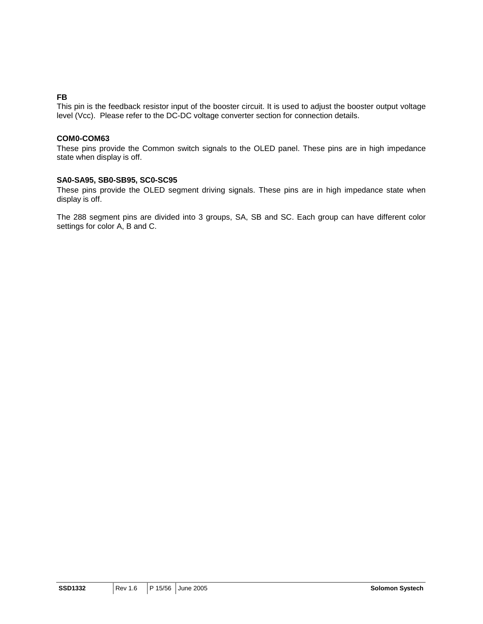### **FB**

This pin is the feedback resistor input of the booster circuit. It is used to adjust the booster output voltage level (Vcc). Please refer to the DC-DC voltage converter section for connection details.

### **COM0-COM63**

These pins provide the Common switch signals to the OLED panel. These pins are in high impedance state when display is off.

#### **SA0-SA95, SB0-SB95, SC0-SC95**

These pins provide the OLED segment driving signals. These pins are in high impedance state when display is off.

The 288 segment pins are divided into 3 groups, SA, SB and SC. Each group can have different color settings for color A, B and C.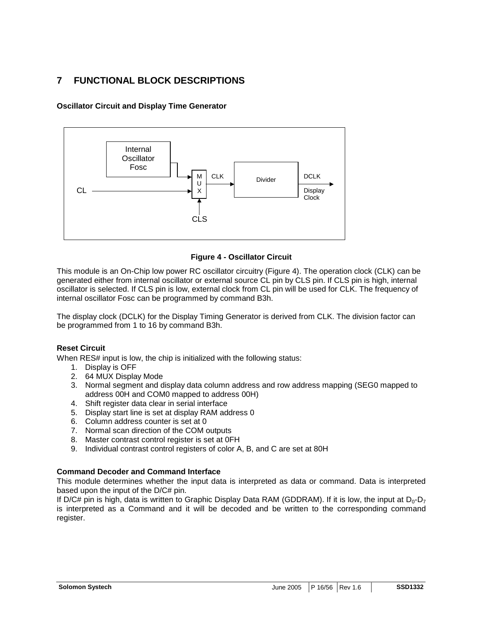### **7 FUNCTIONAL BLOCK DESCRIPTIONS**

**Oscillator Circuit and Display Time Generator** 



### **Figure 4 - Oscillator Circuit**

This module is an On-Chip low power RC oscillator circuitry (Figure 4). The operation clock (CLK) can be generated either from internal oscillator or external source CL pin by CLS pin. If CLS pin is high, internal oscillator is selected. If CLS pin is low, external clock from CL pin will be used for CLK. The frequency of internal oscillator Fosc can be programmed by command B3h.

The display clock (DCLK) for the Display Timing Generator is derived from CLK. The division factor can be programmed from 1 to 16 by command B3h.

### **Reset Circuit**

When RES# input is low, the chip is initialized with the following status:

- 1. Display is OFF
- 2. 64 MUX Display Mode
- 3. Normal segment and display data column address and row address mapping (SEG0 mapped to address 00H and COM0 mapped to address 00H)
- 4. Shift register data clear in serial interface
- 5. Display start line is set at display RAM address 0
- 6. Column address counter is set at 0
- 7. Normal scan direction of the COM outputs
- 8. Master contrast control register is set at 0FH
- 9. Individual contrast control registers of color A, B, and C are set at 80H

### **Command Decoder and Command Interface**

This module determines whether the input data is interpreted as data or command. Data is interpreted based upon the input of the D/C# pin.

If  $D/CH$  pin is high, data is written to Graphic Display Data RAM (GDDRAM). If it is low, the input at  $D_0$ - $D_7$ is interpreted as a Command and it will be decoded and be written to the corresponding command register.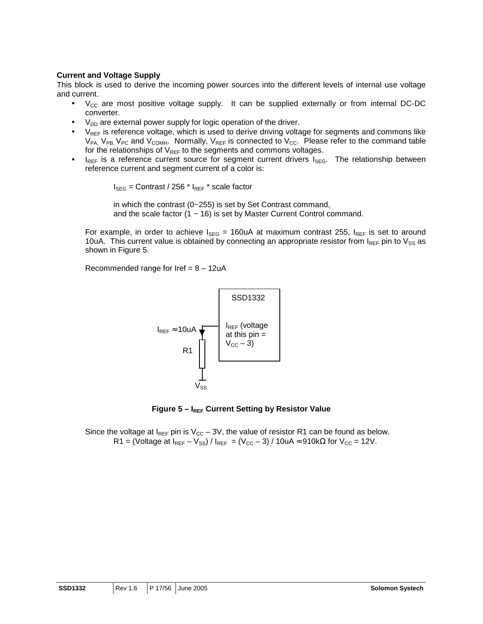### **Current and Voltage Supply**

This block is used to derive the incoming power sources into the different levels of internal use voltage and current.

- $V_{CC}$  are most positive voltage supply. It can be supplied externally or from internal DC-DC converter.
- $V_{DD}$  are external power supply for logic operation of the driver.
- $V_{REF}$  is reference voltage, which is used to derive driving voltage for segments and commons like  $V_{PA}$ ,  $V_{PB}$ ,  $V_{PC}$  and  $V_{COMH}$ . Normally,  $V_{REF}$  is connected to  $V_{CC}$ . Please refer to the command table for the relationships of  $V_{REF}$  to the segments and commons voltages.
- $I_{REF}$  is a reference current source for segment current drivers  $I_{SEG}$ . The relationship between reference current and segment current of a color is:

 $I_{\text{SEG}}$  = Contrast / 256  $*$   $I_{\text{REF}}$   $*$  scale factor

in which the contrast (0~255) is set by Set Contrast command, and the scale factor  $(1 - 16)$  is set by Master Current Control command.

For example, in order to achieve  $I_{\text{SEG}} = 160$ uA at maximum contrast 255,  $I_{\text{REF}}$  is set to around 10uA. This current value is obtained by connecting an appropriate resistor from  $I_{REF}$  pin to  $V_{SS}$  as shown in Figure 5.

Recommended range for Iref =  $8 - 12uA$ 



**Figure 5 – I<sub>REF</sub> Current Setting by Resistor Value** 

Since the voltage at  $I_{REF}$  pin is  $V_{CC}$  – 3V, the value of resistor R1 can be found as below. R1 = (Voltage at  $I_{REF} - V_{SS}$ ) /  $I_{REF} = (V_{CC} - 3)$  / 10uA ≈ 910kΩ for  $V_{CC} = 12V$ .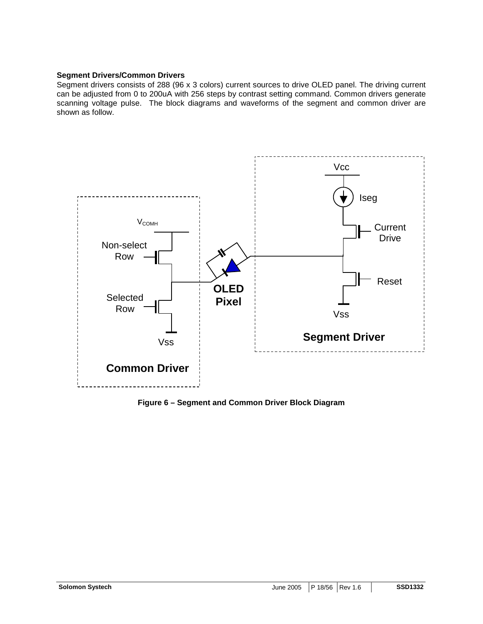### **Segment Drivers/Common Drivers**

Segment drivers consists of 288 (96 x 3 colors) current sources to drive OLED panel. The driving current can be adjusted from 0 to 200uA with 256 steps by contrast setting command. Common drivers generate scanning voltage pulse. The block diagrams and waveforms of the segment and common driver are shown as follow.



**Figure 6 – Segment and Common Driver Block Diagram**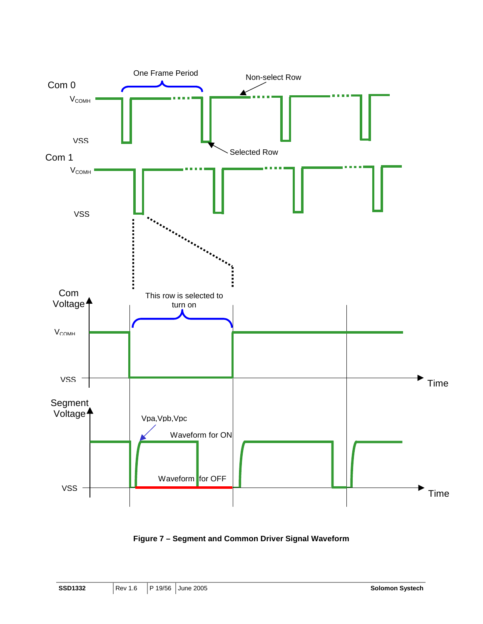

**Figure 7 – Segment and Common Driver Signal Waveform**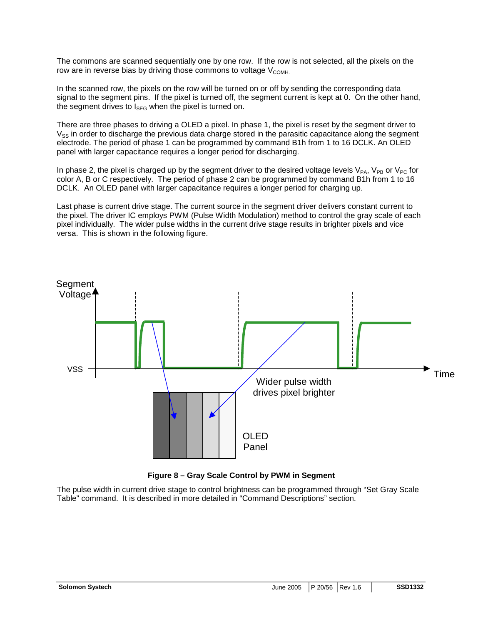The commons are scanned sequentially one by one row. If the row is not selected, all the pixels on the row are in reverse bias by driving those commons to voltage  $V_{\text{COMH}}$ 

In the scanned row, the pixels on the row will be turned on or off by sending the corresponding data signal to the segment pins. If the pixel is turned off, the segment current is kept at 0. On the other hand, the segment drives to  $I_{\text{SEG}}$  when the pixel is turned on.

There are three phases to driving a OLED a pixel. In phase 1, the pixel is reset by the segment driver to  $V_{SS}$  in order to discharge the previous data charge stored in the parasitic capacitance along the segment electrode. The period of phase 1 can be programmed by command B1h from 1 to 16 DCLK. An OLED panel with larger capacitance requires a longer period for discharging.

In phase 2, the pixel is charged up by the segment driver to the desired voltage levels  $V_{PA}$ ,  $V_{PB}$  or  $V_{PC}$  for color A, B or C respectively. The period of phase 2 can be programmed by command B1h from 1 to 16 DCLK. An OLED panel with larger capacitance requires a longer period for charging up.

Last phase is current drive stage. The current source in the segment driver delivers constant current to the pixel. The driver IC employs PWM (Pulse Width Modulation) method to control the gray scale of each pixel individually. The wider pulse widths in the current drive stage results in brighter pixels and vice versa. This is shown in the following figure.





The pulse width in current drive stage to control brightness can be programmed through "Set Gray Scale Table" command. It is described in more detailed in "Command Descriptions" section.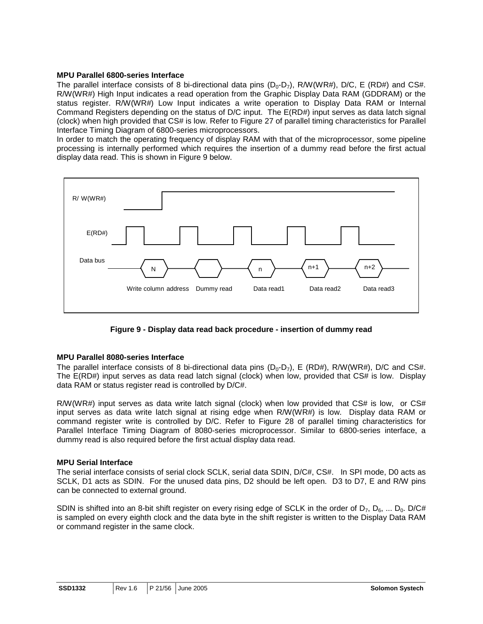### **MPU Parallel 6800-series Interface**

The parallel interface consists of 8 bi-directional data pins  $(D_0-D_7)$ , R/W(WR#), D/C, E (RD#) and CS#. R/W(WR#) High Input indicates a read operation from the Graphic Display Data RAM (GDDRAM) or the status register. R/W(WR#) Low Input indicates a write operation to Display Data RAM or Internal Command Registers depending on the status of D/C input. The E(RD#) input serves as data latch signal (clock) when high provided that CS# is low. Refer to Figure 27 of parallel timing characteristics for Parallel Interface Timing Diagram of 6800-series microprocessors.

In order to match the operating frequency of display RAM with that of the microprocessor, some pipeline processing is internally performed which requires the insertion of a dummy read before the first actual display data read. This is shown in Figure 9 below.



**Figure 9 - Display data read back procedure - insertion of dummy read** 

### **MPU Parallel 8080-series Interface**

The parallel interface consists of 8 bi-directional data pins  $(D_0-D_7)$ , E (RD#), R/W(WR#), D/C and CS#. The E(RD#) input serves as data read latch signal (clock) when low, provided that CS# is low. Display data RAM or status register read is controlled by D/C#.

R/W(WR#) input serves as data write latch signal (clock) when low provided that CS# is low, or CS# input serves as data write latch signal at rising edge when R/W(WR#) is low. Display data RAM or command register write is controlled by D/C. Refer to Figure 28 of parallel timing characteristics for Parallel Interface Timing Diagram of 8080-series microprocessor. Similar to 6800-series interface, a dummy read is also required before the first actual display data read.

#### **MPU Serial Interface**

The serial interface consists of serial clock SCLK, serial data SDIN, D/C#, CS#. In SPI mode, D0 acts as SCLK, D1 acts as SDIN. For the unused data pins, D2 should be left open. D3 to D7, E and R/W pins can be connected to external ground.

SDIN is shifted into an 8-bit shift register on every rising edge of SCLK in the order of  $D_7$ ,  $D_6$ , ...  $D_0$ . D/C# is sampled on every eighth clock and the data byte in the shift register is written to the Display Data RAM or command register in the same clock.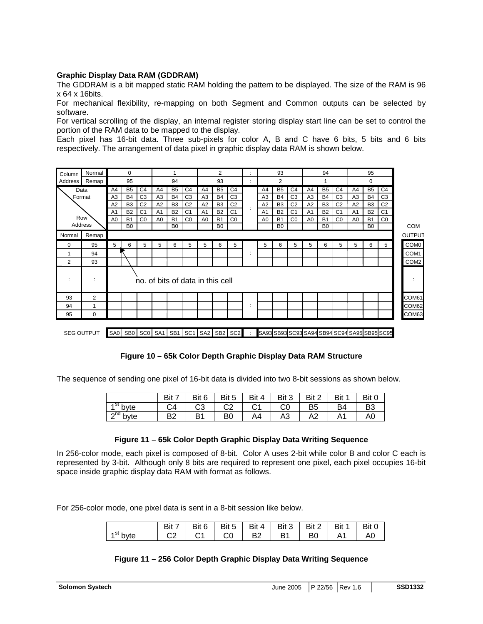### **Graphic Display Data RAM (GDDRAM)**

The GDDRAM is a bit mapped static RAM holding the pattern to be displayed. The size of the RAM is 96 x 64 x 16bits.

For mechanical flexibility, re-mapping on both Segment and Common outputs can be selected by software.

For vertical scrolling of the display, an internal register storing display start line can be set to control the portion of the RAM data to be mapped to the display.

Each pixel has 16-bit data. Three sub-pixels for color A, B and C have 6 bits, 5 bits and 6 bits respectively. The arrangement of data pixel in graphic display data RAM is shown below.





### **Figure 10 – 65k Color Depth Graphic Display Data RAM Structure**

The sequence of sending one pixel of 16-bit data is divided into two 8-bit sessions as shown below.

|            | Bit 7          | Bit 6 | Bit 5          | Bit 4 | Bit 3 | Bit 2          | Bit 1 | Bit 0          |
|------------|----------------|-------|----------------|-------|-------|----------------|-------|----------------|
| $4st$ byte | C4             | C3    | C <sub>2</sub> |       | CO    | B <sub>5</sub> | B4    | B <sub>3</sub> |
| $2nd$ byte | B <sub>2</sub> | B1    | B <sub>0</sub> | A4    | A3    | A2             |       | A0             |

### **Figure 11 – 65k Color Depth Graphic Display Data Writing Sequence**

In 256-color mode, each pixel is composed of 8-bit. Color A uses 2-bit while color B and color C each is represented by 3-bit. Although only 8 bits are required to represent one pixel, each pixel occupies 16-bit space inside graphic display data RAM with format as follows.

For 256-color mode, one pixel data is sent in a 8-bit session like below.

|             | Bit 7   | Bit 6 | Bit 5 | Rit 4          | Bit 3          | Bit 2 | Bit | Bit 0 |
|-------------|---------|-------|-------|----------------|----------------|-------|-----|-------|
| 451<br>byte | ົ<br>◡∠ | ⌒ィ    | UU    | B <sub>2</sub> | B <sub>1</sub> | B0    |     | AO    |

#### **Figure 11 – 256 Color Depth Graphic Display Data Writing Sequence**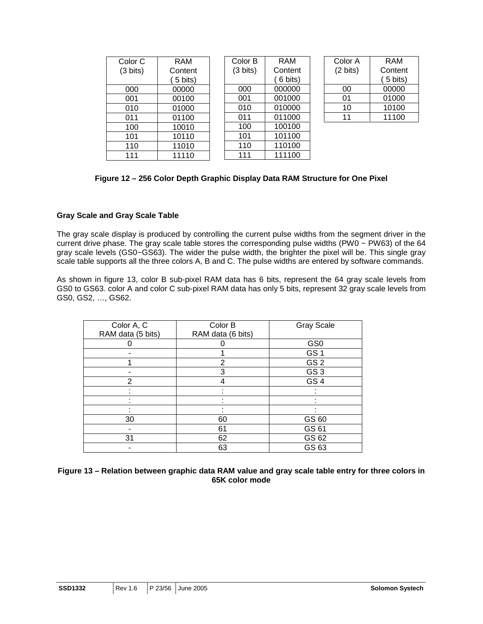| Color <sub>C</sub> | <b>RAM</b> | Color B            | <b>RAM</b> | Color A            | <b>RAM</b> |
|--------------------|------------|--------------------|------------|--------------------|------------|
| $(3 \text{ bits})$ | Content    | $(3 \text{ bits})$ | Content    | $(2 \text{ bits})$ | Content    |
|                    | 5 bits)    |                    | 6 bits)    |                    | 5 bits)    |
| 000                | 00000      | 000                | 000000     | 00                 | 00000      |
| 001                | 00100      | 001                | 001000     | 01                 | 01000      |
| 010                | 01000      | 010                | 010000     | 10                 | 10100      |
| 011                | 01100      | 011                | 011000     | 11                 | 11100      |
| 100                | 10010      | 100                | 100100     |                    |            |
| 101                | 10110      | 101                | 101100     |                    |            |
| 110                | 11010      | 110                | 110100     |                    |            |
| 111                | 11110      | 111                | 111100     |                    |            |

### **Figure 12 – 256 Color Depth Graphic Display Data RAM Structure for One Pixel**

### **Gray Scale and Gray Scale Table**

The gray scale display is produced by controlling the current pulse widths from the segment driver in the current drive phase. The gray scale table stores the corresponding pulse widths (PW0 ~ PW63) of the 64 gray scale levels (GS0~GS63). The wider the pulse width, the brighter the pixel will be. This single gray scale table supports all the three colors A, B and C. The pulse widths are entered by software commands.

As shown in figure 13, color B sub-pixel RAM data has 6 bits, represent the 64 gray scale levels from GS0 to GS63. color A and color C sub-pixel RAM data has only 5 bits, represent 32 gray scale levels from GS0, GS2, …, GS62.

| Color A, C<br>RAM data (5 bits) | Color B<br>RAM data (6 bits) | <b>Gray Scale</b> |
|---------------------------------|------------------------------|-------------------|
|                                 |                              |                   |
|                                 |                              | GS <sub>0</sub>   |
|                                 |                              | GS <sub>1</sub>   |
|                                 | $\overline{2}$               | GS <sub>2</sub>   |
|                                 | 3                            | GS <sub>3</sub>   |
| 2                               |                              | GS <sub>4</sub>   |
|                                 |                              |                   |
|                                 |                              |                   |
|                                 |                              |                   |
| 30                              | 60                           | GS 60             |
|                                 | 61                           | GS 61             |
| 31                              | 62                           | GS 62             |
|                                 | 63                           | GS 63             |

| Figure 13 – Relation between graphic data RAM value and gray scale table entry for three colors in |
|----------------------------------------------------------------------------------------------------|
| 65K color mode                                                                                     |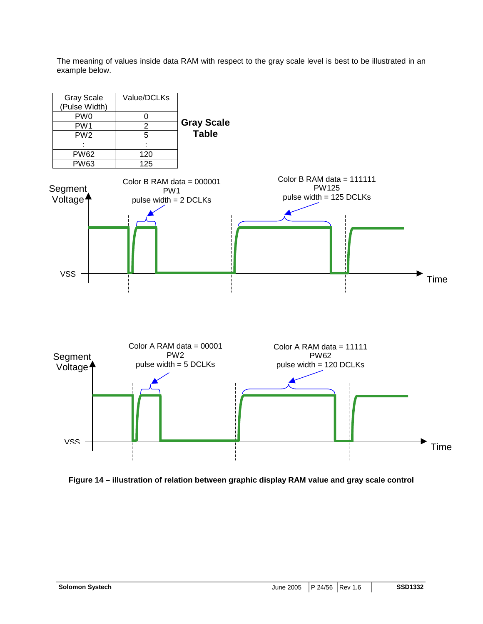The meaning of values inside data RAM with respect to the gray scale level is best to be illustrated in an example below.



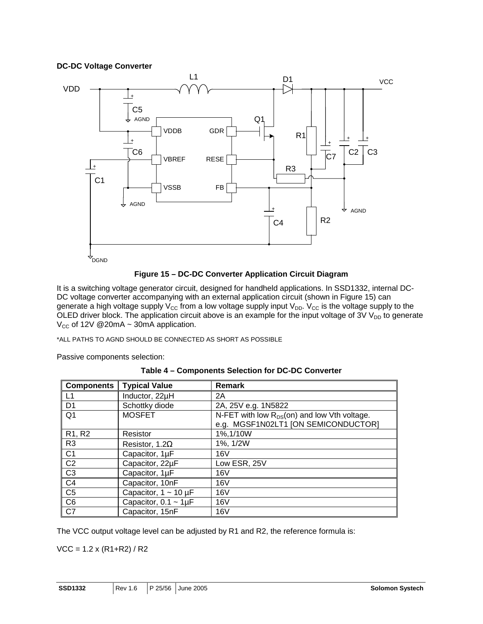### **DC-DC Voltage Converter**





It is a switching voltage generator circuit, designed for handheld applications. In SSD1332, internal DC-DC voltage converter accompanying with an external application circuit (shown in Figure 15) can generate a high voltage supply  $V_{CC}$  from a low voltage supply input  $V_{DD}$ .  $V_{CC}$  is the voltage supply to the OLED driver block. The application circuit above is an example for the input voltage of  $3VV_{DD}$  to generate  $V_{CC}$  of 12V @20mA ~ 30mA application.

\*ALL PATHS TO AGND SHOULD BE CONNECTED AS SHORT AS POSSIBLE

Passive components selection:

|  | Table 4 - Components Selection for DC-DC Converter |  |  |  |
|--|----------------------------------------------------|--|--|--|
|--|----------------------------------------------------|--|--|--|

| <b>Components</b>               | <b>Typical Value</b>          | <b>Remark</b>                                                                           |
|---------------------------------|-------------------------------|-----------------------------------------------------------------------------------------|
| L1                              | Inductor, 22µH                | 2A                                                                                      |
| D <sub>1</sub>                  | Schottky diode                | 2A, 25V e.g. 1N5822                                                                     |
| Q1                              | <b>MOSFET</b>                 | N-FET with low $R_{DS}(on)$ and low Vth voltage.<br>e.g. MGSF1N02LT1 [ON SEMICONDUCTOR] |
| R <sub>1</sub> , R <sub>2</sub> | Resistor                      | 1%, 1/10W                                                                               |
| R <sub>3</sub>                  | Resistor, 1.2 $\Omega$        | 1%, 1/2W                                                                                |
| C <sub>1</sub>                  | Capacitor, 1µF                | 16V                                                                                     |
| C <sub>2</sub>                  | Capacitor, 22µF               | Low ESR, 25V                                                                            |
| C <sub>3</sub>                  | Capacitor, 1µF                | 16V                                                                                     |
| C <sub>4</sub>                  | Capacitor, 10nF               | 16V                                                                                     |
| C <sub>5</sub>                  | Capacitor, $1 \sim 10 \mu F$  | 16V                                                                                     |
| C <sub>6</sub>                  | Capacitor, $0.1 \sim 1 \mu F$ | 16V                                                                                     |
| C7                              | Capacitor, 15nF               | 16V                                                                                     |

The VCC output voltage level can be adjusted by R1 and R2, the reference formula is:

 $VCC = 1.2 \times (R1 + R2) / R2$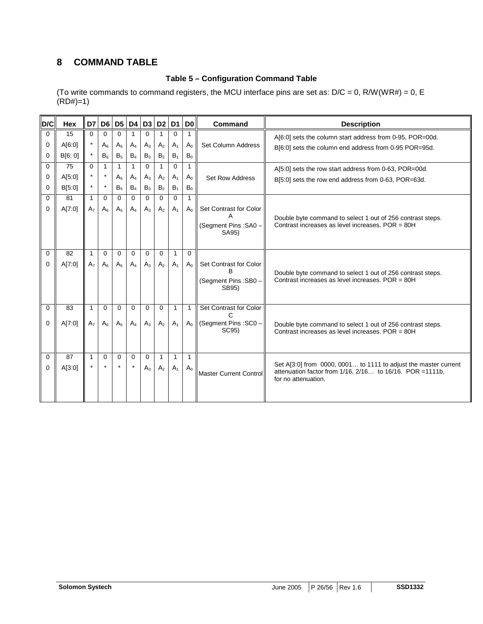### **8 COMMAND TABLE**

### **Table 5 – Configuration Command Table**

(To write commands to command registers, the MCU interface pins are set as:  $D/C = 0$ , R/W(WR#) = 0, E  $(RD#)=1)$ 

| D/C      | <b>Hex</b> | D7             | D <sub>6</sub> |                |              |          | D5   D4   D3   D2   D1 |                | D <sub>0</sub> | Command                       | <b>Description</b>                                                                                                           |
|----------|------------|----------------|----------------|----------------|--------------|----------|------------------------|----------------|----------------|-------------------------------|------------------------------------------------------------------------------------------------------------------------------|
| $\Omega$ | 15         | $\Omega$       | $\Omega$       | 0              |              | $\Omega$ |                        | 0              |                |                               | A[6:0] sets the column start address from 0-95, POR=00d.                                                                     |
| $\Omega$ | A[6:0]     |                | $A_{\kappa}$   | A <sub>5</sub> | $A_4$        | $A_3$    | A <sub>2</sub>         | A <sub>1</sub> | $A_0$          | Set Column Address            | B[6:0] sets the column end address from 0-95 POR=95d.                                                                        |
| $\Omega$ | B[6:0]     |                | B <sub>6</sub> | $B_5$          | $B_4$        | $B_3$    | B <sub>2</sub>         | B <sub>1</sub> | $B_0$          |                               |                                                                                                                              |
| $\Omega$ | 75         | $\Omega$       | $\mathbf{1}$   | 1              | 1            | $\Omega$ | $\mathbf{1}$           | $\Omega$       | $\mathbf{1}$   |                               | A[5:0] sets the row start address from 0-63, POR=00d.                                                                        |
| $\Omega$ | A[5:0]     |                | $\star$        | A <sub>5</sub> | $A_4$        | $A_3$    | A <sub>2</sub>         | A <sub>1</sub> | $A_0$          | <b>Set Row Address</b>        | B[5:0] sets the row end address from 0-63, POR=63d.                                                                          |
| $\Omega$ | B[5:0]     |                | $\star$        | $B_5$          | $B_4$        | $B_3$    | $\mathsf{B}_2$         | B <sub>1</sub> | $B_0$          |                               |                                                                                                                              |
| $\Omega$ | 81         | $\mathbf{1}$   | $\Omega$       | $\Omega$       | $\Omega$     | $\Omega$ | $\Omega$               | $\Omega$       | 1              |                               |                                                                                                                              |
| $\Omega$ | A[7:0]     | A <sub>7</sub> | A <sub>6</sub> | A <sub>5</sub> | $A_4$        | $A_3$    | A <sub>2</sub>         | A <sub>1</sub> | $A_0$          | Set Contrast for Color        |                                                                                                                              |
|          |            |                |                |                |              |          |                        |                |                |                               | Double byte command to select 1 out of 256 contrast steps.<br>Contrast increases as level increases. POR = 80H               |
|          |            |                |                |                |              |          |                        |                |                | (Segment Pins: SA0 -<br>SA95) |                                                                                                                              |
|          |            |                |                |                |              |          |                        |                |                |                               |                                                                                                                              |
| $\Omega$ | 82         |                | $\Omega$       | $\Omega$       | $\Omega$     | $\Omega$ | $\Omega$               | $\mathbf{1}$   | $\Omega$       |                               |                                                                                                                              |
| $\Omega$ | A[7:0]     | A <sub>7</sub> | $A_6$          | A <sub>5</sub> | $A_4$        | $A_3$    | A <sub>2</sub>         | A <sub>1</sub> | $A_0$          | Set Contrast for Color        |                                                                                                                              |
|          |            |                |                |                |              |          |                        |                |                |                               | Double byte command to select 1 out of 256 contrast steps.                                                                   |
|          |            |                |                |                |              |          |                        |                |                | (Segment Pins: SB0 -<br>SB95) | Contrast increases as level increases. POR = 80H                                                                             |
|          |            |                |                |                |              |          |                        |                |                |                               |                                                                                                                              |
| $\Omega$ | 83         |                | $\Omega$       | $\Omega$       | $\Omega$     | $\Omega$ | $\Omega$               | $\mathbf{1}$   | 1              | Set Contrast for Color        |                                                                                                                              |
|          |            |                |                |                |              |          |                        |                |                |                               |                                                                                                                              |
| $\Omega$ | A[7:0]     | A <sub>7</sub> | $A_{\kappa}$   | A <sub>5</sub> | $A_4$        | $A_3$    | A <sub>2</sub>         | A <sub>1</sub> | $A_0$          | (Segment Pins: SC0 -<br>SC95) | Double byte command to select 1 out of 256 contrast steps.                                                                   |
|          |            |                |                |                |              |          |                        |                |                |                               | Contrast increases as level increases. POR = 80H                                                                             |
|          |            |                |                |                |              |          |                        |                |                |                               |                                                                                                                              |
| $\Omega$ | 87         | $\mathbf{1}$   | $\Omega$       | $\Omega$       | $\mathbf{0}$ | $\Omega$ | $\mathbf{1}$           | $\mathbf{1}$   | $\mathbf{1}$   |                               |                                                                                                                              |
| $\Omega$ | A[3:0]     |                | $\star$        |                | $\star$      | $A_3$    | A <sub>2</sub>         | A <sub>1</sub> | $A_0$          |                               | Set A[3:0] from 0000, 0001 to 1111 to adjust the master current<br>attenuation factor from 1/16, 2/16 to 16/16. POR = 1111b, |
|          |            |                |                |                |              |          |                        |                |                | Master Current Control        | for no attenuation.                                                                                                          |
|          |            |                |                |                |              |          |                        |                |                |                               |                                                                                                                              |
|          |            |                |                |                |              |          |                        |                |                |                               |                                                                                                                              |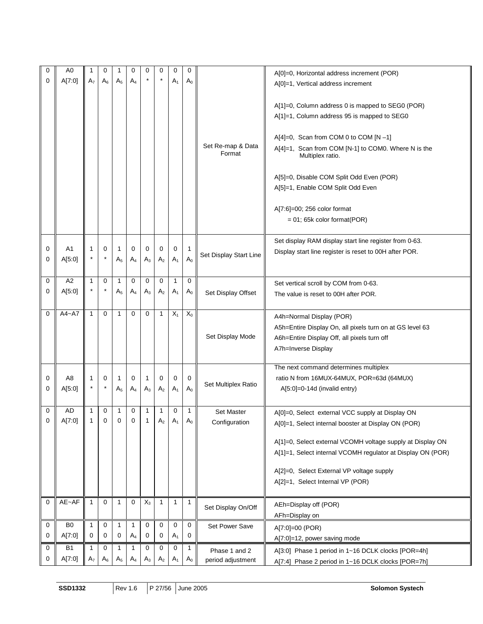| 0           | A <sub>0</sub> |                | 0        |                | 0           | 0     | $\mathbf 0$    | 0              | 0              |                             |                                                             |
|-------------|----------------|----------------|----------|----------------|-------------|-------|----------------|----------------|----------------|-----------------------------|-------------------------------------------------------------|
|             |                |                |          |                |             |       | $\ast$         |                |                |                             | A[0]=0, Horizontal address increment (POR)                  |
| $\mathbf 0$ | A[7:0]         | A <sub>7</sub> | $A_6$    | $A_5$          | $A_4$       |       |                | A <sub>1</sub> | $A_0$          |                             | A[0]=1, Vertical address increment                          |
|             |                |                |          |                |             |       |                |                |                |                             |                                                             |
|             |                |                |          |                |             |       |                |                |                |                             | A[1]=0, Column address 0 is mapped to SEG0 (POR)            |
|             |                |                |          |                |             |       |                |                |                |                             | A[1]=1, Column address 95 is mapped to SEG0                 |
|             |                |                |          |                |             |       |                |                |                |                             |                                                             |
|             |                |                |          |                |             |       |                |                |                |                             |                                                             |
|             |                |                |          |                |             |       |                |                |                |                             | $A[4]=0$ , Scan from COM 0 to COM [N -1]                    |
|             |                |                |          |                |             |       |                |                |                | Set Re-map & Data<br>Format | A[4]=1, Scan from COM [N-1] to COM0. Where N is the         |
|             |                |                |          |                |             |       |                |                |                |                             | Multiplex ratio.                                            |
|             |                |                |          |                |             |       |                |                |                |                             |                                                             |
|             |                |                |          |                |             |       |                |                |                |                             | A[5]=0, Disable COM Split Odd Even (POR)                    |
|             |                |                |          |                |             |       |                |                |                |                             | A[5]=1, Enable COM Split Odd Even                           |
|             |                |                |          |                |             |       |                |                |                |                             |                                                             |
|             |                |                |          |                |             |       |                |                |                |                             | A[7:6]=00; 256 color format                                 |
|             |                |                |          |                |             |       |                |                |                |                             | $= 01$ ; 65k color format(POR)                              |
|             |                |                |          |                |             |       |                |                |                |                             |                                                             |
|             |                |                |          |                |             |       |                |                |                |                             | Set display RAM display start line register from 0-63.      |
| 0           | A <sub>1</sub> | 1              | 0        | 1              | 0           | 0     | 0              | 0              | 1              |                             |                                                             |
| 0           | A[5:0]         |                |          | $A_5$          | $A_4$       | $A_3$ | $\mathsf{A}_2$ | A <sub>1</sub> | $A_0$          | Set Display Start Line      | Display start line register is reset to 00H after POR.      |
|             |                |                |          |                |             |       |                |                |                |                             |                                                             |
|             | A2             |                |          |                |             |       |                |                |                |                             |                                                             |
| 0           |                | 1              | 0        | 1              | 0           | 0     | 0              | 1              | 0              |                             | Set vertical scroll by COM from 0-63.                       |
| 0           | A[5:0]         |                |          | $A_5$          | $A_4$       | $A_3$ | A <sub>2</sub> | A <sub>1</sub> | $A_0$          | Set Display Offset          | The value is reset to 00H after POR.                        |
|             |                |                |          |                |             |       |                |                |                |                             |                                                             |
| $\mathbf 0$ | $A4 - A7$      | $\mathbf{1}$   | $\Omega$ | $\mathbf{1}$   | 0           | 0     | $\mathbf{1}$   | $X_1$          | $X_0$          |                             | A4h=Normal Display (POR)                                    |
|             |                |                |          |                |             |       |                |                |                |                             | A5h=Entire Display On, all pixels turn on at GS level 63    |
|             |                |                |          |                |             |       |                |                |                | Set Display Mode            |                                                             |
|             |                |                |          |                |             |       |                |                |                |                             | A6h=Entire Display Off, all pixels turn off                 |
|             |                |                |          |                |             |       |                |                |                |                             | A7h=Inverse Display                                         |
|             |                |                |          |                |             |       |                |                |                |                             |                                                             |
|             |                |                |          |                |             |       |                |                |                |                             | The next command determines multiplex                       |
| 0           | A8             |                | 0        | 1              | 0           | 1     | 0              | 0              | 0              | Set Multiplex Ratio         | ratio N from 16MUX-64MUX, POR=63d (64MUX)                   |
| 0           | A[5:0]         |                | $\star$  | A <sub>5</sub> | $A_4$       | $A_3$ | A <sub>2</sub> | A <sub>1</sub> | A <sub>0</sub> |                             | $A[5:0]=0-14d$ (invalid entry)                              |
|             |                |                |          |                |             |       |                |                |                |                             |                                                             |
| 0           | AD             | 1              | 0        | 1              | 0           | 1     | 1              | 0              | 1              | <b>Set Master</b>           | A[0]=0, Select external VCC supply at Display ON            |
| 0           | A[7:0]         | 1              | 0        | 0              | $\mathbf 0$ | 1     | $\mathsf{A}_2$ | $A_1$          | $A_0$          | Configuration               | A[0]=1, Select internal booster at Display ON (POR)         |
|             |                |                |          |                |             |       |                |                |                |                             |                                                             |
|             |                |                |          |                |             |       |                |                |                |                             | A[1]=0, Select external VCOMH voltage supply at Display ON  |
|             |                |                |          |                |             |       |                |                |                |                             | A[1]=1, Select internal VCOMH regulator at Display ON (POR) |
|             |                |                |          |                |             |       |                |                |                |                             |                                                             |
|             |                |                |          |                |             |       |                |                |                |                             | A[2]=0, Select External VP voltage supply                   |
|             |                |                |          |                |             |       |                |                |                |                             | A[2]=1, Select Internal VP (POR)                            |
|             |                |                |          |                |             |       |                |                |                |                             |                                                             |
| $\mathbf 0$ | AE~AP          | $\mathbf{1}$   | 0        | $\mathbf{1}$   | 0           | $X_3$ | $\mathbf{1}$   | $\mathbf{1}$   | $\mathbf{1}$   |                             |                                                             |
|             |                |                |          |                |             |       |                |                |                | Set Display On/Off          | AEh=Display off (POR)                                       |
|             |                |                |          |                |             |       |                |                |                |                             | AFh=Display on                                              |
| 0           | B <sub>0</sub> | 1              | 0        | 1              | 1           | 0     | 0              | 0              | 0              | Set Power Save              | A[7:0]=00 (POR)                                             |
| 0           | A[7:0]         | 0              | 0        | 0              | $A_4$       | 0     | 0              | $A_1$          | 0              |                             | A[7:0]=12, power saving mode                                |
| 0           | B1             | 1              | 0        | 1              | 1           | 0     | 0              | 0              | 1              | Phase 1 and 2               | A[3:0] Phase 1 period in 1~16 DCLK clocks [POR=4h]          |
| 0           | A[7:0]         | A <sub>7</sub> | $A_6$    | A <sub>5</sub> | $A_4$       | $A_3$ | A <sub>2</sub> | A <sub>1</sub> | $A_0$          | period adjustment           |                                                             |
|             |                |                |          |                |             |       |                |                |                |                             | A[7:4] Phase 2 period in 1~16 DCLK clocks [POR=7h]          |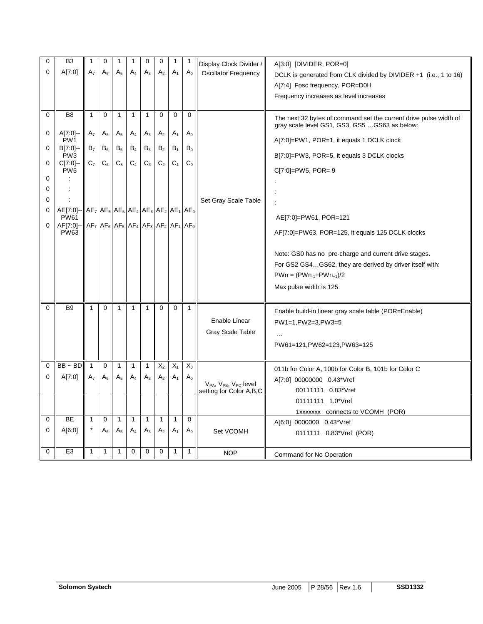| 0           | B <sub>3</sub>                                           | 1              | 0              |                | 1                                 | 0              | 0              | 1              | 1                                    | Display Clock Divider /                                         | A[3:0] [DIVIDER, POR=0]                                           |
|-------------|----------------------------------------------------------|----------------|----------------|----------------|-----------------------------------|----------------|----------------|----------------|--------------------------------------|-----------------------------------------------------------------|-------------------------------------------------------------------|
| 0           | A[7:0]                                                   | A <sub>7</sub> | $\mathsf A_6$  | $A_5$          | A4                                | $A_3$          | A <sub>2</sub> | A <sub>1</sub> | A <sub>0</sub>                       | <b>Oscillator Frequency</b>                                     | DCLK is generated from CLK divided by DIVIDER +1 (i.e., 1 to 16)  |
|             |                                                          |                |                |                |                                   |                |                |                |                                      |                                                                 | A[7:4] Fosc frequency, POR=D0H                                    |
|             |                                                          |                |                |                |                                   |                |                |                |                                      |                                                                 | Frequency increases as level increases                            |
|             |                                                          |                |                |                |                                   |                |                |                |                                      |                                                                 |                                                                   |
| $\mathbf 0$ | B <sub>8</sub>                                           | $\mathbf{1}$   | $\Omega$       | $\mathbf{1}$   | $\mathbf{1}$                      | $\mathbf{1}$   | $\mathbf 0$    | 0              | $\Omega$                             |                                                                 | The next 32 bytes of command set the current drive pulse width of |
| 0           | A[7:0]                                                   | A <sub>7</sub> | $A_6$          | A <sub>5</sub> | $A_4$                             |                | A <sub>2</sub> |                | $A_0$                                |                                                                 | gray scale level GS1, GS3, GS5  GS63 as below:                    |
|             | PW <sub>1</sub>                                          |                |                |                |                                   | $A_3$          |                | A <sub>1</sub> |                                      |                                                                 | A[7:0]=PW1, POR=1, it equals 1 DCLK clock                         |
| 0           | B[7:0]-<br>PW <sub>3</sub>                               | B <sub>7</sub> | $\mathsf B_6$  | $\mathsf B_5$  | $B_4$                             | $\mathsf{B}_3$ | B <sub>2</sub> | B <sub>1</sub> | $B_0$                                |                                                                 | B[7:0]=PW3, POR=5, it equals 3 DCLK clocks                        |
| 0           | C[7:0]-                                                  | $C_7$          | $\mathrm{C}_6$ | $\mathsf{C}_5$ | $\mathrm{C}_4$                    | $C_3$          | $\mathbf{C}_2$ | C <sub>1</sub> | $C_0$                                |                                                                 |                                                                   |
| 0           | PW <sub>5</sub>                                          |                |                |                |                                   |                |                |                |                                      |                                                                 | $C[7:0] = P W5$ , $POR = 9$                                       |
| 0           |                                                          |                |                |                |                                   |                |                |                |                                      |                                                                 |                                                                   |
| 0           |                                                          |                |                |                |                                   |                |                |                |                                      | Set Gray Scale Table                                            |                                                                   |
| 0           | $AE[7:0]$ -- $\ AE_7 AE_6 AE_5 AE_4 AE_3 AE_2 AE_1 AE_0$ |                |                |                |                                   |                |                |                |                                      |                                                                 |                                                                   |
|             | <b>PW61</b>                                              |                |                |                |                                   |                |                |                |                                      |                                                                 | AE[7:0]=PW61, POR=121                                             |
| 0           | AF[7:0]-<br><b>PW63</b>                                  |                |                |                | $AF7 AF6 AF5 AF4 AF3 AF2 AF1 AF0$ |                |                |                |                                      |                                                                 | AF[7:0]=PW63, POR=125, it equals 125 DCLK clocks                  |
|             |                                                          |                |                |                |                                   |                |                |                |                                      |                                                                 |                                                                   |
|             |                                                          |                |                |                |                                   |                |                |                |                                      |                                                                 | Note: GS0 has no pre-charge and current drive stages.             |
|             |                                                          |                |                |                |                                   |                |                |                |                                      |                                                                 | For GS2 GS4GS62, they are derived by driver itself with:          |
|             |                                                          |                |                |                |                                   |                |                |                |                                      |                                                                 | $PWn = (PWn_{-1}+PWn_{+1})/2$                                     |
|             |                                                          |                |                |                |                                   |                |                |                |                                      |                                                                 | Max pulse width is 125                                            |
|             |                                                          |                |                |                |                                   |                |                |                |                                      |                                                                 |                                                                   |
| $\mathbf 0$ | B <sub>9</sub>                                           | $\mathbf{1}$   | $\Omega$       | $\mathbf{1}$   | $\mathbf{1}$                      | $\mathbf{1}$   | $\Omega$       | 0              | $\mathbf{1}$                         |                                                                 | Enable build-in linear gray scale table (POR=Enable)              |
|             |                                                          |                |                |                |                                   |                |                |                |                                      | Enable Linear                                                   | PW1=1, PW2=3, PW3=5                                               |
|             |                                                          |                |                |                |                                   |                |                |                |                                      | <b>Gray Scale Table</b>                                         |                                                                   |
|             |                                                          |                |                |                |                                   |                |                |                |                                      |                                                                 | PW61=121, PW62=123, PW63=125                                      |
|             |                                                          |                |                |                |                                   |                |                |                |                                      |                                                                 |                                                                   |
| $\mathbf 0$ | $BB \sim BD$                                             | $\mathbf{1}$   | 0              | $\mathbf{1}$   | $\mathbf{1}$                      | 1              | $X_2$          | $X_1$          | $\mathsf{X}_{\scriptscriptstyle{0}}$ |                                                                 | 011b for Color A, 100b for Color B, 101b for Color C              |
| 0           | A[7:0]                                                   | A <sub>7</sub> | $A_6$          | $A_5$          | A <sub>4</sub>                    | $A_3$          | A <sub>2</sub> | A <sub>1</sub> | $\mathsf{A}_0$                       |                                                                 | A[7:0] 00000000 0.43*Vref                                         |
|             |                                                          |                |                |                |                                   |                |                |                |                                      | $V_{PA}$ , $V_{PB}$ , $V_{PC}$ level<br>setting for Color A,B,C | 00111111 0.83*Vref                                                |
|             |                                                          |                |                |                |                                   |                |                |                |                                      |                                                                 | 01111111 1.0*Vref                                                 |
|             |                                                          |                |                |                |                                   |                |                |                |                                      |                                                                 | 1xxxxxx connects to VCOMH (POR)                                   |
| 0           | BE                                                       | $\mathbf{1}$   | 0              | 1              | $\mathbf{1}$                      | $\mathbf{1}$   | $\mathbf{1}$   | $\mathbf{1}$   | $\mathbf 0$                          |                                                                 | A[6:0] 0000000 0.43*Vref                                          |
| 0           | A[6:0]                                                   |                | $A_6$          | $A_5$          | $A_4$                             | $A_3$          | A <sub>2</sub> | A <sub>1</sub> | $A_0$                                | Set VCOMH                                                       | 0111111 0.83*Vref (POR)                                           |
|             |                                                          |                |                |                |                                   |                |                |                |                                      |                                                                 |                                                                   |
| $\Omega$    | E <sub>3</sub>                                           | 1              | $\mathbf{1}$   | $\mathbf{1}$   | $\Omega$                          | $\Omega$       | $\Omega$       | 1              | 1                                    | <b>NOP</b>                                                      | Command for No Operation                                          |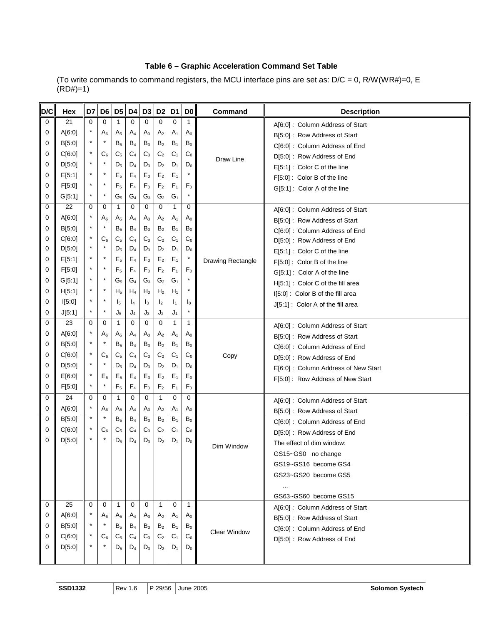### **Table 6 – Graphic Acceleration Command Set Table**

(To write commands to command registers, the MCU interface pins are set as: D/C = 0, R/W(WR#)=0, E  $(RD#)=1$ )

| D/C | Hex    | D7       | D6      |                | D5 D4          | D <sub>3</sub> | D <sub>2</sub> | D <sub>1</sub> | D <sub>0</sub> | <b>Command</b>      | <b>Description</b>                   |
|-----|--------|----------|---------|----------------|----------------|----------------|----------------|----------------|----------------|---------------------|--------------------------------------|
| 0   | 21     | $\Omega$ | 0       | 1              | $\Omega$       | 0              | $\Omega$       | 0              | 1              |                     | A[6:0]: Column Address of Start      |
| 0   | A[6:0] | $^\star$ | $A_6$   | A <sub>5</sub> | $A_4$          | $A_3$          | A <sub>2</sub> | A <sub>1</sub> | $A_0$          |                     | B[5:0]: Row Address of Start         |
| 0   | B[5:0] | *        |         | B <sub>5</sub> | $B_4$          | $B_3$          | $\mathsf{B}_2$ | B <sub>1</sub> | $\mathsf{B}_0$ |                     | C[6:0]: Column Address of End        |
| 0   | C[6:0] | $\star$  | $C_6$   | C <sub>5</sub> | $C_4$          | $C_3$          | $\mathbb{C}_2$ | C <sub>1</sub> | $C_0$          | Draw Line           | D[5:0]: Row Address of End           |
| 0   | D[5:0] | $^\star$ |         | $D_5$          | $D_4$          | $D_3$          | D <sub>2</sub> | $D_1$          | $D_0$          |                     | E[5:1] : Color C of the line         |
| 0   | E[5:1] | $^\star$ | $\star$ | $E_5$          | $E_4$          | $E_3$          | $\mathsf{E}_2$ | $E_1$          | $\star$        |                     | F[5:0] : Color B of the line         |
| 0   | F[5:0] | $^\star$ |         | F <sub>5</sub> | F <sub>4</sub> | $F_3$          | $\mathsf{F}_2$ | $F_1$          | F <sub>0</sub> |                     | G[5:1] : Color A of the line         |
| 0   | G[5:1] | *        | $\star$ | $G_5$          | $G_4$          | $G_3$          | $\mathbb{G}_2$ | $G_1$          | $^\star$       |                     |                                      |
| 0   | 22     | $\Omega$ | 0       | $\mathbf{1}$   | $\Omega$       | $\mathbf 0$    | 0              | 1              | 0              |                     | A[6:0]: Column Address of Start      |
| 0   | A[6:0] |          | $A_6$   | A <sub>5</sub> | $A_4$          | $A_3$          | A <sub>2</sub> | A <sub>1</sub> | $A_0$          |                     | B[5:0]: Row Address of Start         |
| 0   | B[5:0] | $^\star$ |         | B <sub>5</sub> | $B_4$          | $B_3$          | $\mathsf{B}_2$ | $B_1$          | $B_0$          |                     | C[6:0]: Column Address of End        |
| 0   | C[6:0] | $^\star$ | $C_6$   | C <sub>5</sub> | $C_4$          | $C_3$          | $\mathbf{C}_2$ | C <sub>1</sub> | $\mathsf{C}_0$ |                     | D[5:0]: Row Address of End           |
| 0   | D[5:0] | $\star$  |         | $D_5$          | $D_4$          | $D_3$          | D <sub>2</sub> | $D_1$          | $D_0$          |                     | E[5:1] : Color C of the line         |
| 0   | E[5:1] | $^\star$ | ÷       | E <sub>5</sub> | $E_4$          | $E_3$          | $\mathsf{E}_2$ | $E_1$          | $\star$        | Drawing Rectangle   | F[5:0]: Color B of the line          |
| 0   | F[5:0] | $^\star$ |         | $F_5$          | F <sub>4</sub> | F <sub>3</sub> | $\mathsf{F}_2$ | F <sub>1</sub> | F <sub>0</sub> |                     | G[5:1]: Color A of the line          |
| 0   | G[5:1] | $^\star$ |         | $G_5$          | $G_4$          | $G_3$          | $\mathbb{G}_2$ | $G_1$          | $\star$        |                     | H[5:1]: Color C of the fill area     |
| 0   | H[5:1] | $\star$  | $\star$ | $H_5$          | $H_4$          | $H_3$          | H <sub>2</sub> | $H_1$          | $\star$        |                     | I[5:0]: Color B of the fill area     |
| 0   | I[5:0] | $^\star$ | ÷       | $I_5$          | $I_4$          | $I_3$          | I <sub>2</sub> | $\mathbf{I}_1$ | $I_0$          |                     | J[5:1]: Color A of the fill area     |
| 0   | J[5:1] | $^\star$ |         | $J_5$          | J <sub>4</sub> | J3             | J <sub>2</sub> | J1             | $\star$        |                     |                                      |
| 0   | 23     | 0        | 0       | $\mathbf{1}$   | $\mathbf 0$    | 0              | 0              | 1              | 1              |                     | A[6:0]: Column Address of Start      |
| 0   | A[6:0] | $^\star$ | $A_6$   | $A_5$          | $A_4$          | $A_3$          | A <sub>2</sub> | A <sub>1</sub> | $A_0$          |                     | B[5:0]: Row Address of Start         |
| 0   | B[5:0] | $^\star$ |         | B <sub>5</sub> | $B_4$          | $B_3$          | B <sub>2</sub> | B <sub>1</sub> | $B_0$          |                     | C[6:0]: Column Address of End        |
| 0   | C[6:0] | $^\star$ | $C_6$   | C <sub>5</sub> | C <sub>4</sub> | $C_3$          | $\mathbf{C}_2$ | C <sub>1</sub> | C <sub>0</sub> | Copy                | D[5:0]: Row Address of End           |
| 0   | D[5:0] | $^\star$ |         | $D_5$          | $D_4$          | $D_3$          | $D_2$          | $D_1$          | $D_0$          |                     | E[6:0] : Column Address of New Start |
| 0   | E[6:0] | $\star$  | $E_6$   | E <sub>5</sub> | $E_4$          | $E_3$          | E <sub>2</sub> | $E_1$          | $E_0$          |                     | F[5:0]: Row Address of New Start     |
| 0   | F[5:0] | $^\star$ | ź,      | $F_5$          | F <sub>4</sub> | $F_3$          | $\mathsf{F}_2$ | $F_1$          | $\mathsf{F}_0$ |                     |                                      |
| 0   | 24     | 0        | 0       | 1              | $\mathbf 0$    | 0              | 1              | 0              | 0              |                     | A[6:0]: Column Address of Start      |
| 0   | A[6:0] | *        | $A_6$   | A <sub>5</sub> | $A_4$          | $A_3$          | A <sub>2</sub> | A <sub>1</sub> | $A_0$          |                     | B[5:0]: Row Address of Start         |
| 0   | B[5:0] | $\star$  | $\star$ | B <sub>5</sub> | $B_4$          | $B_3$          | B <sub>2</sub> | $B_1$          | $B_0$          |                     | C[6:0]: Column Address of End        |
| 0   | C[6:0] | $^\star$ | $C_6$   | C <sub>5</sub> | C <sub>4</sub> | $C_3$          | C <sub>2</sub> | C <sub>1</sub> | $C_0$          |                     | D[5:0]: Row Address of End           |
| 0   | D[5:0] |          |         | $D_5$          | $D_4$          | $D_3$          | D <sub>2</sub> | $D_1$          | $D_0$          | Dim Window          | The effect of dim window:            |
|     |        |          |         |                |                |                |                |                |                |                     | GS15~GS0 no change                   |
|     |        |          |         |                |                |                |                |                |                |                     | GS19~GS16 become GS4                 |
|     |        |          |         |                |                |                |                |                |                |                     | GS23~GS20 become GS5                 |
|     |        |          |         |                |                |                |                |                |                |                     | $\cdots$                             |
|     |        |          |         |                |                |                |                |                |                |                     | GS63~GS60 become GS15                |
| 0   | 25     | $\Omega$ | 0       | $\mathbf{1}$   | 0              | 0              | $\mathbf{1}$   | 0              | $\mathbf{1}$   |                     | A[6:0]: Column Address of Start      |
| 0   | A[6:0] |          | $A_6$   | A <sub>5</sub> | $A_4$          | $A_3$          | A <sub>2</sub> | A <sub>1</sub> | $A_0$          |                     | B[5:0]: Row Address of Start         |
| 0   | B[5:0] | *        |         | $B_5$          | $B_4$          | $B_3$          | B <sub>2</sub> | $B_1$          | $\mathsf{B}_0$ | <b>Clear Window</b> | C[6:0]: Column Address of End        |
| 0   | C[6:0] |          | $C_6$   | $C_5$          | $C_4$          | $C_3$          | C <sub>2</sub> | $C_1$          | $C_0$          |                     | D[5:0]: Row Address of End           |
| 0   | D[5:0] |          |         | $\mathsf{D}_5$ | $D_4$          | $D_3$          | $D_2$          | $D_1$          | $D_0$          |                     |                                      |
|     |        |          |         |                |                |                |                |                |                |                     |                                      |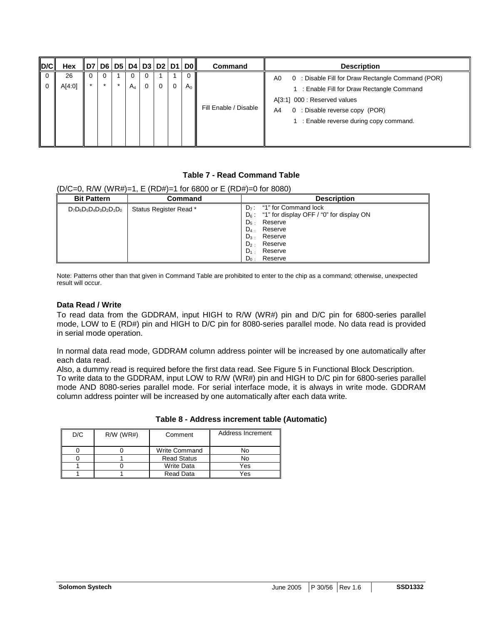| $\overline{D/C}$ | Hex          |         |            |          |   | D7   D6   D5   D4   D3   D2   D1   D0 | <b>Command</b>        | <b>Description</b>                                                                                                                                                                                                     |
|------------------|--------------|---------|------------|----------|---|---------------------------------------|-----------------------|------------------------------------------------------------------------------------------------------------------------------------------------------------------------------------------------------------------------|
|                  | 26<br>A[4:0] | $\star$ | 0<br>$A_4$ | $\Omega$ | 0 | $A_0$                                 | Fill Enable / Disable | 0 : Disable Fill for Draw Rectangle Command (POR)<br>A0<br>1 : Enable Fill for Draw Rectangle Command<br>A[3:1] 000 : Reserved values<br>0 : Disable reverse copy (POR)<br>A4<br>: Enable reverse during copy command. |

### **Table 7 - Read Command Table**

### $(D/C=0, \text{ R/W } (WRH) = 1, F (RD#)=1 \text{ for } 6800 \text{ or } F (RD#)=0 \text{ for } 8080$

| <b>Bit Pattern</b>         | Command                | <b>Description</b>                                                                                                                                                                                                 |
|----------------------------|------------------------|--------------------------------------------------------------------------------------------------------------------------------------------------------------------------------------------------------------------|
| $D_7D_6D_5D_4D_3D_2D_1D_0$ | Status Register Read * | $D_7$ : "1" for Command lock<br>$D_6$ : "1" for display OFF / "0" for display ON<br>$D5$ .<br>Reserve<br>$D_4$ .<br>Reserve<br>$D_3$ .<br>Reserve<br>$D2$ .<br>Reserve<br>$D_1$ .<br>Reserve<br>$D_0$ :<br>Reserve |

Note: Patterns other than that given in Command Table are prohibited to enter to the chip as a command; otherwise, unexpected result will occur.

#### **Data Read / Write**

To read data from the GDDRAM, input HIGH to R/W (WR#) pin and D/C pin for 6800-series parallel mode, LOW to E (RD#) pin and HIGH to D/C pin for 8080-series parallel mode. No data read is provided in serial mode operation.

In normal data read mode, GDDRAM column address pointer will be increased by one automatically after each data read.

Also, a dummy read is required before the first data read. See Figure 5 in Functional Block Description. To write data to the GDDRAM, input LOW to R/W (WR#) pin and HIGH to D/C pin for 6800-series parallel mode AND 8080-series parallel mode. For serial interface mode, it is always in write mode. GDDRAM column address pointer will be increased by one automatically after each data write.

| D/C | $R/W$ (WR#) | Comment              | Address Increment |
|-----|-------------|----------------------|-------------------|
|     |             | <b>Write Command</b> |                   |
|     |             | <b>Read Status</b>   |                   |
|     |             | <b>Write Data</b>    | Yes               |
|     |             | Read Data            | Yes               |

### **Table 8 - Address increment table (Automatic)**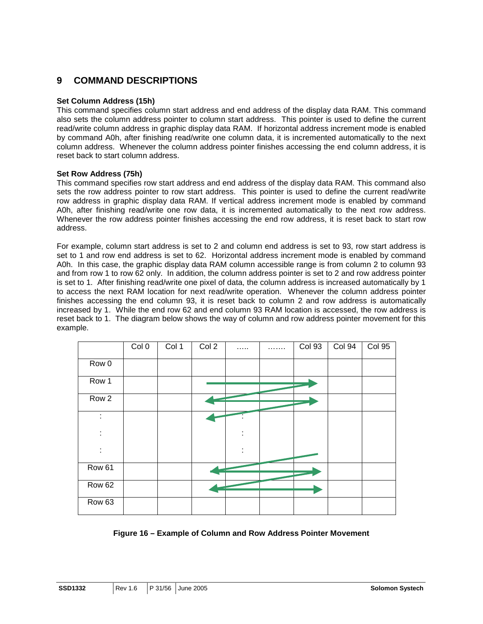### **9 COMMAND DESCRIPTIONS**

### **Set Column Address (15h)**

This command specifies column start address and end address of the display data RAM. This command also sets the column address pointer to column start address. This pointer is used to define the current read/write column address in graphic display data RAM. If horizontal address increment mode is enabled by command A0h, after finishing read/write one column data, it is incremented automatically to the next column address. Whenever the column address pointer finishes accessing the end column address, it is reset back to start column address.

### **Set Row Address (75h)**

This command specifies row start address and end address of the display data RAM. This command also sets the row address pointer to row start address. This pointer is used to define the current read/write row address in graphic display data RAM. If vertical address increment mode is enabled by command A0h, after finishing read/write one row data, it is incremented automatically to the next row address. Whenever the row address pointer finishes accessing the end row address, it is reset back to start row address.

For example, column start address is set to 2 and column end address is set to 93, row start address is set to 1 and row end address is set to 62. Horizontal address increment mode is enabled by command A0h. In this case, the graphic display data RAM column accessible range is from column 2 to column 93 and from row 1 to row 62 only. In addition, the column address pointer is set to 2 and row address pointer is set to 1. After finishing read/write one pixel of data, the column address is increased automatically by 1 to access the next RAM location for next read/write operation. Whenever the column address pointer finishes accessing the end column 93, it is reset back to column 2 and row address is automatically increased by 1. While the end row 62 and end column 93 RAM location is accessed, the row address is reset back to 1. The diagram below shows the way of column and row address pointer movement for this example.

|                   | Col <sub>0</sub> | Col 1 | Col <sub>2</sub> | .            | . | <b>Col 93</b> | Col 94 | <b>Col 95</b> |
|-------------------|------------------|-------|------------------|--------------|---|---------------|--------|---------------|
| Row 0             |                  |       |                  |              |   |               |        |               |
| Row 1             |                  |       |                  |              |   |               |        |               |
| Row <sub>2</sub>  |                  |       |                  |              |   |               |        |               |
| İ                 |                  |       |                  |              |   |               |        |               |
| ÷                 |                  |       |                  | ٠<br>$\cdot$ |   |               |        |               |
| ÷                 |                  |       |                  | ÷            |   |               |        |               |
| Row 61            |                  |       |                  |              |   |               |        |               |
| Row <sub>62</sub> |                  |       |                  |              |   |               |        |               |
| Row <sub>63</sub> |                  |       |                  |              |   |               |        |               |

### **Figure 16 – Example of Column and Row Address Pointer Movement**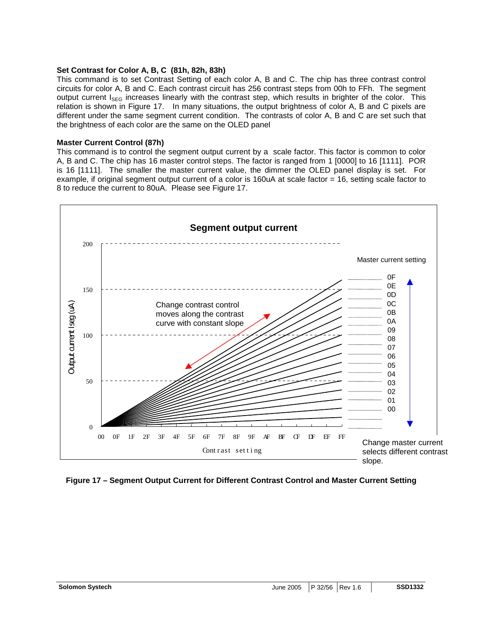#### **Set Contrast for Color A, B, C (81h, 82h, 83h)**

This command is to set Contrast Setting of each color A, B and C. The chip has three contrast control circuits for color A, B and C. Each contrast circuit has 256 contrast steps from 00h to FFh. The segment output current  $I_{\text{SEG}}$  increases linearly with the contrast step, which results in brighter of the color. This relation is shown in Figure 17. In many situations, the output brightness of color A, B and C pixels are different under the same segment current condition. The contrasts of color A, B and C are set such that the brightness of each color are the same on the OLED panel

### **Master Current Control (87h)**

This command is to control the segment output current by a scale factor. This factor is common to color A, B and C. The chip has 16 master control steps. The factor is ranged from 1 [0000] to 16 [1111]. POR is 16 [1111]. The smaller the master current value, the dimmer the OLED panel display is set. For example, if original segment output current of a color is 160uA at scale factor = 16, setting scale factor to 8 to reduce the current to 80uA. Please see Figure 17.



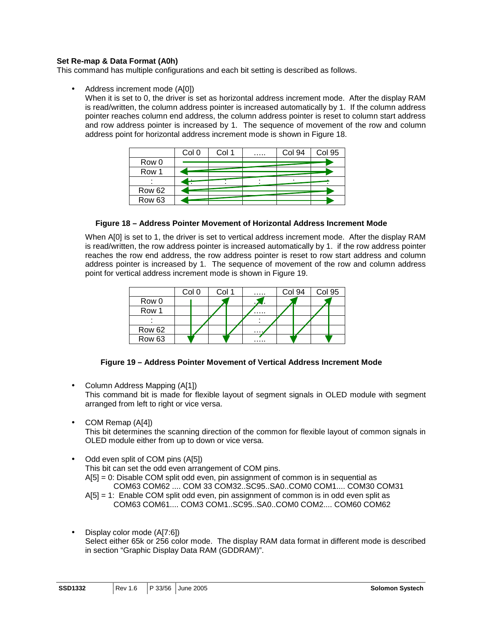### **Set Re-map & Data Format (A0h)**

This command has multiple configurations and each bit setting is described as follows.

• Address increment mode (A[0])

When it is set to 0, the driver is set as horizontal address increment mode. After the display RAM is read/written, the column address pointer is increased automatically by 1. If the column address pointer reaches column end address, the column address pointer is reset to column start address and row address pointer is increased by 1. The sequence of movement of the row and column address point for horizontal address increment mode is shown in Figure 18.

|                   | Col 0 | Col 1 | 1.1.1.1 | Col 94 | Col 95 |
|-------------------|-------|-------|---------|--------|--------|
| Row 0             |       |       |         |        |        |
| Row 1             |       |       |         |        |        |
|                   |       |       |         |        |        |
| Row 62            |       |       |         |        |        |
| Row <sub>63</sub> |       |       |         |        |        |

#### **Figure 18 – Address Pointer Movement of Horizontal Address Increment Mode**

When A[0] is set to 1, the driver is set to vertical address increment mode. After the display RAM is read/written, the row address pointer is increased automatically by 1. if the row address pointer reaches the row end address, the row address pointer is reset to row start address and column address pointer is increased by 1. The sequence of movement of the row and column address point for vertical address increment mode is shown in Figure 19.

|                   | Col 0 | ി∩ി 1 | .        | Col 94 | Col 95 |
|-------------------|-------|-------|----------|--------|--------|
| Row 0             |       |       | л.       |        |        |
| Row 1             |       |       | $\ldots$ |        |        |
|                   |       |       |          |        |        |
| <b>Row 62</b>     |       |       | .        |        |        |
| Row <sub>63</sub> |       |       | .        |        |        |

### **Figure 19 – Address Pointer Movement of Vertical Address Increment Mode**

- Column Address Mapping (A[1]) This command bit is made for flexible layout of segment signals in OLED module with segment arranged from left to right or vice versa.
- COM Remap (A[4])

This bit determines the scanning direction of the common for flexible layout of common signals in OLED module either from up to down or vice versa.

- Odd even split of COM pins (A[5]) This bit can set the odd even arrangement of COM pins. A[5] = 0: Disable COM split odd even, pin assignment of common is in sequential as COM63 COM62 .... COM 33 COM32..SC95..SA0..COM0 COM1.... COM30 COM31 A[5] = 1: Enable COM split odd even, pin assignment of common is in odd even split as COM63 COM61.... COM3 COM1..SC95..SA0..COM0 COM2.... COM60 COM62
- Display color mode (A[7:6]) Select either 65k or 256 color mode. The display RAM data format in different mode is described in section "Graphic Display Data RAM (GDDRAM)".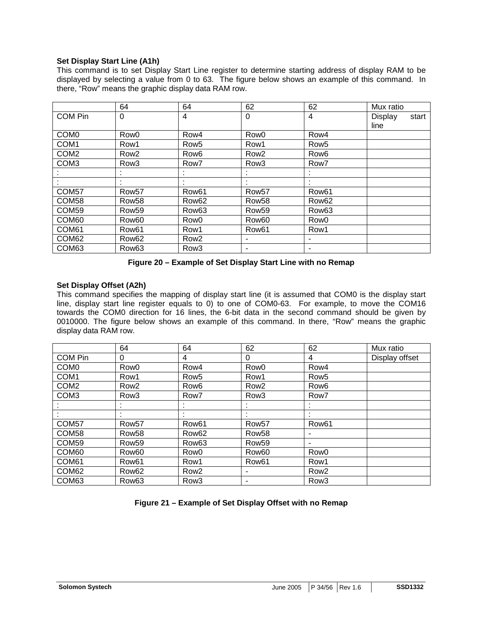### **Set Display Start Line (A1h)**

This command is to set Display Start Line register to determine starting address of display RAM to be displayed by selecting a value from 0 to 63. The figure below shows an example of this command. In there, "Row" means the graphic display data RAM row.

|                   | 64                | 64                | 62                | 62                | Mux ratio      |       |
|-------------------|-------------------|-------------------|-------------------|-------------------|----------------|-------|
| COM Pin           | $\Omega$          | 4                 | $\Omega$          | 4                 | <b>Display</b> | start |
|                   |                   |                   |                   |                   | line           |       |
| COM <sub>0</sub>  | Row <sub>0</sub>  | Row4              | Row <sub>0</sub>  | Row4              |                |       |
| COM1              | Row1              | Row <sub>5</sub>  | Row1              | Row <sub>5</sub>  |                |       |
| COM <sub>2</sub>  | Row <sub>2</sub>  | Row <sub>6</sub>  | Row <sub>2</sub>  | Row <sub>6</sub>  |                |       |
| COM <sub>3</sub>  | Row <sub>3</sub>  | Row7              | Row <sub>3</sub>  | Row7              |                |       |
|                   |                   |                   | ٠                 |                   |                |       |
|                   | ٠                 | ٠                 | $\cdot$           |                   |                |       |
| COM <sub>57</sub> | Row <sub>57</sub> | Row <sub>61</sub> | Row <sub>57</sub> | Row <sub>61</sub> |                |       |
| COM <sub>58</sub> | Row <sub>58</sub> | Row <sub>62</sub> | Row <sub>58</sub> | Row <sub>62</sub> |                |       |
| COM <sub>59</sub> | Row <sub>59</sub> | Row <sub>63</sub> | Row <sub>59</sub> | Row <sub>63</sub> |                |       |
| COM <sub>60</sub> | Row <sub>60</sub> | Row <sub>0</sub>  | Row <sub>60</sub> | Row <sub>0</sub>  |                |       |
| COM <sub>61</sub> | Row <sub>61</sub> | Row1              | Row <sub>61</sub> | Row1              |                |       |
| COM <sub>62</sub> | Row <sub>62</sub> | Row <sub>2</sub>  | $\blacksquare$    | ٠                 |                |       |
| COM <sub>63</sub> | Row <sub>63</sub> | Row <sub>3</sub>  | ٠                 |                   |                |       |

**Figure 20 – Example of Set Display Start Line with no Remap** 

### **Set Display Offset (A2h)**

This command specifies the mapping of display start line (it is assumed that COM0 is the display start line, display start line register equals to 0) to one of COM0-63. For example, to move the COM16 towards the COM0 direction for 16 lines, the 6-bit data in the second command should be given by 0010000. The figure below shows an example of this command. In there, "Row" means the graphic display data RAM row.

|                   | 64                | 64                | 62                | 62                | Mux ratio      |
|-------------------|-------------------|-------------------|-------------------|-------------------|----------------|
| COM Pin           | 0                 | 4                 | 0                 | 4                 | Display offset |
| COM <sub>0</sub>  | Row0              | Row4              | Row <sub>0</sub>  | Row4              |                |
| COM <sub>1</sub>  | Row1              | Row <sub>5</sub>  | Row1              | Row <sub>5</sub>  |                |
| COM <sub>2</sub>  | Row <sub>2</sub>  | Row <sub>6</sub>  | Row <sub>2</sub>  | Row <sub>6</sub>  |                |
| COM <sub>3</sub>  | Row <sub>3</sub>  | Row <sub>7</sub>  | Row <sub>3</sub>  | Row7              |                |
|                   |                   |                   |                   |                   |                |
|                   |                   |                   |                   |                   |                |
| COM <sub>57</sub> | Row <sub>57</sub> | Row <sub>61</sub> | Row <sub>57</sub> | Row <sub>61</sub> |                |
| COM <sub>58</sub> | Row <sub>58</sub> | Row <sub>62</sub> | Row <sub>58</sub> |                   |                |
| COM <sub>59</sub> | Row <sub>59</sub> | Row <sub>63</sub> | Row <sub>59</sub> | ۰                 |                |
| COM <sub>60</sub> | Row <sub>60</sub> | Row <sub>0</sub>  | Row <sub>60</sub> | Row <sub>0</sub>  |                |
| COM61             | Row <sub>61</sub> | Row1              | Row <sub>61</sub> | Row1              |                |
| COM <sub>62</sub> | Row <sub>62</sub> | Row <sub>2</sub>  | ٠                 | Row <sub>2</sub>  |                |
| COM <sub>63</sub> | Row <sub>63</sub> | Row <sub>3</sub>  | ٠                 | Row <sub>3</sub>  |                |

### **Figure 21 – Example of Set Display Offset with no Remap**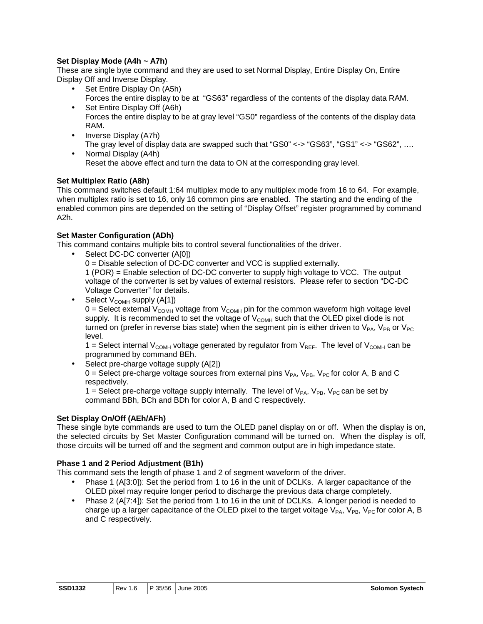### **Set Display Mode (A4h ~ A7h)**

These are single byte command and they are used to set Normal Display, Entire Display On, Entire Display Off and Inverse Display.

- Set Entire Display On (A5h) Forces the entire display to be at "GS63" regardless of the contents of the display data RAM.
- Set Entire Display Off (A6h) Forces the entire display to be at gray level "GS0" regardless of the contents of the display data RAM.
- Inverse Display (A7h) The gray level of display data are swapped such that "GS0" <-> "GS63", "GS1" <-> "GS62", ….
- Normal Display (A4h) Reset the above effect and turn the data to ON at the corresponding gray level.

### **Set Multiplex Ratio (A8h)**

This command switches default 1:64 multiplex mode to any multiplex mode from 16 to 64. For example, when multiplex ratio is set to 16, only 16 common pins are enabled. The starting and the ending of the enabled common pins are depended on the setting of "Display Offset" register programmed by command A2h.

### **Set Master Configuration (ADh)**

This command contains multiple bits to control several functionalities of the driver.

- Select DC-DC converter (A[0])
	- 0 = Disable selection of DC-DC converter and VCC is supplied externally.

1 (POR) = Enable selection of DC-DC converter to supply high voltage to VCC. The output voltage of the converter is set by values of external resistors. Please refer to section "DC-DC Voltage Converter" for details.

• Select  $V_{COMH}$  supply  $(A[1])$ 0 = Select external  $V_{COMH}$  voltage from  $V_{COMH}$  pin for the common waveform high voltage level supply. It is recommended to set the voltage of  $V_{\text{COMH}}$  such that the OLED pixel diode is not turned on (prefer in reverse bias state) when the segment pin is either driven to  $V_{PA}$ ,  $V_{PB}$  or  $V_{PC}$ level.

1 = Select internal V<sub>COMH</sub> voltage generated by regulator from V<sub>REF</sub>. The level of V<sub>COMH</sub> can be programmed by command BEh.

• Select pre-charge voltage supply (A[2])

0 = Select pre-charge voltage sources from external pins  $V_{PA}$ ,  $V_{PB}$ ,  $V_{PC}$  for color A, B and C respectively.

1 = Select pre-charge voltage supply internally. The level of  $V_{PA}$ ,  $V_{PB}$ ,  $V_{PC}$  can be set by command BBh, BCh and BDh for color A, B and C respectively.

### **Set Display On/Off (AEh/AFh)**

These single byte commands are used to turn the OLED panel display on or off. When the display is on, the selected circuits by Set Master Configuration command will be turned on. When the display is off, those circuits will be turned off and the segment and common output are in high impedance state.

### **Phase 1 and 2 Period Adjustment (B1h)**

This command sets the length of phase 1 and 2 of segment waveform of the driver.

- Phase 1 (A[3:0]): Set the period from 1 to 16 in the unit of DCLKs. A larger capacitance of the OLED pixel may require longer period to discharge the previous data charge completely.
- Phase 2 (A[7:4]): Set the period from 1 to 16 in the unit of DCLKs. A longer period is needed to charge up a larger capacitance of the OLED pixel to the target voltage  $V_{PA}$ ,  $V_{PB}$ ,  $V_{PC}$  for color A, B and C respectively.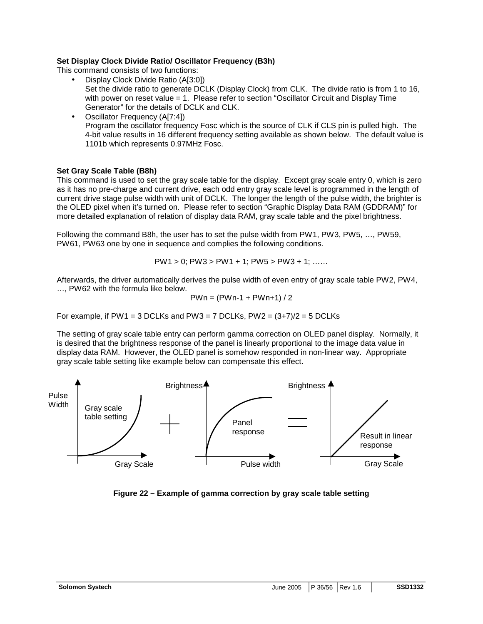### **Set Display Clock Divide Ratio/ Oscillator Frequency (B3h)**

This command consists of two functions:

- Display Clock Divide Ratio (A[3:0]) Set the divide ratio to generate DCLK (Display Clock) from CLK. The divide ratio is from 1 to 16, with power on reset value = 1. Please refer to section "Oscillator Circuit and Display Time Generator" for the details of DCLK and CLK.
- Oscillator Frequency (A[7:4]) Program the oscillator frequency Fosc which is the source of CLK if CLS pin is pulled high. The 4-bit value results in 16 different frequency setting available as shown below. The default value is 1101b which represents 0.97MHz Fosc.

### **Set Gray Scale Table (B8h)**

This command is used to set the gray scale table for the display. Except gray scale entry 0, which is zero as it has no pre-charge and current drive, each odd entry gray scale level is programmed in the length of current drive stage pulse width with unit of DCLK. The longer the length of the pulse width, the brighter is the OLED pixel when it's turned on. Please refer to section "Graphic Display Data RAM (GDDRAM)" for more detailed explanation of relation of display data RAM, gray scale table and the pixel brightness.

Following the command B8h, the user has to set the pulse width from PW1, PW3, PW5, …, PW59, PW61, PW63 one by one in sequence and complies the following conditions.

$$
PW1 > 0; PW3 > PW1 + 1; PW5 > PW3 + 1; \ldots
$$

Afterwards, the driver automatically derives the pulse width of even entry of gray scale table PW2, PW4, …, PW62 with the formula like below.

$$
PWn = (PWn-1 + PWn+1)/2
$$

For example, if PW1 = 3 DCLKs and PW3 = 7 DCLKs, PW2 =  $(3+7)/2$  = 5 DCLKs

The setting of gray scale table entry can perform gamma correction on OLED panel display. Normally, it is desired that the brightness response of the panel is linearly proportional to the image data value in display data RAM. However, the OLED panel is somehow responded in non-linear way. Appropriate gray scale table setting like example below can compensate this effect.



**Figure 22 – Example of gamma correction by gray scale table setting**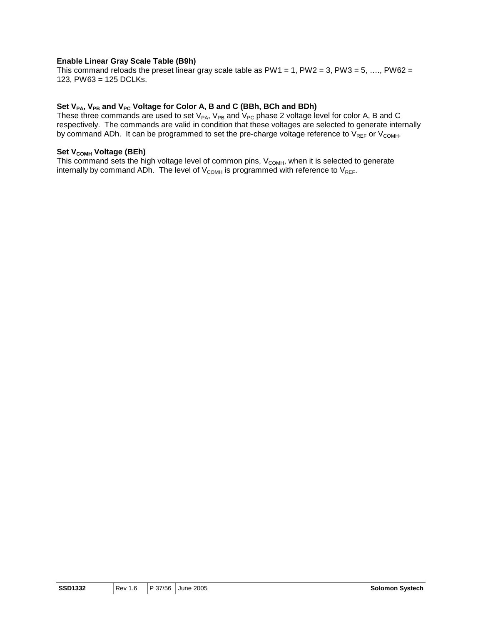#### **Enable Linear Gray Scale Table (B9h)**

This command reloads the preset linear gray scale table as PW1 = 1, PW2 = 3, PW3 = 5, ..., PW62 = 123, PW63 = 125 DCLKs.

### Set V<sub>PA</sub>, V<sub>PB</sub> and V<sub>PC</sub> Voltage for Color A, B and C (BBh, BCh and BDh)

These three commands are used to set  $V_{PA}$ ,  $V_{PB}$  and  $V_{PC}$  phase 2 voltage level for color A, B and C respectively. The commands are valid in condition that these voltages are selected to generate internally by command ADh. It can be programmed to set the pre-charge voltage reference to  $V_{REF}$  or  $V_{COMH}$ .

### **Set V<sub>COMH</sub> Voltage (BEh)**

This command sets the high voltage level of common pins,  $V_{COMH}$ , when it is selected to generate internally by command ADn. The level of  $V_{COMH}$  is programmed with reference to  $V_{REF}$ .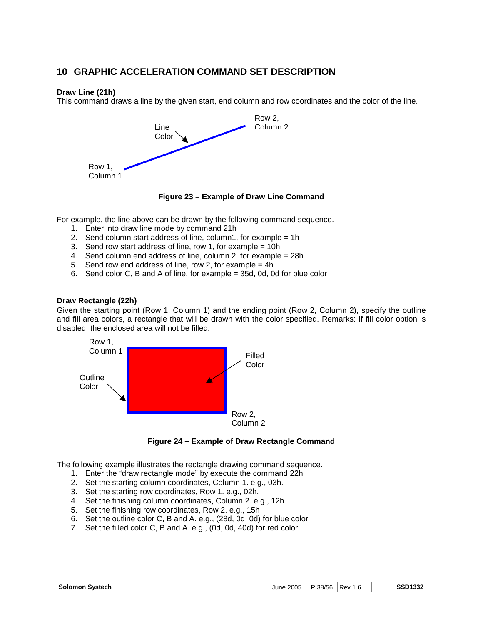### **10 GRAPHIC ACCELERATION COMMAND SET DESCRIPTION**

#### **Draw Line (21h)**

This command draws a line by the given start, end column and row coordinates and the color of the line.



**Figure 23 – Example of Draw Line Command** 

For example, the line above can be drawn by the following command sequence.

- 1. Enter into draw line mode by command 21h
- 2. Send column start address of line, column1, for example = 1h
- 3. Send row start address of line, row 1, for example = 10h
- 4. Send column end address of line, column 2, for example = 28h
- 5. Send row end address of line, row 2, for example = 4h
- 6. Send color C, B and A of line, for example = 35d, 0d, 0d for blue color

#### **Draw Rectangle (22h)**

Given the starting point (Row 1, Column 1) and the ending point (Row 2, Column 2), specify the outline and fill area colors, a rectangle that will be drawn with the color specified. Remarks: If fill color option is disabled, the enclosed area will not be filled.



#### **Figure 24 – Example of Draw Rectangle Command**

The following example illustrates the rectangle drawing command sequence.

- 1. Enter the "draw rectangle mode" by execute the command 22h
- 2. Set the starting column coordinates, Column 1. e.g., 03h.
- 3. Set the starting row coordinates, Row 1. e.g., 02h.
- 4. Set the finishing column coordinates, Column 2. e.g., 12h
- 5. Set the finishing row coordinates, Row 2. e.g., 15h
- 6. Set the outline color C, B and A. e.g., (28d, 0d, 0d) for blue color
- 7. Set the filled color C, B and A. e.g., (0d, 0d, 40d) for red color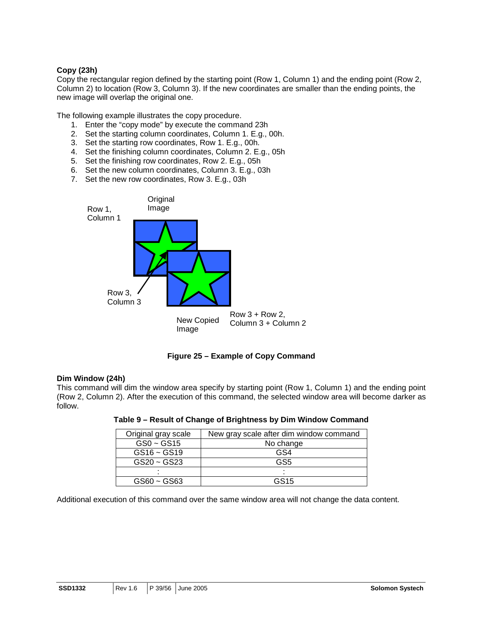### **Copy (23h)**

Copy the rectangular region defined by the starting point (Row 1, Column 1) and the ending point (Row 2, Column 2) to location (Row 3, Column 3). If the new coordinates are smaller than the ending points, the new image will overlap the original one.

The following example illustrates the copy procedure.

- 1. Enter the "copy mode" by execute the command 23h
- 2. Set the starting column coordinates, Column 1. E.g., 00h.
- 3. Set the starting row coordinates, Row 1. E.g., 00h.
- 4. Set the finishing column coordinates, Column 2. E.g., 05h
- 5. Set the finishing row coordinates, Row 2. E.g., 05h
- 6. Set the new column coordinates, Column 3. E.g., 03h
- 7. Set the new row coordinates, Row 3. E.g., 03h





#### **Dim Window (24h)**

This command will dim the window area specify by starting point (Row 1, Column 1) and the ending point (Row 2, Column 2). After the execution of this command, the selected window area will become darker as follow.

| Original gray scale | New gray scale after dim window command |
|---------------------|-----------------------------------------|
| $GS0 - GS15$        | No change                               |
| $GS16 - GS19$       | GS4                                     |
| $GS20 - GS23$       | GS5                                     |
|                     |                                         |
| $GS60 - GS63$       | GS <sub>15</sub>                        |

#### **Table 9 – Result of Change of Brightness by Dim Window Command**

Additional execution of this command over the same window area will not change the data content.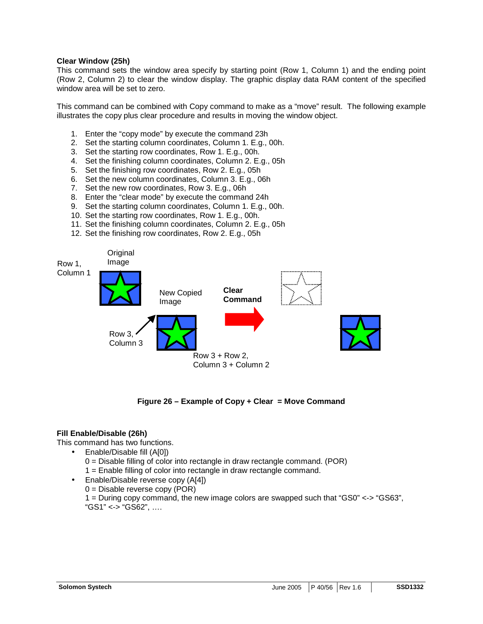#### **Clear Window (25h)**

This command sets the window area specify by starting point (Row 1, Column 1) and the ending point (Row 2, Column 2) to clear the window display. The graphic display data RAM content of the specified window area will be set to zero.

This command can be combined with Copy command to make as a "move" result. The following example illustrates the copy plus clear procedure and results in moving the window object.

- 1. Enter the "copy mode" by execute the command 23h
- 2. Set the starting column coordinates, Column 1. E.g., 00h.
- 3. Set the starting row coordinates, Row 1. E.g., 00h.
- 4. Set the finishing column coordinates, Column 2. E.g., 05h
- 5. Set the finishing row coordinates, Row 2. E.g., 05h
- 6. Set the new column coordinates, Column 3. E.g., 06h
- 7. Set the new row coordinates, Row 3. E.g., 06h
- 8. Enter the "clear mode" by execute the command 24h
- 9. Set the starting column coordinates, Column 1. E.g., 00h.
- 10. Set the starting row coordinates, Row 1. E.g., 00h.
- 11. Set the finishing column coordinates, Column 2. E.g., 05h
- 12. Set the finishing row coordinates, Row 2. E.g., 05h



### **Figure 26 – Example of Copy + Clear = Move Command**

### **Fill Enable/Disable (26h)**

This command has two functions.

- Enable/Disable fill (A[0])  $0 =$  Disable filling of color into rectangle in draw rectangle command. (POR) 1 = Enable filling of color into rectangle in draw rectangle command.
- Enable/Disable reverse copy (A[4]) 0 = Disable reverse copy (POR) 1 = During copy command, the new image colors are swapped such that "GS0" <-> "GS63", "GS1" <-> "GS62", ….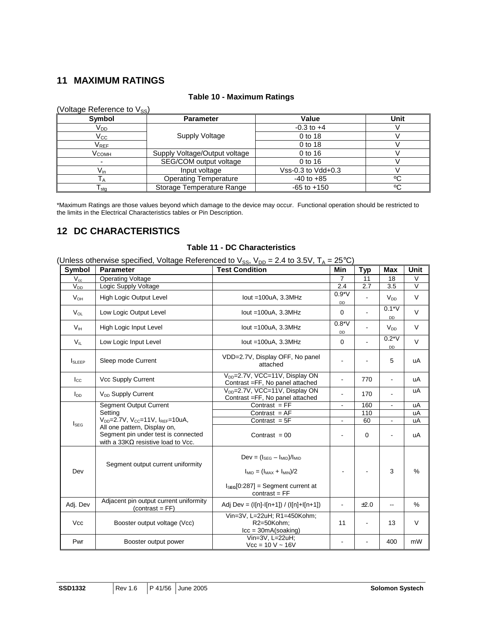### **11 MAXIMUM RATINGS**

| (Voltage Reference to V <sub>SS</sub> ) |                               |                    |      |
|-----------------------------------------|-------------------------------|--------------------|------|
| Symbol                                  | <b>Parameter</b>              | Value              | Unit |
| V <sub>DD</sub>                         |                               | $-0.3$ to $+4$     |      |
| $\rm V_{CC}$                            | Supply Voltage                | 0 to 18            |      |
| V <sub>REF</sub>                        |                               | 0 to 18            |      |
| Vсомн                                   | Supply Voltage/Output voltage | 0 to 16            |      |
|                                         | SEG/COM output voltage        | 0 to 16            |      |
| $V_{\text{in}}$                         | Input voltage                 | Vss-0.3 to Vdd+0.3 |      |
|                                         | <b>Operating Temperature</b>  | $-40$ to $+85$     | °C   |
| I sta                                   | Storage Temperature Range     | $-65$ to $+150$    | ٥C   |

### **Table 10 - Maximum Ratings**

\*Maximum Ratings are those values beyond which damage to the device may occur. Functional operation should be restricted to the limits in the Electrical Characteristics tables or Pin Description.

### **12 DC CHARACTERISTICS**

### **Table 11 - DC Characteristics**

(Unless otherwise specified, Voltage Referenced to  $V_{SS}$ ,  $V_{DD} = 2.4$  to 3.5V,  $T_A = 25^{\circ}C$ )

| <b>Symbol</b>    | <b>Parameter</b>                                                                                                  | שטי וטטי<br><b>Test Condition</b>                                                        | Min                      | <b>Typ</b>  | <b>Max</b>               | Unit          |
|------------------|-------------------------------------------------------------------------------------------------------------------|------------------------------------------------------------------------------------------|--------------------------|-------------|--------------------------|---------------|
| $V_{cc}$         | <b>Operating Voltage</b>                                                                                          |                                                                                          | 7                        | 11          | 18                       | V             |
| $V_{DD}$         | Logic Supply Voltage                                                                                              |                                                                                          | 2.4                      | 2.7         | 3.5                      | $\vee$        |
| $V_{OH}$         | <b>High Logic Output Level</b>                                                                                    | lout $=100uA$ , 3.3MHz                                                                   | $0.9*V$<br>DD            |             | <b>V<sub>DD</sub></b>    | V             |
| $V_{OL}$         | Low Logic Output Level                                                                                            | lout $=100uA$ , 3.3MHz                                                                   | $\Omega$                 |             | $0.1*V$<br>DD            | $\vee$        |
| V <sub>H</sub>   | High Logic Input Level                                                                                            | lout $=100uA$ , 3.3MHz                                                                   | $0.8*V$<br>DD            |             | <b>V<sub>DD</sub></b>    | V             |
| $V_{IL}$         | Low Logic Input Level                                                                                             | lout = $100uA$ , $3.3MHz$                                                                | $\Omega$                 |             | $0.2*V$<br>DD            | $\vee$        |
| <b>I</b> SLEEP   | Sleep mode Current                                                                                                | VDD=2.7V, Display OFF, No panel<br>attached                                              | $\blacksquare$           |             | 5                        | uA            |
| $I_{\rm CC}$     | Vcc Supply Current                                                                                                | V <sub>pp</sub> =2.7V, VCC=11V, Display ON<br>Contrast = FF, No panel attached           |                          | 770         |                          | uA            |
| $I_{DD}$         | V <sub>DD</sub> Supply Current                                                                                    | V <sub>DD</sub> =2.7V, VCC=11V, Display ON<br>Contrast =FF, No panel attached            |                          | 170         | ÷                        | uA            |
|                  | <b>Segment Output Current</b>                                                                                     | Contrast $= FF$                                                                          | $\overline{\phantom{a}}$ | 160         | $\overline{\phantom{a}}$ | uA            |
|                  | Setting                                                                                                           | Contrast $= AF$                                                                          |                          | 110         |                          | uA            |
| $I_{\text{SEG}}$ | $V_{DD} = 2.7V$ , $V_{CC} = 11V$ , $I_{REF} = 10uA$ ,                                                             | Contrast $= 5F$                                                                          | $\overline{\phantom{a}}$ | 60          | $\overline{\phantom{a}}$ | uA            |
|                  | All one pattern, Display on,<br>Segment pin under test is connected<br>with a 33K $\Omega$ resistive load to Vcc. | Contrast = $00$                                                                          |                          | $\mathbf 0$ |                          | uA            |
|                  | Segment output current uniformity                                                                                 | $Dev = (ISEG - IMD)/IMD$                                                                 |                          |             |                          |               |
| Dev              |                                                                                                                   | $I_{MID} = (I_{MAX} + I_{MIN})/2$                                                        |                          |             | 3                        | %             |
|                  |                                                                                                                   | $ISEG[0:287] = Segment current at$<br>$contrast = FF$                                    |                          |             |                          |               |
| Adj. Dev         | Adjacent pin output current uniformity<br>$(contrast = FF)$                                                       | Adj Dev = $(I[n]-I[n+1]) / (I[n]+I[n+1])$                                                |                          | ±2.0        |                          | $\frac{0}{0}$ |
| <b>Vcc</b>       | Booster output voltage (Vcc)                                                                                      | Vin=3V, L=22uH; R1=450Kohm;<br>R2=50Kohm;<br>$\text{lcc} = 30 \text{mA}(\text{soaking})$ | 11                       | ä,          | 13                       | V             |
| Pwr              | Booster output power                                                                                              | Vin=3V, L=22uH;<br>$Vcc = 10 V - 16V$                                                    |                          |             | 400                      | mW            |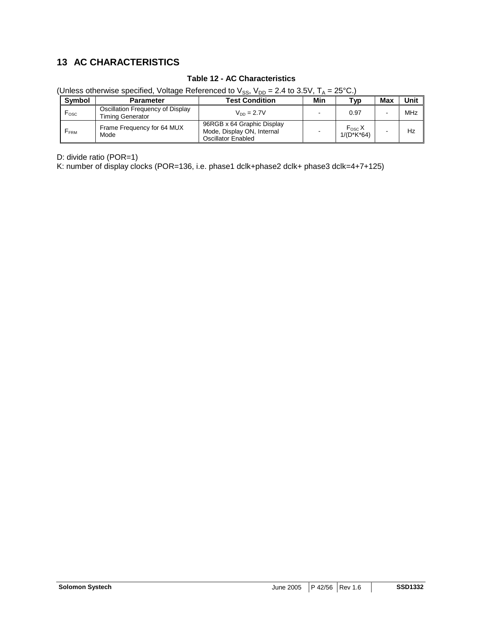### **13 AC CHARACTERISTICS**

### **Table 12 - AC Characteristics**

(Unless otherwise specified, Voltage Referenced to  $V_{SS}$ ,  $V_{DD} = 2.4$  to 3.5V,  $T_A = 25^{\circ}C$ .)

| <b>Symbol</b>    | <b>Parameter</b>                                            | <b>Test Condition</b>                                                                 | Min | Tvp                             | Max | Unit |
|------------------|-------------------------------------------------------------|---------------------------------------------------------------------------------------|-----|---------------------------------|-----|------|
| $F_{\rm osc}$    | Oscillation Frequency of Display<br><b>Timing Generator</b> | $V_{DD} = 2.7V$                                                                       |     | 0.97                            |     | MHz  |
| F <sub>FRM</sub> | Frame Frequency for 64 MUX<br>Mode                          | 96RGB x 64 Graphic Display<br>Mode, Display ON, Internal<br><b>Oscillator Enabled</b> |     | $F_{\rm osc} X$<br>$1/(D*K*64)$ |     | Hz   |

D: divide ratio (POR=1)

K: number of display clocks (POR=136, i.e. phase1 dclk+phase2 dclk+ phase3 dclk=4+7+125)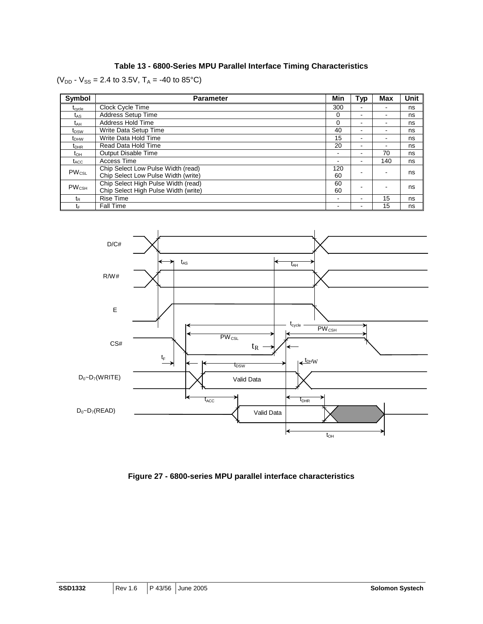### **Table 13 - 6800-Series MPU Parallel Interface Timing Characteristics**

( $V_{DD}$  -  $V_{SS}$  = 2.4 to 3.5V,  $T_A$  = -40 to 85°C)

| Symbol                                                | <b>Parameter</b>                     | Min            | Typ                      | <b>Max</b>               | Unit |
|-------------------------------------------------------|--------------------------------------|----------------|--------------------------|--------------------------|------|
| $\mathfrak{r}_{\text{c} \text{v} \text{c} \text{le}}$ | Clock Cycle Time                     | 300            | -                        |                          | ns   |
| $t_{AS}$                                              | Address Setup Time                   | 0              | -                        | $\blacksquare$           | ns   |
| t <sub>АН</sub>                                       | Address Hold Time                    | 0              | -                        | $\overline{\phantom{0}}$ | ns   |
| t <sub>DSW</sub>                                      | Write Data Setup Time                | 40             | -                        | $\overline{\phantom{0}}$ | ns   |
| t <sub>DHW</sub>                                      | Write Data Hold Time                 | 15             | -                        |                          | ns   |
| $\mathrm{t}_{\mathsf{DHR}}$                           | Read Data Hold Time                  | 20             | -                        |                          | ns   |
| $t_{\text{OH}}$                                       | Output Disable Time                  | $\blacksquare$ | -                        | 70                       | ns   |
| $t_{\rm ACC}$                                         | Access Time                          | -              | $\overline{\phantom{0}}$ | 140                      | ns   |
| $PW_{CSL}$                                            | Chip Select Low Pulse Width (read)   | 120            |                          |                          | ns   |
|                                                       | Chip Select Low Pulse Width (write)  | 60             |                          |                          |      |
| <b>PW<sub>CSH</sub></b>                               | Chip Select High Pulse Width (read)  | 60             |                          |                          | ns   |
|                                                       | Chip Select High Pulse Width (write) | 60             |                          |                          |      |
| t <sub>R</sub>                                        | <b>Rise Time</b>                     | $\blacksquare$ | -                        | 15                       | ns   |
| tF                                                    | <b>Fall Time</b>                     | $\blacksquare$ | -                        | 15                       | ns   |



**Figure 27 - 6800-series MPU parallel interface characteristics**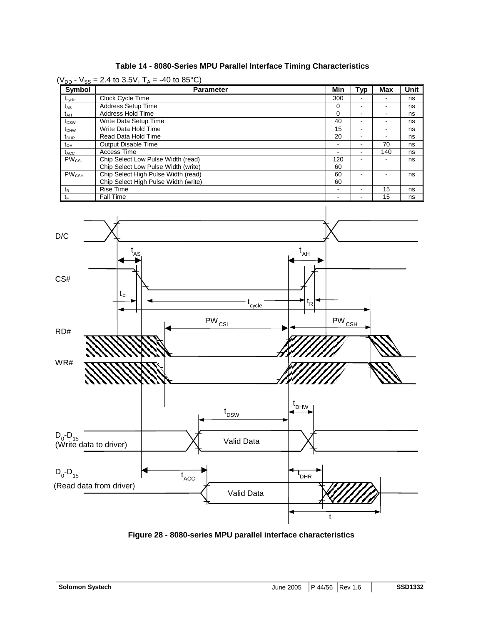| Table 14 - 8080-Series MPU Parallel Interface Timing Characteristics |  |  |  |
|----------------------------------------------------------------------|--|--|--|
|----------------------------------------------------------------------|--|--|--|

 $(V_{DD} - V_{SS} = 2.4$  to 3.5V,  $T_A = -40$  to 85°C)

| <b>Symbol</b>    | $\sqrt{ }$<br>Parameter              | Min      | Typ                      | <b>Max</b>               | <b>Unit</b> |
|------------------|--------------------------------------|----------|--------------------------|--------------------------|-------------|
| $t_{\rm cycle}$  | Clock Cycle Time                     | 300      |                          |                          | ns          |
| t <sub>AS</sub>  | <b>Address Setup Time</b>            | $\Omega$ | $\overline{\phantom{0}}$ | $\blacksquare$           | ns          |
| t <sub>АН</sub>  | Address Hold Time                    | 0        |                          |                          | ns          |
| t <sub>DSW</sub> | Write Data Setup Time                | 40       | $\overline{\phantom{a}}$ | -                        | ns          |
| $t_{DHW}$        | Write Data Hold Time                 | 15       |                          |                          | ns          |
| $t_{DHR}$        | Read Data Hold Time                  | 20       | $\blacksquare$           | $\overline{\phantom{a}}$ | ns          |
| t <sub>он</sub>  | <b>Output Disable Time</b>           |          |                          | 70                       | ns          |
| $t_{\rm ACC}$    | Access Time                          |          |                          | 140                      | ns          |
| $PW_{CSL}$       | Chip Select Low Pulse Width (read)   | 120      | $\overline{\phantom{0}}$ | -                        | ns          |
|                  | Chip Select Low Pulse Width (write)  | 60       |                          |                          |             |
| $PW_{CSH}$       | Chip Select High Pulse Width (read)  | 60       |                          |                          | ns          |
|                  | Chip Select High Pulse Width (write) | 60       |                          |                          |             |
| $t_{\mathsf{R}}$ | <b>Rise Time</b>                     | -        |                          | 15                       | ns          |
| tF               | <b>Fall Time</b>                     | -        |                          | 15                       | ns          |



**Figure 28 - 8080-series MPU parallel interface characteristics**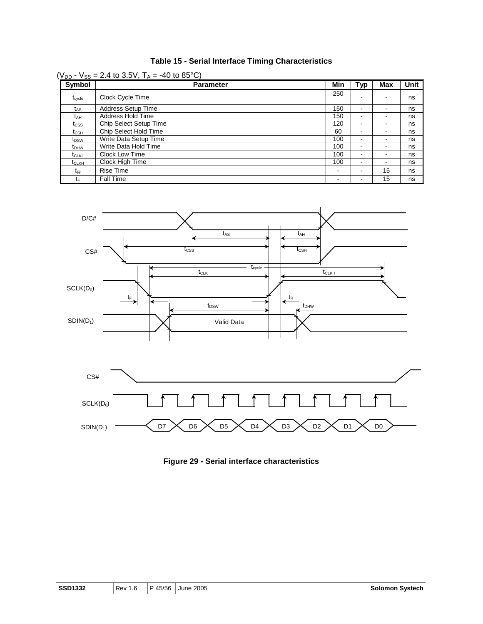| <b>Table 15 - Serial Interface Timing Characteristics</b> |  |
|-----------------------------------------------------------|--|
|-----------------------------------------------------------|--|

| ( $V_{DD}$ - $V_{SS}$ = 2.4 to 3.5V, T <sub>A</sub> = -40 to 85°C) |                           |                          |                          |                          |             |  |  |  |
|--------------------------------------------------------------------|---------------------------|--------------------------|--------------------------|--------------------------|-------------|--|--|--|
| Symbol                                                             | <b>Parameter</b>          | Min                      | <b>Typ</b>               | Max                      | <b>Unit</b> |  |  |  |
| t <sub>cycle</sub>                                                 | Clock Cycle Time          | 250                      |                          |                          | ns          |  |  |  |
| t <sub>AS</sub>                                                    | <b>Address Setup Time</b> | 150                      | $\blacksquare$           | $\blacksquare$           | ns          |  |  |  |
| tдн                                                                | Address Hold Time         | 150                      | $\blacksquare$           | -                        | ns          |  |  |  |
| t <sub>css</sub>                                                   | Chip Select Setup Time    | 120                      | $\blacksquare$           | ۰                        | ns          |  |  |  |
| $\rm t_{\scriptstyle CSH}$                                         | Chip Select Hold Time     | 60                       | $\blacksquare$           | -                        | ns          |  |  |  |
| $t_{DSW}$                                                          | Write Data Setup Time     | 100                      | $\blacksquare$           | -                        | ns          |  |  |  |
| $t_{DHW}$                                                          | Write Data Hold Time      | 100                      | $\overline{\phantom{a}}$ |                          | ns          |  |  |  |
| <b>t</b> CLKL                                                      | Clock Low Time            | 100                      | $\blacksquare$           | $\overline{\phantom{a}}$ | ns          |  |  |  |
| t <sub>CLKH</sub>                                                  | Clock High Time           | 100                      | $\blacksquare$           | -                        | ns          |  |  |  |
| t <sub>R</sub>                                                     | <b>Rise Time</b>          | $\,$                     | $\overline{\phantom{a}}$ | 15                       | ns          |  |  |  |
| t⊧                                                                 | <b>Fall Time</b>          | $\overline{\phantom{0}}$ | $\overline{\phantom{a}}$ | 15                       | ns          |  |  |  |



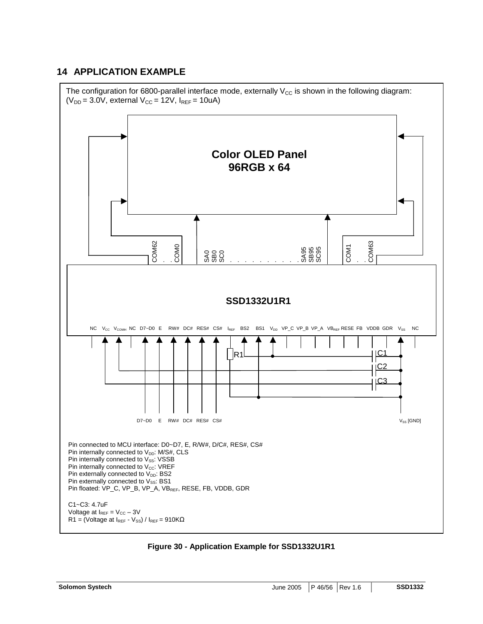### **14 APPLICATION EXAMPLE**



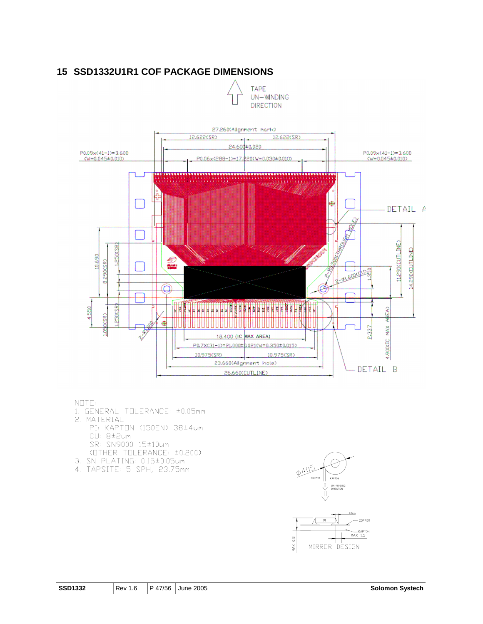### **15 SSD1332U1R1 COF PACKAGE DIMENSIONS**

**TAPE** UN-WNDING **DIRECTION** 



#### NOTE:

- 1. GENERAL TOLERANCE: ±0.05mm 2. MATERIAL PI: KAPTON (150EN) 38±4um CU: 8±2um SR: SN9000 15±10um (OTHER TOLERANCE: ±0.200)
- 3. SN PLATING: 0.15±0.05um
- 4. TAPSITE: 5 SPH, 23.75mm

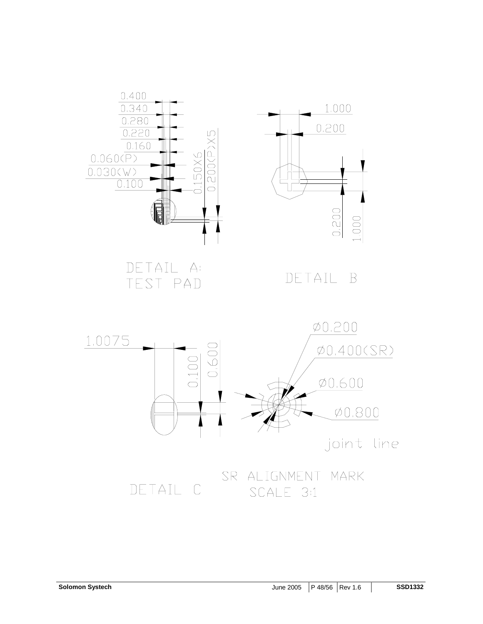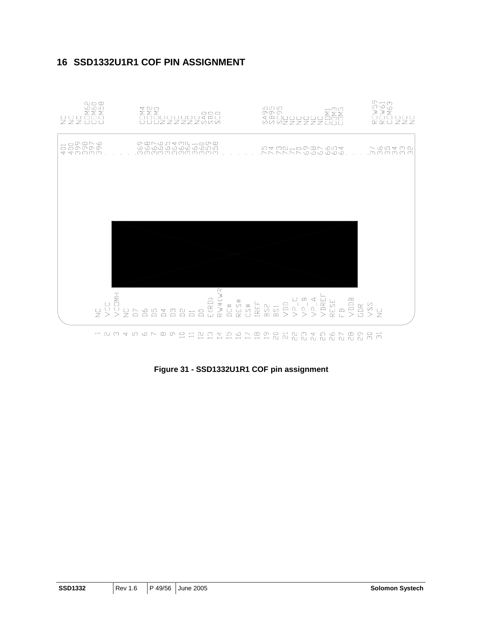

### **16 SSD1332U1R1 COF PIN ASSIGNMENT**

**Figure 31 - SSD1332U1R1 COF pin assignment**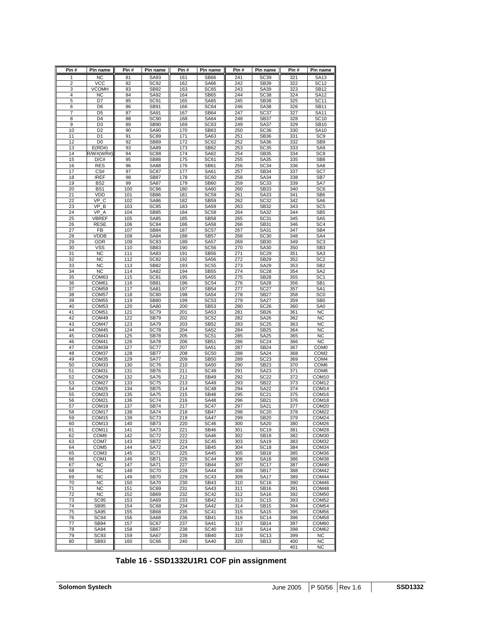| Pin #               | Pin name                               | Pin #      | Pin name                 | Pin #      | Pin name                   | Pin#       | Pin name                        | Pin#       | Pin name                           |
|---------------------|----------------------------------------|------------|--------------------------|------------|----------------------------|------------|---------------------------------|------------|------------------------------------|
| 1                   | <b>NC</b>                              | 81         | SA93                     | 161        | <b>SB66</b>                | 241        | SC39                            | 321        | SA13                               |
| $\overline{c}$      | VCC                                    | 82         | SC <sub>92</sub>         | 162        | <b>SA66</b>                | 242        | SB39                            | 322        | <b>SC12</b>                        |
| 3                   | <b>VCOMH</b>                           | 83         | SB92                     | 163        | SC65                       | 243        | SA39                            | 323        | <b>SB12</b>                        |
| 4                   | <b>NC</b>                              | 84         | SA92                     | 164        | <b>SB65</b>                | 244        | SC <sub>38</sub>                | 324        | <b>SA12</b>                        |
| 5                   | D7                                     | 85         | SC <sub>91</sub>         | 165        | <b>SA65</b>                | 245        | <b>SB38</b>                     | 325        | <b>SC11</b>                        |
| 6                   | D <sub>6</sub>                         | 86         | SB91                     | 166        | SC64                       | 246        | SA38                            | 326        | <b>SB11</b>                        |
| $\overline{7}$<br>8 | D <sub>5</sub><br>D <sub>4</sub>       | 87<br>88   | SA91<br>SC <sub>90</sub> | 167<br>168 | SB64<br><b>SA64</b>        | 247<br>248 | SC <sub>37</sub><br><b>SB37</b> | 327<br>328 | <b>SA11</b><br><b>SC10</b>         |
| 9                   | D <sub>3</sub>                         | 89         | <b>SB90</b>              | 169        | SC63                       | 249        | SA37                            | 329        | <b>SB10</b>                        |
| 10                  | D <sub>2</sub>                         | 90         | <b>SA90</b>              | 170        | SB63                       | 250        | SC <sub>36</sub>                | 330        | <b>SA10</b>                        |
| 11                  | D <sub>1</sub>                         | 91         | SC89                     | 171        | SA63                       | 251        | <b>SB36</b>                     | 331        | SC <sub>9</sub>                    |
| 12                  | D <sub>0</sub>                         | 92         | <b>SB89</b>              | 172        | SC62                       | 252        | SA36                            | 332        | SB <sub>9</sub>                    |
| 13                  | E(RD#)                                 | 93         | SA89                     | 173        | <b>SB62</b>                | 253        | SC <sub>35</sub>                | 333        | SA9                                |
| 14                  | R/W#(WR#)                              | 94         | SC88                     | 174        | SA62                       | 254        | SB <sub>35</sub>                | 334        | SC <sub>8</sub>                    |
| 15                  | D/C#                                   | 95         | <b>SB88</b>              | 175        | <b>SC61</b>                | 255        | SA35                            | 335        | SB <sub>8</sub>                    |
| 16                  | <b>RES</b>                             | 96         | <b>SA88</b>              | 176        | <b>SB61</b>                | 256        | <b>SC34</b>                     | 336        | SA <sub>8</sub>                    |
| 17                  | CS#                                    | 97         | <b>SC87</b>              | 177        | SA61                       | 257        | SB34                            | 337        | SC7                                |
| 18                  | <b>IREF</b>                            | 98         | <b>SB87</b>              | 178        | <b>SC60</b>                | 258        | SA34                            | 338        | SB7                                |
| 19                  | BS <sub>2</sub>                        | 99         | <b>SA87</b>              | 179        | <b>SB60</b>                | 259        | SC <sub>33</sub>                | 339        | SA7                                |
| 20                  | BS <sub>1</sub>                        | 100        | SC86                     | 180        | <b>SA60</b>                | 260        | SB33                            | 340        | SC <sub>6</sub>                    |
| 21                  | VDD                                    | 101        | <b>SB86</b>              | 181        | <b>SC59</b>                | 261        | SA33                            | 341        | SB <sub>6</sub>                    |
| 22                  | $\overline{\vee}$ P C                  | 102        | SA86                     | 182        | SB59                       | 262        | SC <sub>32</sub>                | 342        | SA6                                |
| 23                  | VP<br>в                                | 103        | <b>SC85</b>              | 183        | <b>SA59</b>                | 263        | SB32                            | 343        | SC <sub>5</sub>                    |
| 24                  | VP<br>$\overline{A}$                   | 104        | <b>SB85</b>              | 184        | SC <sub>58</sub>           | 264        | SA32                            | 344        | SB <sub>5</sub>                    |
| 25                  | VBREF                                  | 105        | SA85                     | 185        | <b>SB58</b>                | 265        | SC31                            | 345        | SA <sub>5</sub>                    |
| 26                  | <b>RESE</b>                            | 106        | <b>SC84</b>              | 186        | <b>SA58</b>                | 266        | SB31                            | 346        | SC <sub>4</sub>                    |
| 27                  | FB                                     | 107        | SB84                     | 187        | SC <sub>57</sub>           | 267        | SA31                            | 347        | SB4                                |
| 28                  | <b>VDDB</b>                            | 108        | SA84                     | 188        | <b>SB57</b>                | 268        | <b>SC30</b>                     | 348        | SA4                                |
| 29                  | GDR                                    | 109        | SC83                     | 189        | <b>SA57</b>                | 269        | <b>SB30</b>                     | 349        | SC <sub>3</sub>                    |
| 30                  | vss                                    | 110        | SB83                     | 190        | SC <sub>56</sub>           | 270        | SA30                            | 350        | SB <sub>3</sub>                    |
| 31                  | NC                                     | 111        | SA83                     | 191        | <b>SB56</b>                | 271        | <b>SC29</b>                     | 351        | SA <sub>3</sub>                    |
| 32                  | <b>NC</b>                              | 112        | SC82                     | 192        | <b>SA56</b>                | 272        | <b>SB29</b>                     | 352        | SC <sub>2</sub>                    |
| 33                  | <b>NC</b>                              | 113        | SB82                     | 193        | <b>SC55</b>                | 273        | <b>SA29</b>                     | 353        | SB <sub>2</sub>                    |
| 34                  | <b>NC</b>                              | 114        | SA82                     | 194        | <b>SB55</b>                | 274        | <b>SC28</b>                     | 354        | SA <sub>2</sub>                    |
| 35                  | COM63<br>COM61                         | 115<br>116 | SC81                     | 195<br>196 | <b>SA55</b>                | 275        | <b>SB28</b>                     | 355        | SC <sub>1</sub>                    |
| 36<br>37            | COM59                                  | 117        | SB81<br>SA81             | 197        | <b>SC54</b><br><b>SB54</b> | 276<br>277 | <b>SA28</b><br><b>SC27</b>      | 356<br>357 | SB <sub>1</sub><br>SA <sub>1</sub> |
| 38                  | COM <sub>57</sub>                      | 118        | <b>SC80</b>              | 198        | <b>SA54</b>                | 278        | <b>SB27</b>                     | 358        | SC <sub>0</sub>                    |
| 39                  | COM <sub>55</sub>                      | 119        | <b>SB80</b>              | 199        | SC <sub>53</sub>           | 279        | <b>SA27</b>                     | 359        | SB <sub>0</sub>                    |
| 40                  | COM <sub>53</sub>                      | 120        | <b>SA80</b>              | 200        | SB53                       | 280        | SC <sub>26</sub>                | 360        | SA <sub>0</sub>                    |
| 41                  | COM <sub>51</sub>                      | 121        | SC79                     | 201        | SA53                       | 281        | SB <sub>26</sub>                | 361        | NC                                 |
| 42                  | COM49                                  | 122        | <b>SB79</b>              | 202        | SC <sub>52</sub>           | 282        | SA26                            | 362        | ΝC                                 |
| 43                  | COM47                                  | 123        | <b>SA79</b>              | 203        | SB52                       | 283        | <b>SC25</b>                     | 363        | <b>NC</b>                          |
| 44                  | COM45                                  | 124        | SC78                     | 204        | <b>SA52</b>                | 284        | <b>SB25</b>                     | 364        | NC                                 |
| 45                  | COM43                                  | 125        | SB78                     | 205        | SC51                       | 285        | <b>SA25</b>                     | 365        | <b>NC</b>                          |
| 46                  | COM41                                  | 126        | <b>SA78</b>              | 206        | SB51                       | 286        | <b>SC24</b>                     | 366        | NC                                 |
| 47                  | COM39                                  | 127        | SC77                     | 207        | SA51                       | 287        | <b>SB24</b>                     | 367        | COM <sub>0</sub>                   |
| 48                  | COM37                                  | 128        | <b>SB77</b>              | 208        | <b>SC50</b>                | 288        | <b>SA24</b>                     | 368        | COM <sub>2</sub>                   |
| 49                  | COM35                                  | 129        | SA77                     | 209        | <b>SB50</b>                | 289        | <b>SC23</b>                     | 369        | COM <sub>4</sub>                   |
| 50                  | COM33                                  | 130        | <b>SC76</b>              | 210        | <b>SA50</b>                | 290        | <b>SB23</b>                     | 370        | COM <sub>6</sub>                   |
| 51                  | COM31                                  | 131        | SB76                     | 211        | <b>SC49</b>                | 291        | SA23                            | 371        | COM <sub>8</sub>                   |
| 52                  | COM29                                  | 132        | <b>SA76</b>              | 212        | <b>SB49</b>                | 292        | <b>SC22</b>                     | 372        | COM <sub>10</sub>                  |
| 53                  | COM <sub>27</sub>                      | 133        | SC75                     | 213        | <b>SA49</b>                | 293        | SB22                            | 373        | COM <sub>12</sub>                  |
| 54                  | COM <sub>25</sub>                      | 134        | <b>SB75</b>              | 214        | SC <sub>48</sub>           | 294        | <b>SA22</b>                     | 374        | COM14                              |
| 55                  | COM <sub>23</sub>                      | 135        | SA75                     | 215        | <b>SB48</b>                | 295        | SC21                            | 375        | COM <sub>16</sub>                  |
| 56                  | COM <sub>21</sub>                      | 136        | <b>SC74</b>              | 216        | <b>SA48</b>                | 296        | SB21                            | 376        | COM <sub>18</sub>                  |
| 57                  | COM19                                  | 137        | SB74                     | 217        | <b>SC47</b>                | 297        | SA21                            | 377        | COM <sub>20</sub>                  |
| 58<br>59            | COM <sub>17</sub><br>COM <sub>15</sub> | 138<br>139 | SA74<br><b>SC73</b>      | 218<br>219 | SB47<br>SA47               | 298<br>299 | SC20<br><b>SB20</b>             | 378<br>379 | COM22<br>COM24                     |
| 60                  | COM <sub>13</sub>                      | 140        | SB73                     | 220        | <b>SC46</b>                | 300        | <b>SA20</b>                     | 380        | COM26                              |
| 61                  | COM11                                  | 141        | SA73                     | 221        | <b>SB46</b>                | 301        | <b>SC19</b>                     | 381        | COM28                              |
| 62                  | COM <sub>9</sub>                       | 142        | <b>SC72</b>              | 222        | <b>SA46</b>                | 302        | <b>SB19</b>                     | 382        | COM30                              |
| 63                  | COM7                                   | 143        | SB72                     | 223        | <b>SC45</b>                | 303        | <b>SA19</b>                     | 383        | COM32                              |
| 64                  | COM <sub>5</sub>                       | 144        | <b>SA72</b>              | 224        | <b>SB45</b>                | 304        | <b>SC18</b>                     | 384        | COM34                              |
| 65                  | COM3                                   | 145        | SC71                     | 225        | SA45                       | 305        | <b>SB18</b>                     | 385        | COM36                              |
| 66                  | COM1                                   | 146        | SB71                     | 226        | <b>SC44</b>                | 306        | <b>SA18</b>                     | 386        | COM38                              |
| 67                  | <b>NC</b>                              | 147        | SA71                     | 227        | <b>SB44</b>                | 307        | <b>SC17</b>                     | 387        | COM40                              |
| 68                  | NC                                     | 148        | <b>SC70</b>              | 228        | <b>SA44</b>                | 308        | <b>SB17</b>                     | 388        | COM42                              |
| 69                  | <b>NC</b>                              | 149        | <b>SB70</b>              | 229        | SC43                       | 309        | <b>SA17</b>                     | 389        | COM44                              |
| 70                  | <b>NC</b>                              | 150        | <b>SA70</b>              | 230        | SB43                       | 310        | SC <sub>16</sub>                | 390        | COM46                              |
| 71                  | <b>NC</b>                              | 151        | SC69                     | 231        | SA43                       | 311        | SB16                            | 391        | COM48                              |
| 72                  | NC                                     | 152        | <b>SB69</b>              | 232        | <b>SC42</b>                | 312        | SA16                            | 392        | COM50                              |
| 73                  | SC95                                   | 153        | <b>SA69</b>              | 233        | <b>SB42</b>                | 313        | <b>SC15</b>                     | 393        | COM52                              |
| 74                  | <b>SB95</b>                            | 154        | SC68                     | 234        | SA42                       | 314        | <b>SB15</b>                     | 394        | COM54                              |
| 75                  | <b>SA95</b>                            | 155        | <b>SB68</b>              | 235        | <b>SC41</b>                | 315        | SA15                            | 395        | COM56                              |
| 76                  | SC <sub>94</sub>                       | 156        | SA68                     | 236        | SB41                       | 316        | <b>SC14</b>                     | 396        | COM58                              |
| 77                  | SB94                                   | 157        | SC67                     | 237        | SA41                       | 317        | SB14                            | 397        | COM60                              |
| 78                  | SA94                                   | 158        | SB67                     | 238        | <b>SC40</b>                | 318        | <b>SA14</b>                     | 398        | COM62                              |
| 79                  | SC93                                   | 159        | <b>SA67</b>              | 239        | SB40                       | 319        | <b>SC13</b>                     | 399        | <b>NC</b>                          |
| 80                  | SB93                                   | 160        | SC66                     | 240        | <b>SA40</b>                | 320        | SB13                            | 400        | <b>NC</b>                          |
|                     |                                        |            |                          |            |                            |            |                                 | 401        | <b>NC</b>                          |

### **Table 16 - SSD1332U1R1 COF pin assignment**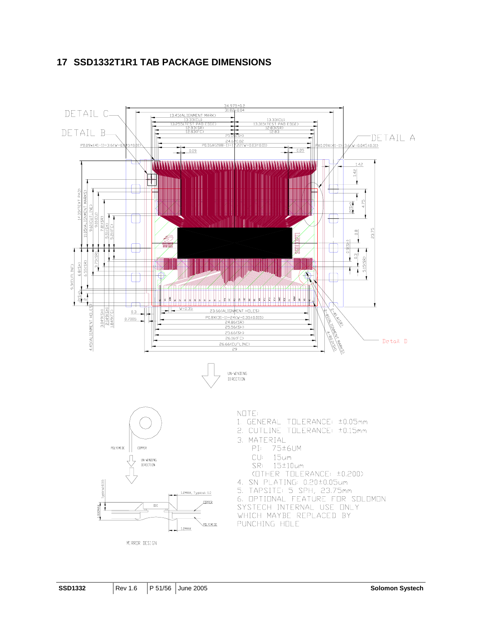### **17 SSD1332T1R1 TAB PACKAGE DIMENSIONS**

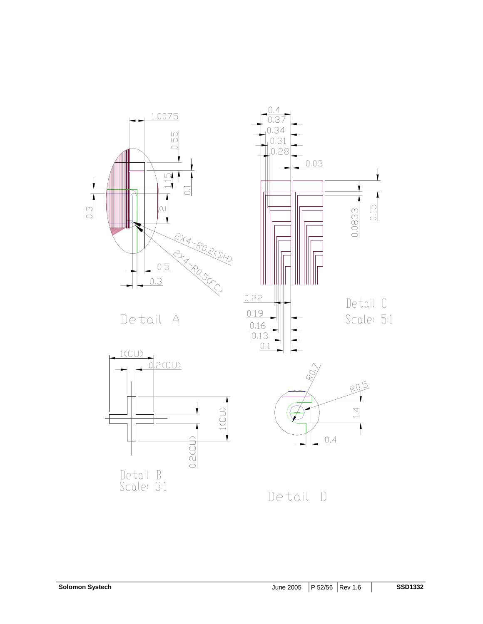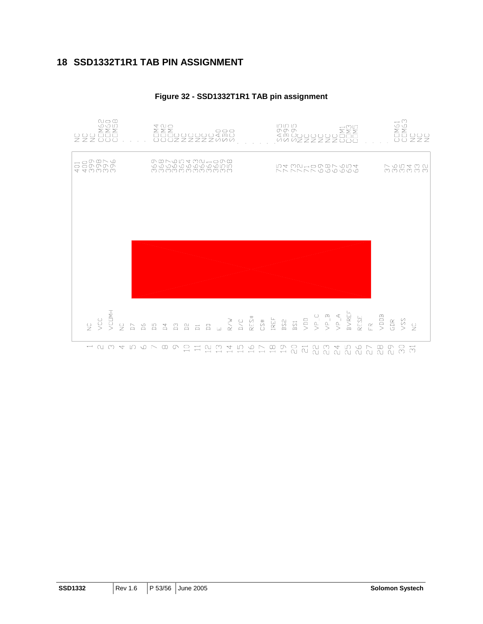### **18 SSD1332T1R1 TAB PIN ASSIGNMENT**



#### **Figure 32 - SSD1332T1R1 TAB pin assignment**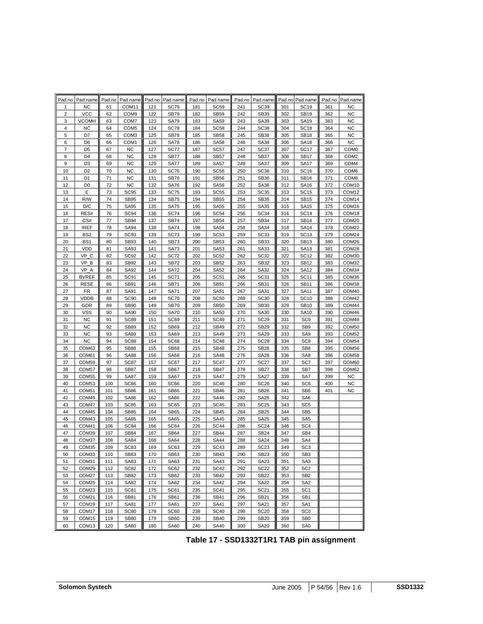| Pad.no         | Pad.name           |          | Pad.no Pad.name            |            | Pad.no Pad.name            | Pad.no     | Pad.name                   |            | Pad.no Pad.name            |            | Pad.no Pad.name            | Pad.no     | Pad.name          |
|----------------|--------------------|----------|----------------------------|------------|----------------------------|------------|----------------------------|------------|----------------------------|------------|----------------------------|------------|-------------------|
| 1              | ΝC                 | 61       | COM <sub>11</sub>          | 121        | <b>SC79</b>                | 181        | <b>SC59</b>                | 241        | SC <sub>39</sub>           | 301        | <b>SC19</b>                | 361        | <b>NC</b>         |
| $\overline{2}$ | <b>VCC</b>         | 62       | COM <sub>9</sub>           | 122        | <b>SB79</b>                | 182        | <b>SB59</b>                | 242        | SB39                       | 302        | <b>SB19</b>                | 362        | <b>NC</b>         |
| 3              | <b>VCOMH</b>       | 63       | COM7                       | 123        | <b>SA79</b>                | 183        | <b>SA59</b>                | 243        | SA39                       | 303        | <b>SA19</b>                | 363        | <b>NC</b>         |
| 4              | NC                 | 64       | COM <sub>5</sub>           | 124        | <b>SC78</b>                | 184        | <b>SC58</b>                | 244        | <b>SC38</b>                | 304        | <b>SC18</b>                | 364        | <b>NC</b>         |
| 5              | D7                 | 65       | COM3                       | 125        | <b>SB78</b>                | 185        | <b>SB58</b>                | 245        | <b>SB38</b>                | 305        | <b>SB18</b>                | 365        | <b>NC</b>         |
| 6              | D <sub>6</sub>     | 66       | COM <sub>1</sub>           | 126        | <b>SA78</b>                | 186        | <b>SA58</b>                | 246        | <b>SA38</b>                | 306        | <b>SA18</b>                | 366        | <b>NC</b>         |
| 7              | D <sub>5</sub>     | 67       | <b>NC</b>                  | 127        | SC77                       | 187        | SC <sub>57</sub>           | 247        | SC <sub>37</sub>           | 307        | <b>SC17</b>                | 367        | COM <sub>0</sub>  |
| 8              | D <sub>4</sub>     | 68       | <b>NC</b>                  | 128        | <b>SB77</b>                | 188        | <b>SB57</b>                | 248        | <b>SB37</b>                | 308        | <b>SB17</b>                | 368        | COM <sub>2</sub>  |
| 9              | D <sub>3</sub>     | 69       | <b>NC</b>                  | 129        | <b>SA77</b>                | 189        | <b>SA57</b>                | 249        | <b>SA37</b>                | 309        | SA17                       | 369        | COM <sub>4</sub>  |
| 10             | D <sub>2</sub>     | 70       | <b>NC</b>                  | 130        | <b>SC76</b>                | 190        | <b>SC56</b>                | 250        | SC <sub>36</sub>           | 310        | <b>SC16</b>                | 370        | COM <sub>6</sub>  |
| 11             | D <sub>1</sub>     | 71       | <b>NC</b>                  | 131        | <b>SB76</b>                | 191        | <b>SB56</b>                | 251        | <b>SB36</b>                | 311        | <b>SB16</b>                | 371        | COM <sub>8</sub>  |
| 12             | D <sub>0</sub>     | 72       | <b>NC</b>                  | 132        | <b>SA76</b>                | 192        | <b>SA56</b>                | 252        | <b>SA36</b>                | 312        | <b>SA16</b>                | 372        | COM <sub>10</sub> |
| 13             | Е                  | 73       | SC <sub>95</sub>           | 133        | SC75                       | 193        | <b>SC55</b>                | 253        | SC <sub>35</sub>           | 313        | <b>SC15</b>                | 373        | COM12             |
| 14             | R/W                | 74       | <b>SB95</b>                | 134        | <b>SB75</b>                | 194        | <b>SB55</b>                | 254        | <b>SB35</b>                | 314        | <b>SB15</b>                | 374        | COM14             |
| 15             | D/C                | 75       | <b>SA95</b>                | 135        | <b>SA75</b>                | 195        | <b>SA55</b>                | 255        | SA35                       | 315        | <b>SA15</b>                | 375        | COM16             |
| 16             | RES#               | 76       | <b>SC94</b>                | 136        | <b>SC74</b>                | 196        | <b>SC54</b>                | 256        | SC <sub>34</sub>           | 316        | <b>SC14</b>                | 376        | COM18             |
| 17             | CS#                | 77       | <b>SB94</b>                | 137        | <b>SB74</b>                | 197        | <b>SB54</b>                | 257        | <b>SB34</b>                | 317        | <b>SB14</b>                | 377        | COM20             |
| 18             | <b>IREF</b>        | 78       | <b>SA94</b>                | 138        | <b>SA74</b>                | 198        | <b>SA54</b>                | 258        | <b>SA34</b>                | 318        | <b>SA14</b>                | 378        | COM22             |
| 19             | BS <sub>2</sub>    | 79       | SC <sub>93</sub>           | 139        | <b>SC73</b>                | 199        | SC <sub>53</sub>           | 259        | <b>SC33</b>                | 319        | <b>SC13</b>                | 379        | COM24             |
| 20             | BS <sub>1</sub>    | 80       | SB93                       | 140        | <b>SB73</b>                | 200        | <b>SB53</b>                | 260        | <b>SB33</b>                | 320        | <b>SB13</b>                | 380        | COM26             |
| 21             | <b>VDD</b>         | 81       | SA93                       | 141        | SA73                       | 201        | SA53                       | 261        | SA33                       | 321        | SA13                       | 381        | COM28             |
| 22             | VP C               | 82       | <b>SC92</b>                | 142        | <b>SC72</b>                | 202        | <b>SC52</b>                | 262        | <b>SC32</b>                | 322        | <b>SC12</b>                | 382        | COM30             |
| 23             | VP_B               | 83       | <b>SB92</b>                | 143        | <b>SB72</b>                | 203        | <b>SB52</b>                | 263        | SB32                       | 323        | <b>SB12</b>                | 383        | COM32             |
| 24             | VP A               | 84       | SA92                       | 144        | <b>SA72</b>                | 204        | <b>SA52</b>                | 264        | SA32                       | 324        | <b>SA12</b>                | 384        | COM34             |
| 25             | <b>BVREF</b>       | 85       | SC91                       | 145        | <b>SC71</b>                | 205        | <b>SC51</b>                | 265        | SC <sub>31</sub>           | 325        | <b>SC11</b>                | 385        | COM36             |
| 26             | <b>RESE</b>        | 86       | <b>SB91</b>                | 146        | <b>SB71</b>                | 206        | <b>SB51</b>                | 266        | SB31                       | 326        | <b>SB11</b>                | 386        | COM38             |
| 27             | FR                 | 87       | SA91                       | 147        | <b>SA71</b>                | 207        | <b>SA51</b>                | 267        | SA31                       | 327        | <b>SA11</b>                | 387        | COM40<br>COM42    |
| 28<br>29       | <b>VDDB</b><br>GDR | 88<br>89 | <b>SC90</b><br><b>SB90</b> | 148<br>149 | <b>SC70</b>                | 208<br>209 | <b>SC50</b><br><b>SB50</b> | 268<br>269 | <b>SC30</b><br><b>SB30</b> | 328<br>329 | <b>SC10</b><br><b>SB10</b> | 388<br>389 | COM44             |
| 30             | VSS                | 90       | SA90                       | 150        | <b>SB70</b><br><b>SA70</b> | 210        | <b>SA50</b>                | 270        | <b>SA30</b>                | 330        | <b>SA10</b>                | 390        | COM46             |
| 31             | <b>NC</b>          | 91       | SC89                       | 151        | SC69                       | 211        | <b>SC49</b>                | 271        | <b>SC29</b>                | 331        | SC <sub>9</sub>            | 391        | COM48             |
| 32             | <b>NC</b>          | 92       | <b>SB89</b>                | 152        | <b>SB69</b>                | 212        | <b>SB49</b>                | 272        | <b>SB29</b>                | 332        | SB <sub>9</sub>            | 392        | COM50             |
| 33             | <b>NC</b>          | 93       | <b>SA89</b>                | 153        | SA69                       | 213        | <b>SA49</b>                | 273        | <b>SA29</b>                | 333        | SA <sub>9</sub>            | 393        | COM52             |
| 34             | ΝC                 | 94       | <b>SC88</b>                | 154        | SC68                       | 214        | <b>SC48</b>                | 274        | <b>SC28</b>                | 334        | SC <sub>8</sub>            | 394        | COM54             |
| 35             | COM63              | 95       | <b>SB88</b>                | 155        | <b>SB68</b>                | 215        | <b>SB48</b>                | 275        | <b>SB28</b>                | 335        | SB <sub>8</sub>            | 395        | COM56             |
| 36             | COM61              | 96       | <b>SA88</b>                | 156        | <b>SA68</b>                | 216        | <b>SA48</b>                | 276        | <b>SA28</b>                | 336        | SA <sub>8</sub>            | 396        | COM58             |
| 37             | COM59              | 97       | SC87                       | 157        | SC67                       | 217        | <b>SC47</b>                | 277        | SC <sub>27</sub>           | 337        | SC7                        | 397        | COM60             |
| 38             | COM57              | 98       | <b>SB87</b>                | 158        | SB67                       | 218        | <b>SB47</b>                | 278        | <b>SB27</b>                | 338        | SB7                        | 398        | COM62             |
| 39             | COM <sub>55</sub>  | 99       | <b>SA87</b>                | 159        | <b>SA67</b>                | 219        | <b>SA47</b>                | 279        | <b>SA27</b>                | 339        | SA7                        | 399        | <b>NC</b>         |
| 40             | COM53              | 100      | <b>SC86</b>                | 160        | SC66                       | 220        | <b>SC46</b>                | 280        | <b>SC26</b>                | 340        | SC <sub>6</sub>            | 400        | <b>NC</b>         |
| 41             | COM <sub>51</sub>  | 101      | <b>SB86</b>                | 161        | SB66                       | 221        | <b>SB46</b>                | 281        | <b>SB26</b>                | 341        | SB <sub>6</sub>            | 401        | <b>NC</b>         |
| 42             | COM49              | 102      | <b>SA86</b>                | 162        | <b>SA66</b>                | 222        | <b>SA46</b>                | 282        | <b>SA26</b>                | 342        | SA6                        |            |                   |
| 43             | COM47              | 103      | SC85                       | 163        | SC65                       | 223        | <b>SC45</b>                | 283        | <b>SC25</b>                | 343        | SC <sub>5</sub>            |            |                   |
| 44             | COM45              | 104      | <b>SB85</b>                | 164        | <b>SB65</b>                | 224        | <b>SB45</b>                | 284        | <b>SB25</b>                | 344        | SB <sub>5</sub>            |            |                   |
| 45             | COM43              | 105      | SA85                       | 165        | <b>SA65</b>                | 225        | <b>SA45</b>                | 285        | <b>SA25</b>                | 345        | SA <sub>5</sub>            |            |                   |
| 46             | COM41              | 106      | <b>SC84</b>                | 166        | SC64                       | 226        | <b>SC44</b>                | 286        | <b>SC24</b>                | 346        | SC <sub>4</sub>            |            |                   |
| 47             | COM39              | 107      | <b>SB84</b>                | 167        | <b>SB64</b>                | 227        | <b>SB44</b>                | 287        | SB24                       | 347        | SB <sub>4</sub>            |            |                   |
| 48             | COM37              | 108      | <b>SA84</b>                | 168        | SA64                       | 228        | <b>SA44</b>                | 288        | SA24                       | 348        | SA4                        |            |                   |
| 49             | COM35              | 109      | SC83                       | 169        | SC63                       | 229        | SC43                       | 289        | SC23                       | 349        | SC3                        |            |                   |
| 50             | COM33              | 110      | SB83                       | 170        | SB63                       | 230        | <b>SB43</b>                | 290        | <b>SB23</b>                | 350        | SB <sub>3</sub>            |            |                   |
| 51             | COM31              | 111      | SA83                       | 171        | SA63                       | 231        | <b>SA43</b>                | 291        | <b>SA23</b>                | 351        | SA <sub>3</sub>            |            |                   |
| 52             | COM29              | 112      | <b>SC82</b>                | 172        | SC62                       | 232        | <b>SC42</b>                | 292        | <b>SC22</b>                | 352        | SC <sub>2</sub>            |            |                   |
| 53             | COM27              | 113      | <b>SB82</b>                | 173        | <b>SB62</b>                | 233        | <b>SB42</b>                | 293        | <b>SB22</b>                | 353        | SB <sub>2</sub>            |            |                   |
| 54             | COM25              | 114      | SA82                       | 174        | <b>SA62</b>                | 234        | <b>SA42</b>                | 294        | <b>SA22</b>                | 354        | SA <sub>2</sub>            |            |                   |
| 55             | COM23              | 115      | <b>SC81</b>                | 175        | SC61                       | 235        | <b>SC41</b>                | 295        | <b>SC21</b>                | 355        | SC <sub>1</sub>            |            |                   |
| 56             | COM21              | 116      | SB81                       | 176        | <b>SB61</b>                | 236        | <b>SB41</b>                | 296        | <b>SB21</b>                | 356        | SB <sub>1</sub>            |            |                   |
| 57             | COM19              | 117      | SA81                       | 177        | SA61                       | 237        | <b>SA41</b>                | 297        | <b>SA21</b>                | 357        | SA <sub>1</sub>            |            |                   |
| 58             | COM17              | 118      | <b>SC80</b>                | 178        | <b>SC60</b>                | 238        | <b>SC40</b>                | 298        | <b>SC20</b>                | 358        | SC <sub>0</sub>            |            |                   |
| 59             | COM <sub>15</sub>  | 119      | <b>SB80</b>                | 179        | <b>SB60</b>                | 239        | <b>SB40</b>                | 299        | <b>SB20</b>                | 359        | SB <sub>0</sub>            |            |                   |
| 60             | COM <sub>13</sub>  | 120      | <b>SA80</b>                | 180        | <b>SA60</b>                | 240        | <b>SA40</b>                | 300        | <b>SA20</b>                | 360        | SA0                        |            |                   |

### **Table 17 - SSD1332T1R1 TAB pin assignment**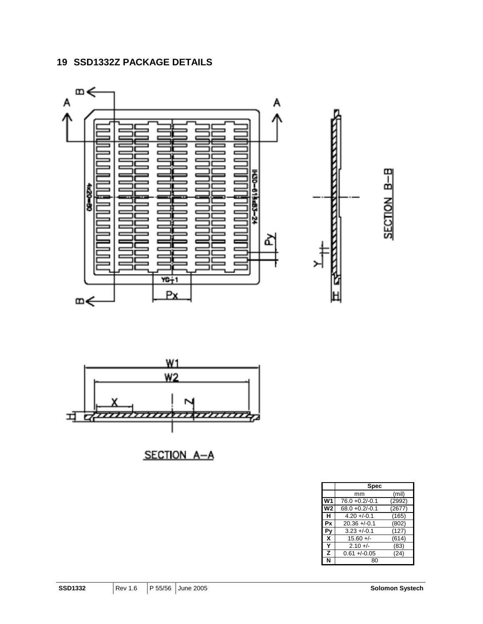## **19 SSD1332Z PACKAGE DETAILS**





SECTION A-A

|    | Spec              |        |  |  |  |  |  |  |
|----|-------------------|--------|--|--|--|--|--|--|
|    | mm                | (mil)  |  |  |  |  |  |  |
| W1 | $76.0 + 0.2/-0.1$ | (2992) |  |  |  |  |  |  |
| W2 | $68.0 + 0.2/-0.1$ | (2677) |  |  |  |  |  |  |
| н  | $4.20 + -0.1$     | (165)  |  |  |  |  |  |  |
| Рx | $20.36 + -0.1$    | (802)  |  |  |  |  |  |  |
| Py | $3.23 + -0.1$     | (127)  |  |  |  |  |  |  |
| X  | $15.60 +/-$       | (614)  |  |  |  |  |  |  |
| Y  | $2.10 +/-$        | (83)   |  |  |  |  |  |  |
| z  | $0.61 + (-0.05)$  | (24)   |  |  |  |  |  |  |
| N  | 80                |        |  |  |  |  |  |  |